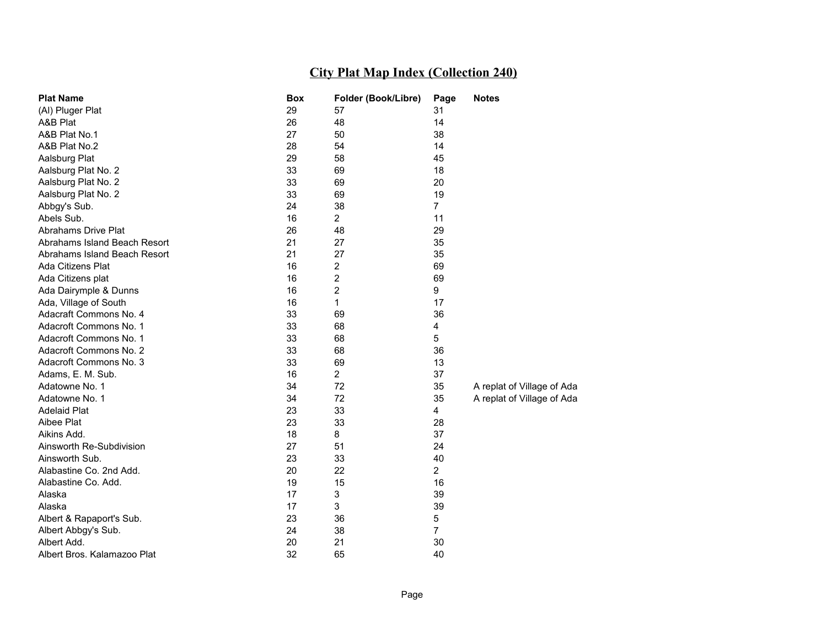| <b>Plat Name</b>             | <b>Box</b> | Folder (Book/Libre) | Page           | <b>Notes</b>               |
|------------------------------|------------|---------------------|----------------|----------------------------|
| (AI) Pluger Plat             | 29         | 57                  | 31             |                            |
| A&B Plat                     | 26         | 48                  | 14             |                            |
| A&B Plat No.1                | 27         | 50                  | 38             |                            |
| A&B Plat No.2                | 28         | 54                  | 14             |                            |
| Aalsburg Plat                | 29         | 58                  | 45             |                            |
| Aalsburg Plat No. 2          | 33         | 69                  | 18             |                            |
| Aalsburg Plat No. 2          | 33         | 69                  | 20             |                            |
| Aalsburg Plat No. 2          | 33         | 69                  | 19             |                            |
| Abbgy's Sub.                 | 24         | 38                  | 7              |                            |
| Abels Sub.                   | 16         | 2                   | 11             |                            |
| Abrahams Drive Plat          | 26         | 48                  | 29             |                            |
| Abrahams Island Beach Resort | 21         | 27                  | 35             |                            |
| Abrahams Island Beach Resort | 21         | 27                  | 35             |                            |
| Ada Citizens Plat            | 16         | 2                   | 69             |                            |
| Ada Citizens plat            | 16         | 2                   | 69             |                            |
| Ada Dairymple & Dunns        | 16         | 2                   | 9              |                            |
| Ada, Village of South        | 16         | 1                   | 17             |                            |
| Adacraft Commons No. 4       | 33         | 69                  | 36             |                            |
| Adacroft Commons No. 1       | 33         | 68                  | 4              |                            |
| Adacroft Commons No. 1       | 33         | 68                  | 5              |                            |
| Adacroft Commons No. 2       | 33         | 68                  | 36             |                            |
| Adacroft Commons No. 3       | 33         | 69                  | 13             |                            |
| Adams, E. M. Sub.            | 16         | $\overline{2}$      | 37             |                            |
| Adatowne No. 1               | 34         | 72                  | 35             | A replat of Village of Ada |
| Adatowne No. 1               | 34         | 72                  | 35             | A replat of Village of Ada |
| <b>Adelaid Plat</b>          | 23         | 33                  | 4              |                            |
| Aibee Plat                   | 23         | 33                  | 28             |                            |
| Aikins Add.                  | 18         | 8                   | 37             |                            |
| Ainsworth Re-Subdivision     | 27         | 51                  | 24             |                            |
| Ainsworth Sub.               | 23         | 33                  | 40             |                            |
| Alabastine Co. 2nd Add.      | 20         | 22                  | $\overline{2}$ |                            |
| Alabastine Co. Add.          | 19         | 15                  | 16             |                            |
| Alaska                       | 17         | 3                   | 39             |                            |
| Alaska                       | 17         | 3                   | 39             |                            |
| Albert & Rapaport's Sub.     | 23         | 36                  | 5              |                            |
| Albert Abbgy's Sub.          | 24         | 38                  | $\overline{7}$ |                            |
| Albert Add.                  | 20         | 21                  | 30             |                            |
| Albert Bros. Kalamazoo Plat  | 32         | 65                  | 40             |                            |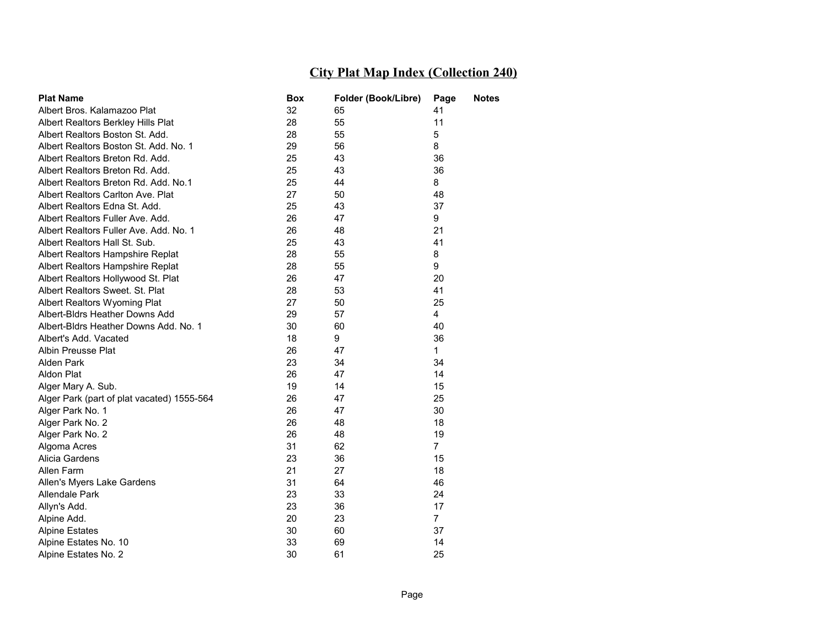| <b>Plat Name</b>                           | Box | Folder (Book/Libre) | Page           | Notes |
|--------------------------------------------|-----|---------------------|----------------|-------|
| Albert Bros. Kalamazoo Plat                | 32  | 65                  | 41             |       |
| Albert Realtors Berkley Hills Plat         | 28  | 55                  | 11             |       |
| Albert Realtors Boston St. Add.            | 28  | 55                  | 5              |       |
| Albert Realtors Boston St. Add. No. 1      | 29  | 56                  | 8              |       |
| Albert Realtors Breton Rd. Add.            | 25  | 43                  | 36             |       |
| Albert Realtors Breton Rd. Add.            | 25  | 43                  | 36             |       |
| Albert Realtors Breton Rd. Add. No.1       | 25  | 44                  | 8              |       |
| Albert Realtors Carlton Ave. Plat          | 27  | 50                  | 48             |       |
| Albert Realtors Edna St. Add.              | 25  | 43                  | 37             |       |
| Albert Realtors Fuller Ave. Add.           | 26  | 47                  | 9              |       |
| Albert Realtors Fuller Ave. Add. No. 1     | 26  | 48                  | 21             |       |
| Albert Realtors Hall St. Sub.              | 25  | 43                  | 41             |       |
| Albert Realtors Hampshire Replat           | 28  | 55                  | 8              |       |
| Albert Realtors Hampshire Replat           | 28  | 55                  | 9              |       |
| Albert Realtors Hollywood St. Plat         | 26  | 47                  | 20             |       |
| Albert Realtors Sweet, St. Plat            | 28  | 53                  | 41             |       |
| Albert Realtors Wyoming Plat               | 27  | 50                  | 25             |       |
| Albert-Bldrs Heather Downs Add             | 29  | 57                  | 4              |       |
| Albert-Bldrs Heather Downs Add, No. 1      | 30  | 60                  | 40             |       |
| Albert's Add. Vacated                      | 18  | 9                   | 36             |       |
| Albin Preusse Plat                         | 26  | 47                  | 1.             |       |
| Alden Park                                 | 23  | 34                  | 34             |       |
| Aldon Plat                                 | 26  | 47                  | 14             |       |
| Alger Mary A. Sub.                         | 19  | 14                  | 15             |       |
| Alger Park (part of plat vacated) 1555-564 | 26  | 47                  | 25             |       |
| Alger Park No. 1                           | 26  | 47                  | 30             |       |
| Alger Park No. 2                           | 26  | 48                  | 18             |       |
| Alger Park No. 2                           | 26  | 48                  | 19             |       |
| Algoma Acres                               | 31  | 62                  | $\overline{7}$ |       |
| Alicia Gardens                             | 23  | 36                  | 15             |       |
| Allen Farm                                 | 21  | 27                  | 18             |       |
| Allen's Myers Lake Gardens                 | 31  | 64                  | 46             |       |
| Allendale Park                             | 23  | 33                  | 24             |       |
| Allyn's Add.                               | 23  | 36                  | 17             |       |
| Alpine Add.                                | 20  | 23                  | $\overline{7}$ |       |
| <b>Alpine Estates</b>                      | 30  | 60                  | 37             |       |
| Alpine Estates No. 10                      | 33  | 69                  | 14             |       |
| Alpine Estates No. 2                       | 30  | 61                  | 25             |       |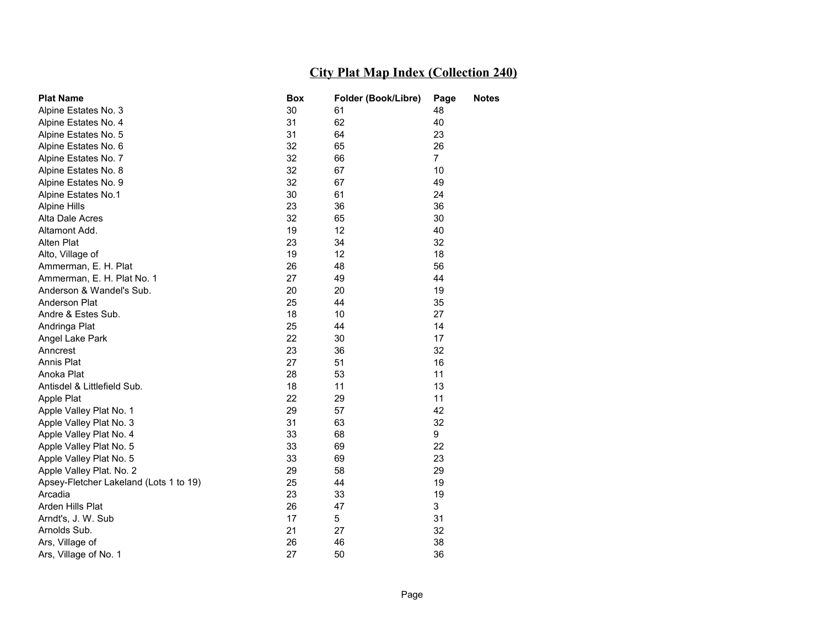| <b>Plat Name</b>                       | <b>Box</b> | Folder (Book/Libre) | Page           | <b>Notes</b> |
|----------------------------------------|------------|---------------------|----------------|--------------|
| Alpine Estates No. 3                   | 30         | 61                  | 48             |              |
| Alpine Estates No. 4                   | 31         | 62                  | 40             |              |
| Alpine Estates No. 5                   | 31         | 64                  | 23             |              |
| Alpine Estates No. 6                   | 32         | 65                  | 26             |              |
| Alpine Estates No. 7                   | 32         | 66                  | $\overline{7}$ |              |
| Alpine Estates No. 8                   | 32         | 67                  | 10             |              |
| Alpine Estates No. 9                   | 32         | 67                  | 49             |              |
| Alpine Estates No.1                    | 30         | 61                  | 24             |              |
| Alpine Hills                           | 23         | 36                  | 36             |              |
| Alta Dale Acres                        | 32         | 65                  | 30             |              |
| Altamont Add.                          | 19         | 12                  | 40             |              |
| Alten Plat                             | 23         | 34                  | 32             |              |
| Alto, Village of                       | 19         | 12                  | 18             |              |
| Ammerman, E. H. Plat                   | 26         | 48                  | 56             |              |
| Ammerman, E. H. Plat No. 1             | 27         | 49                  | 44             |              |
| Anderson & Wandel's Sub.               | 20         | 20                  | 19             |              |
| Anderson Plat                          | 25         | 44                  | 35             |              |
| Andre & Estes Sub.                     | 18         | 10                  | 27             |              |
| Andringa Plat                          | 25         | 44                  | 14             |              |
| Angel Lake Park                        | 22         | 30                  | 17             |              |
| Anncrest                               | 23         | 36                  | 32             |              |
| Annis Plat                             | 27         | 51                  | 16             |              |
| Anoka Plat                             | 28         | 53                  | 11             |              |
| Antisdel & Littlefield Sub.            | 18         | 11                  | 13             |              |
| Apple Plat                             | 22         | 29                  | 11             |              |
| Apple Valley Plat No. 1                | 29         | 57                  | 42             |              |
| Apple Valley Plat No. 3                | 31         | 63                  | 32             |              |
| Apple Valley Plat No. 4                | 33         | 68                  | 9              |              |
| Apple Valley Plat No. 5                | 33         | 69                  | 22             |              |
| Apple Valley Plat No. 5                | 33         | 69                  | 23             |              |
| Apple Valley Plat. No. 2               | 29         | 58                  | 29             |              |
| Apsey-Fletcher Lakeland (Lots 1 to 19) | 25         | 44                  | 19             |              |
| Arcadia                                | 23         | 33                  | 19             |              |
| Arden Hills Plat                       | 26         | 47                  | 3              |              |
| Arndt's, J. W. Sub                     | 17         | 5                   | 31             |              |
| Arnolds Sub.                           | 21         | 27                  | 32             |              |
| Ars, Village of                        | 26         | 46                  | 38             |              |
| Ars, Village of No. 1                  | 27         | 50                  | 36             |              |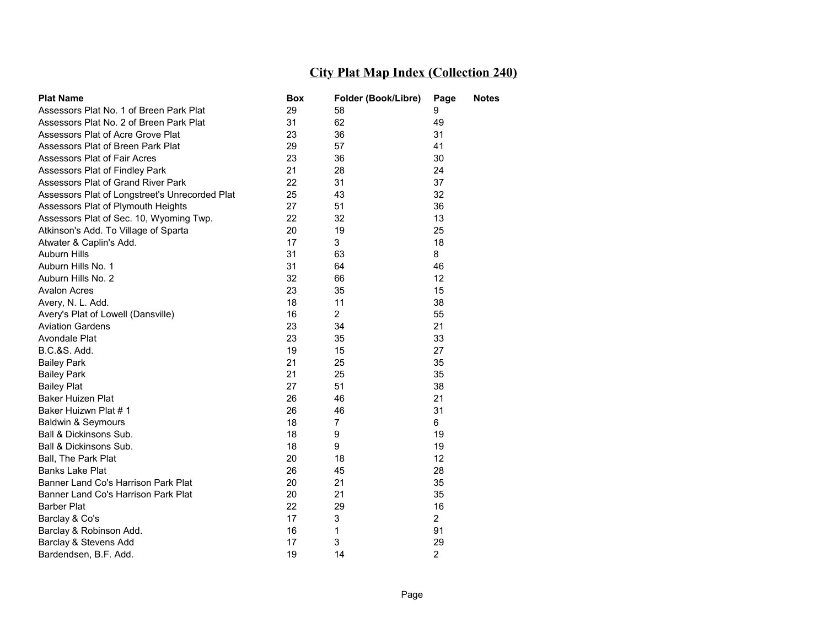| <b>Plat Name</b>                               | Box | Folder (Book/Libre) | Page            | Notes |
|------------------------------------------------|-----|---------------------|-----------------|-------|
| Assessors Plat No. 1 of Breen Park Plat        | 29  | 58                  | 9               |       |
| Assessors Plat No. 2 of Breen Park Plat        | 31  | 62                  | 49              |       |
| Assessors Plat of Acre Grove Plat              | 23  | 36                  | 31              |       |
| Assessors Plat of Breen Park Plat              | 29  | 57                  | 41              |       |
| Assessors Plat of Fair Acres                   | 23  | 36                  | 30              |       |
| Assessors Plat of Findley Park                 | 21  | 28                  | 24              |       |
| Assessors Plat of Grand River Park             | 22  | 31                  | 37              |       |
| Assessors Plat of Longstreet's Unrecorded Plat | 25  | 43                  | 32              |       |
| Assessors Plat of Plymouth Heights             | 27  | 51                  | 36              |       |
| Assessors Plat of Sec. 10, Wyoming Twp.        | 22  | 32                  | 13              |       |
| Atkinson's Add. To Village of Sparta           | 20  | 19                  | 25              |       |
| Atwater & Caplin's Add.                        | 17  | 3                   | 18              |       |
| <b>Auburn Hills</b>                            | 31  | 63                  | 8               |       |
| Auburn Hills No. 1                             | 31  | 64                  | 46              |       |
| Auburn Hills No. 2                             | 32  | 66                  | 12 <sup>2</sup> |       |
| <b>Avalon Acres</b>                            | 23  | 35                  | 15              |       |
| Avery, N. L. Add.                              | 18  | 11                  | 38              |       |
| Avery's Plat of Lowell (Dansville)             | 16  | $\overline{2}$      | 55              |       |
| <b>Aviation Gardens</b>                        | 23  | 34                  | 21              |       |
| Avondale Plat                                  | 23  | 35                  | 33              |       |
| <b>B.C.&amp;S. Add.</b>                        | 19  | 15                  | 27              |       |
| <b>Bailey Park</b>                             | 21  | 25                  | 35              |       |
| <b>Bailey Park</b>                             | 21  | 25                  | 35              |       |
| <b>Bailey Plat</b>                             | 27  | 51                  | 38              |       |
| <b>Baker Huizen Plat</b>                       | 26  | 46                  | 21              |       |
| Baker Huizwn Plat #1                           | 26  | 46                  | 31              |       |
| Baldwin & Seymours                             | 18  | $\overline{7}$      | 6               |       |
| Ball & Dickinsons Sub.                         | 18  | 9                   | 19              |       |
| Ball & Dickinsons Sub.                         | 18  | 9                   | 19              |       |
| Ball, The Park Plat                            | 20  | 18                  | 12              |       |
| <b>Banks Lake Plat</b>                         | 26  | 45                  | 28              |       |
| Banner Land Co's Harrison Park Plat            | 20  | 21                  | 35              |       |
| Banner Land Co's Harrison Park Plat            | 20  | 21                  | 35              |       |
| <b>Barber Plat</b>                             | 22  | 29                  | 16              |       |
| Barclay & Co's                                 | 17  | 3                   | $\overline{2}$  |       |
| Barclay & Robinson Add.                        | 16  | $\mathbf{1}$        | 91              |       |
| Barclay & Stevens Add                          | 17  | 3                   | 29              |       |
| Bardendsen, B.F. Add.                          | 19  | 14                  | $\overline{2}$  |       |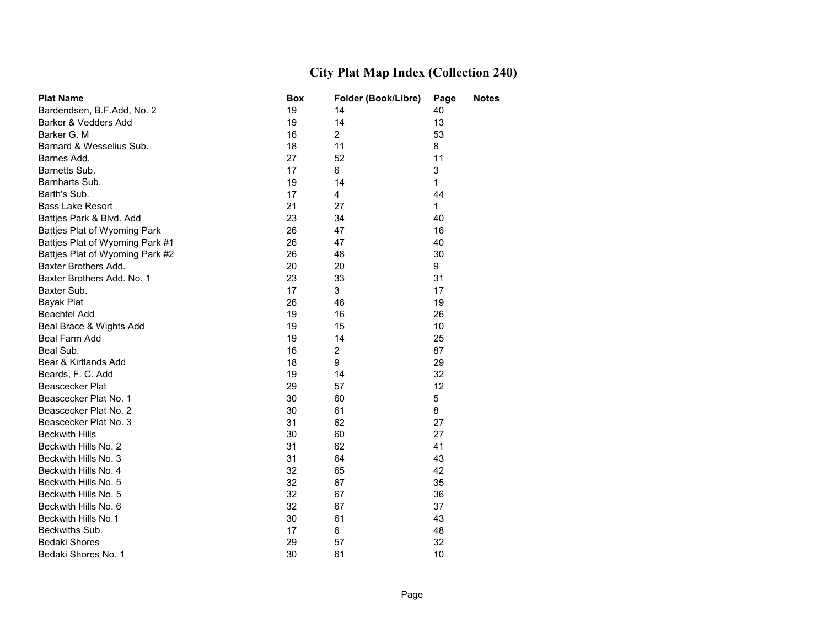| <b>Plat Name</b>                | Box | Folder (Book/Libre) | Page | Notes |
|---------------------------------|-----|---------------------|------|-------|
| Bardendsen, B.F.Add, No. 2      | 19  | 14                  | 40   |       |
| Barker & Vedders Add            | 19  | 14                  | 13   |       |
| Barker G. M                     | 16  | $\overline{2}$      | 53   |       |
| Barnard & Wesselius Sub.        | 18  | 11                  | 8    |       |
| Barnes Add.                     | 27  | 52                  | 11   |       |
| Barnetts Sub.                   | 17  | 6                   | 3    |       |
| Barnharts Sub.                  | 19  | 14                  | 1    |       |
| Barth's Sub.                    | 17  | 4                   | 44   |       |
| <b>Bass Lake Resort</b>         | 21  | 27                  | 1    |       |
| Battjes Park & Blvd. Add        | 23  | 34                  | 40   |       |
| Battjes Plat of Wyoming Park    | 26  | 47                  | 16   |       |
| Battjes Plat of Wyoming Park #1 | 26  | 47                  | 40   |       |
| Battjes Plat of Wyoming Park #2 | 26  | 48                  | 30   |       |
| Baxter Brothers Add.            | 20  | 20                  | 9    |       |
| Baxter Brothers Add. No. 1      | 23  | 33                  | 31   |       |
| Baxter Sub.                     | 17  | 3                   | 17   |       |
| Bayak Plat                      | 26  | 46                  | 19   |       |
| <b>Beachtel Add</b>             | 19  | 16                  | 26   |       |
| Beal Brace & Wights Add         | 19  | 15                  | 10   |       |
| Beal Farm Add                   | 19  | 14                  | 25   |       |
| Beal Sub.                       | 16  | $\overline{2}$      | 87   |       |
| Bear & Kirtlands Add            | 18  | 9                   | 29   |       |
| Beards, F. C. Add               | 19  | 14                  | 32   |       |
| Beascecker Plat                 | 29  | 57                  | 12   |       |
| Beascecker Plat No. 1           | 30  | 60                  | 5    |       |
| Beascecker Plat No. 2           | 30  | 61                  | 8    |       |
| Beascecker Plat No. 3           | 31  | 62                  | 27   |       |
| <b>Beckwith Hills</b>           | 30  | 60                  | 27   |       |
| Beckwith Hills No. 2            | 31  | 62                  | 41   |       |
| Beckwith Hills No. 3            | 31  | 64                  | 43   |       |
| Beckwith Hills No. 4            | 32  | 65                  | 42   |       |
| Beckwith Hills No. 5            | 32  | 67                  | 35   |       |
| Beckwith Hills No. 5            | 32  | 67                  | 36   |       |
| Beckwith Hills No. 6            | 32  | 67                  | 37   |       |
| Beckwith Hills No.1             | 30  | 61                  | 43   |       |
| Beckwiths Sub.                  | 17  | 6                   | 48   |       |
| <b>Bedaki Shores</b>            | 29  | 57                  | 32   |       |
| Bedaki Shores No. 1             | 30  | 61                  | 10   |       |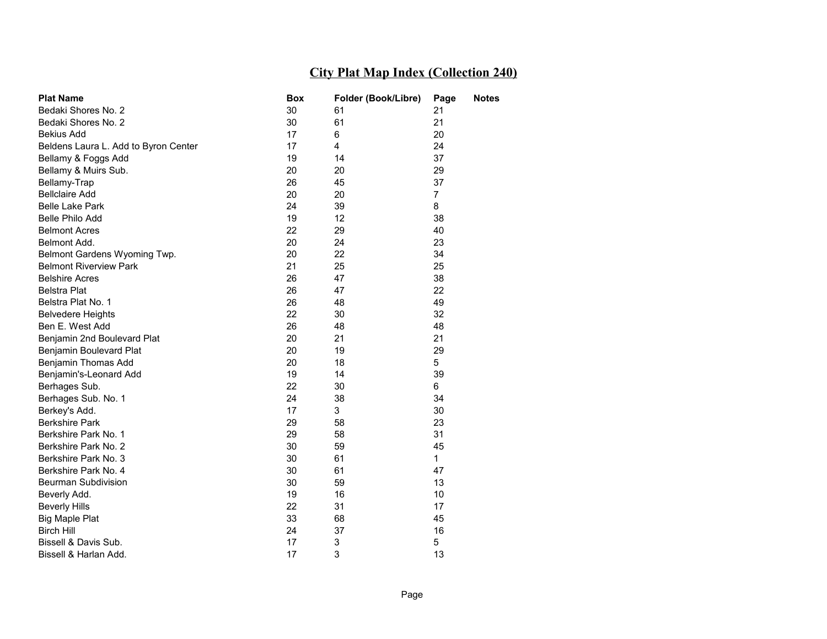| <b>Plat Name</b>                     | Box | Folder (Book/Libre) | Page           | <b>Notes</b> |
|--------------------------------------|-----|---------------------|----------------|--------------|
| Bedaki Shores No. 2                  | 30  | 61                  | 21             |              |
| Bedaki Shores No. 2                  | 30  | 61                  | 21             |              |
| <b>Bekius Add</b>                    | 17  | 6                   | 20             |              |
| Beldens Laura L. Add to Byron Center | 17  | 4                   | 24             |              |
| Bellamy & Foggs Add                  | 19  | 14                  | 37             |              |
| Bellamy & Muirs Sub.                 | 20  | 20                  | 29             |              |
| Bellamy-Trap                         | 26  | 45                  | 37             |              |
| <b>Bellclaire Add</b>                | 20  | 20                  | $\overline{7}$ |              |
| <b>Belle Lake Park</b>               | 24  | 39                  | 8              |              |
| Belle Philo Add                      | 19  | 12                  | 38             |              |
| <b>Belmont Acres</b>                 | 22  | 29                  | 40             |              |
| Belmont Add.                         | 20  | 24                  | 23             |              |
| Belmont Gardens Wyoming Twp.         | 20  | 22                  | 34             |              |
| <b>Belmont Riverview Park</b>        | 21  | 25                  | 25             |              |
| <b>Belshire Acres</b>                | 26  | 47                  | 38             |              |
| <b>Belstra Plat</b>                  | 26  | 47                  | 22             |              |
| Belstra Plat No. 1                   | 26  | 48                  | 49             |              |
| <b>Belvedere Heights</b>             | 22  | 30                  | 32             |              |
| Ben E. West Add                      | 26  | 48                  | 48             |              |
| Benjamin 2nd Boulevard Plat          | 20  | 21                  | 21             |              |
| Benjamin Boulevard Plat              | 20  | 19                  | 29             |              |
| Benjamin Thomas Add                  | 20  | 18                  | 5              |              |
| Benjamin's-Leonard Add               | 19  | 14                  | 39             |              |
| Berhages Sub.                        | 22  | 30                  | 6              |              |
| Berhages Sub. No. 1                  | 24  | 38                  | 34             |              |
| Berkey's Add.                        | 17  | 3                   | 30             |              |
| <b>Berkshire Park</b>                | 29  | 58                  | 23             |              |
| Berkshire Park No. 1                 | 29  | 58                  | 31             |              |
| Berkshire Park No. 2                 | 30  | 59                  | 45             |              |
| Berkshire Park No. 3                 | 30  | 61                  | $\mathbf 1$    |              |
| Berkshire Park No. 4                 | 30  | 61                  | 47             |              |
| <b>Beurman Subdivision</b>           | 30  | 59                  | 13             |              |
| Beverly Add.                         | 19  | 16                  | 10             |              |
| <b>Beverly Hills</b>                 | 22  | 31                  | 17             |              |
| <b>Big Maple Plat</b>                | 33  | 68                  | 45             |              |
| Birch Hill                           | 24  | 37                  | 16             |              |
| Bissell & Davis Sub.                 | 17  | 3                   | 5              |              |
| Bissell & Harlan Add.                | 17  | 3                   | 13             |              |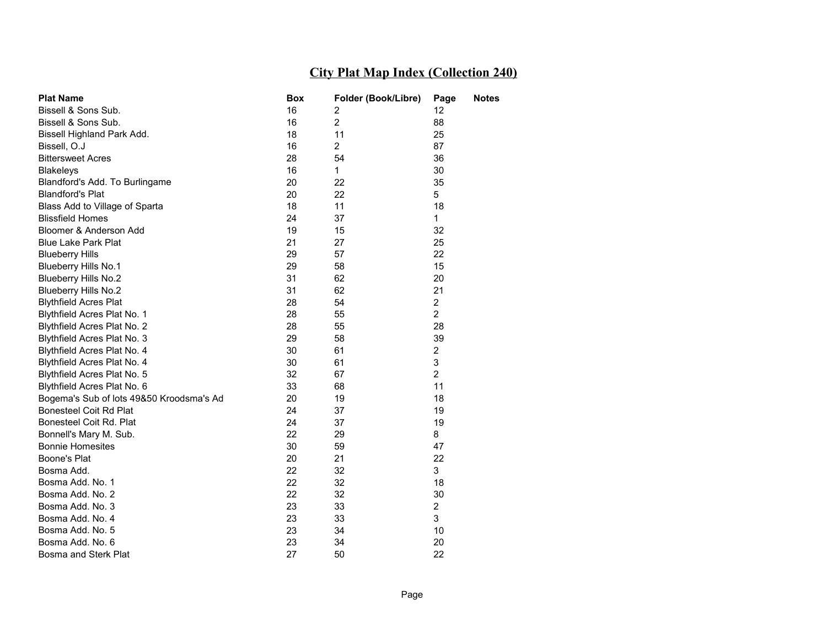| <b>Plat Name</b>                         | Box | Folder (Book/Libre) | Page           | <b>Notes</b> |
|------------------------------------------|-----|---------------------|----------------|--------------|
| Bissell & Sons Sub.                      | 16  | 2                   | 12             |              |
| Bissell & Sons Sub.                      | 16  | $\overline{2}$      | 88             |              |
| Bissell Highland Park Add.               | 18  | 11                  | 25             |              |
| Bissell, O.J                             | 16  | $\overline{2}$      | 87             |              |
| <b>Bittersweet Acres</b>                 | 28  | 54                  | 36             |              |
| <b>Blakeleys</b>                         | 16  | $\mathbf{1}$        | 30             |              |
| Blandford's Add. To Burlingame           | 20  | 22                  | 35             |              |
| <b>Blandford's Plat</b>                  | 20  | 22                  | 5              |              |
| Blass Add to Village of Sparta           | 18  | 11                  | 18             |              |
| <b>Blissfield Homes</b>                  | 24  | 37                  | 1              |              |
| Bloomer & Anderson Add                   | 19  | 15                  | 32             |              |
| <b>Blue Lake Park Plat</b>               | 21  | 27                  | 25             |              |
| <b>Blueberry Hills</b>                   | 29  | 57                  | 22             |              |
| Blueberry Hills No.1                     | 29  | 58                  | 15             |              |
| <b>Blueberry Hills No.2</b>              | 31  | 62                  | 20             |              |
| <b>Blueberry Hills No.2</b>              | 31  | 62                  | 21             |              |
| <b>Blythfield Acres Plat</b>             | 28  | 54                  | $\overline{c}$ |              |
| Blythfield Acres Plat No. 1              | 28  | 55                  | $\overline{2}$ |              |
| Blythfield Acres Plat No. 2              | 28  | 55                  | 28             |              |
| Blythfield Acres Plat No. 3              | 29  | 58                  | 39             |              |
| Blythfield Acres Plat No. 4              | 30  | 61                  | $\overline{2}$ |              |
| Blythfield Acres Plat No. 4              | 30  | 61                  | 3              |              |
| Blythfield Acres Plat No. 5              | 32  | 67                  | $\overline{2}$ |              |
| Blythfield Acres Plat No. 6              | 33  | 68                  | 11             |              |
| Bogema's Sub of lots 49&50 Kroodsma's Ad | 20  | 19                  | 18             |              |
| Bonesteel Coit Rd Plat                   | 24  | 37                  | 19             |              |
| Bonesteel Coit Rd. Plat                  | 24  | 37                  | 19             |              |
| Bonnell's Mary M. Sub.                   | 22  | 29                  | 8              |              |
| <b>Bonnie Homesites</b>                  | 30  | 59                  | 47             |              |
| Boone's Plat                             | 20  | 21                  | 22             |              |
| Bosma Add.                               | 22  | 32                  | 3              |              |
| Bosma Add. No. 1                         | 22  | 32                  | 18             |              |
| Bosma Add. No. 2                         | 22  | 32                  | 30             |              |
| Bosma Add. No. 3                         | 23  | 33                  | 2              |              |
| Bosma Add. No. 4                         | 23  | 33                  | 3              |              |
| Bosma Add. No. 5                         | 23  | 34                  | 10             |              |
| Bosma Add. No. 6                         | 23  | 34                  | 20             |              |
| Bosma and Sterk Plat                     | 27  | 50                  | 22             |              |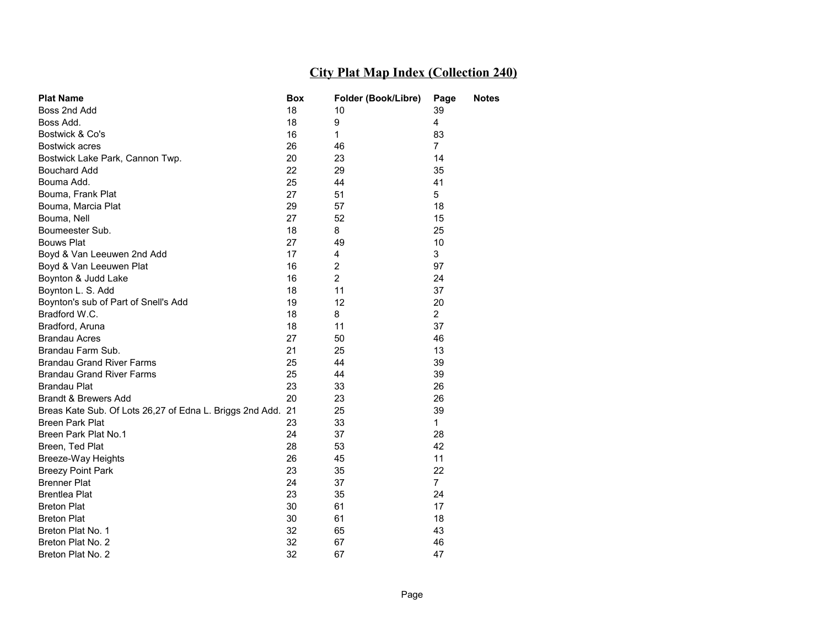| <b>Plat Name</b>                                            | Box | Folder (Book/Libre) | Page           | <b>Notes</b> |
|-------------------------------------------------------------|-----|---------------------|----------------|--------------|
| Boss 2nd Add                                                | 18  | 10                  | 39             |              |
| Boss Add.                                                   | 18  | 9                   | 4              |              |
| Bostwick & Co's                                             | 16  | $\mathbf{1}$        | 83             |              |
| Bostwick acres                                              | 26  | 46                  | $\overline{7}$ |              |
| Bostwick Lake Park, Cannon Twp.                             | 20  | 23                  | 14             |              |
| <b>Bouchard Add</b>                                         | 22  | 29                  | 35             |              |
| Bouma Add.                                                  | 25  | 44                  | 41             |              |
| Bouma, Frank Plat                                           | 27  | 51                  | 5              |              |
| Bouma, Marcia Plat                                          | 29  | 57                  | 18             |              |
| Bouma, Nell                                                 | 27  | 52                  | 15             |              |
| Boumeester Sub.                                             | 18  | 8                   | 25             |              |
| <b>Bouws Plat</b>                                           | 27  | 49                  | 10             |              |
| Boyd & Van Leeuwen 2nd Add                                  | 17  | 4                   | 3              |              |
| Boyd & Van Leeuwen Plat                                     | 16  | $\overline{2}$      | 97             |              |
| Boynton & Judd Lake                                         | 16  | $\overline{2}$      | 24             |              |
| Boynton L. S. Add                                           | 18  | 11                  | 37             |              |
| Boynton's sub of Part of Snell's Add                        | 19  | 12                  | 20             |              |
| Bradford W.C.                                               | 18  | 8                   | $\overline{2}$ |              |
| Bradford, Aruna                                             | 18  | 11                  | 37             |              |
| <b>Brandau Acres</b>                                        | 27  | 50                  | 46             |              |
| Brandau Farm Sub.                                           | 21  | 25                  | 13             |              |
| <b>Brandau Grand River Farms</b>                            | 25  | 44                  | 39             |              |
| <b>Brandau Grand River Farms</b>                            | 25  | 44                  | 39             |              |
| <b>Brandau Plat</b>                                         | 23  | 33                  | 26             |              |
| Brandt & Brewers Add                                        | 20  | 23                  | 26             |              |
| Breas Kate Sub. Of Lots 26,27 of Edna L. Briggs 2nd Add. 21 |     | 25                  | 39             |              |
| <b>Breen Park Plat</b>                                      | 23  | 33                  | $\mathbf{1}$   |              |
| Breen Park Plat No.1                                        | 24  | 37                  | 28             |              |
| Breen, Ted Plat                                             | 28  | 53                  | 42             |              |
| Breeze-Way Heights                                          | 26  | 45                  | 11             |              |
| <b>Breezy Point Park</b>                                    | 23  | 35                  | 22             |              |
| <b>Brenner Plat</b>                                         | 24  | 37                  | $\overline{7}$ |              |
| <b>Brentlea Plat</b>                                        | 23  | 35                  | 24             |              |
| <b>Breton Plat</b>                                          | 30  | 61                  | 17             |              |
| <b>Breton Plat</b>                                          | 30  | 61                  | 18             |              |
| Breton Plat No. 1                                           | 32  | 65                  | 43             |              |
| Breton Plat No. 2                                           | 32  | 67                  | 46             |              |
| Breton Plat No. 2                                           | 32  | 67                  | 47             |              |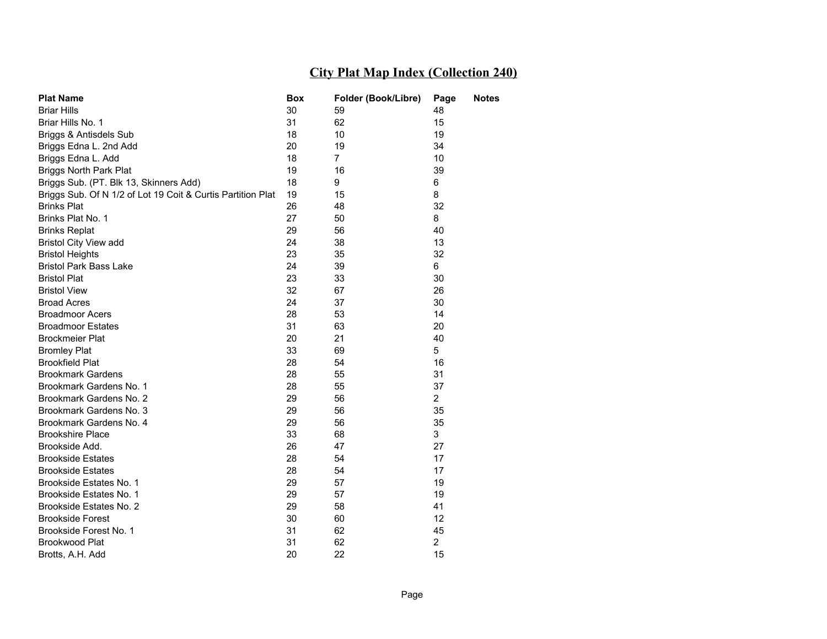| <b>Plat Name</b>                                            | Box | Folder (Book/Libre) | Page           | Notes |
|-------------------------------------------------------------|-----|---------------------|----------------|-------|
| <b>Briar Hills</b>                                          | 30  | 59                  | 48             |       |
| Briar Hills No. 1                                           | 31  | 62                  | 15             |       |
| Briggs & Antisdels Sub                                      | 18  | 10                  | 19             |       |
| Briggs Edna L. 2nd Add                                      | 20  | 19                  | 34             |       |
| Briggs Edna L. Add                                          | 18  | $\overline{7}$      | 10             |       |
| <b>Briggs North Park Plat</b>                               | 19  | 16                  | 39             |       |
| Briggs Sub. (PT. Blk 13, Skinners Add)                      | 18  | 9                   | 6              |       |
| Briggs Sub. Of N 1/2 of Lot 19 Coit & Curtis Partition Plat | 19  | 15                  | 8              |       |
| <b>Brinks Plat</b>                                          | 26  | 48                  | 32             |       |
| Brinks Plat No. 1                                           | 27  | 50                  | 8              |       |
| <b>Brinks Replat</b>                                        | 29  | 56                  | 40             |       |
| <b>Bristol City View add</b>                                | 24  | 38                  | 13             |       |
| <b>Bristol Heights</b>                                      | 23  | 35                  | 32             |       |
| <b>Bristol Park Bass Lake</b>                               | 24  | 39                  | 6              |       |
| <b>Bristol Plat</b>                                         | 23  | 33                  | 30             |       |
| <b>Bristol View</b>                                         | 32  | 67                  | 26             |       |
| <b>Broad Acres</b>                                          | 24  | 37                  | 30             |       |
| <b>Broadmoor Acers</b>                                      | 28  | 53                  | 14             |       |
| <b>Broadmoor Estates</b>                                    | 31  | 63                  | 20             |       |
| <b>Brockmeier Plat</b>                                      | 20  | 21                  | 40             |       |
| <b>Bromley Plat</b>                                         | 33  | 69                  | 5              |       |
| <b>Brookfield Plat</b>                                      | 28  | 54                  | 16             |       |
| <b>Brookmark Gardens</b>                                    | 28  | 55                  | 31             |       |
| Brookmark Gardens No. 1                                     | 28  | 55                  | 37             |       |
| Brookmark Gardens No. 2                                     | 29  | 56                  | $\overline{2}$ |       |
| Brookmark Gardens No. 3                                     | 29  | 56                  | 35             |       |
| Brookmark Gardens No. 4                                     | 29  | 56                  | 35             |       |
| <b>Brookshire Place</b>                                     | 33  | 68                  | 3              |       |
| Brookside Add.                                              | 26  | 47                  | 27             |       |
| <b>Brookside Estates</b>                                    | 28  | 54                  | 17             |       |
| <b>Brookside Estates</b>                                    | 28  | 54                  | 17             |       |
| Brookside Estates No. 1                                     | 29  | 57                  | 19             |       |
| Brookside Estates No. 1                                     | 29  | 57                  | 19             |       |
| Brookside Estates No. 2                                     | 29  | 58                  | 41             |       |
| <b>Brookside Forest</b>                                     | 30  | 60                  | 12             |       |
| Brookside Forest No. 1                                      | 31  | 62                  | 45             |       |
| Brookwood Plat                                              | 31  | 62                  | $\overline{2}$ |       |
| Brotts, A.H. Add                                            | 20  | 22                  | 15             |       |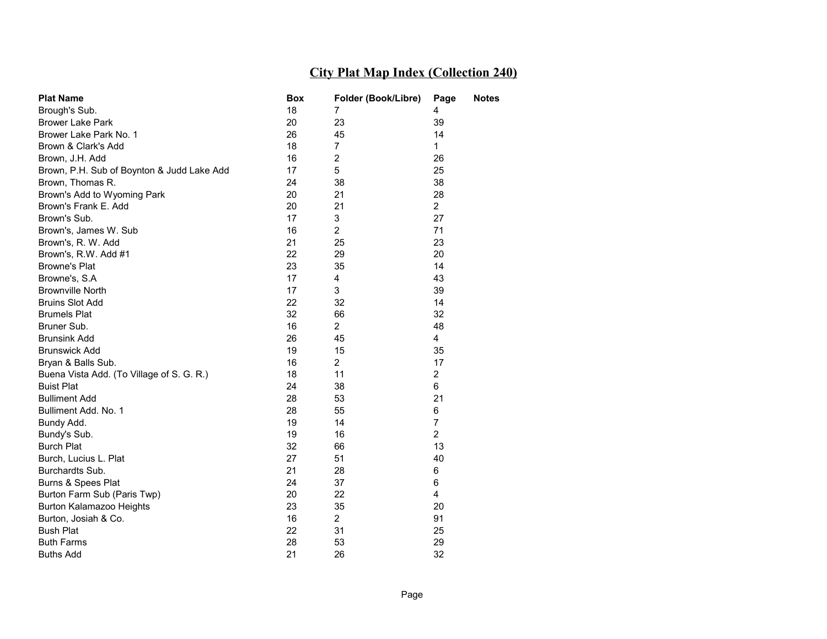| <b>Plat Name</b>                           | Box | Folder (Book/Libre) | Page           | <b>Notes</b> |
|--------------------------------------------|-----|---------------------|----------------|--------------|
| Brough's Sub.                              | 18  | 7                   | 4              |              |
| <b>Brower Lake Park</b>                    | 20  | 23                  | 39             |              |
| Brower Lake Park No. 1                     | 26  | 45                  | 14             |              |
| Brown & Clark's Add                        | 18  | 7                   | $\mathbf 1$    |              |
| Brown, J.H. Add                            | 16  | 2                   | 26             |              |
| Brown, P.H. Sub of Boynton & Judd Lake Add | 17  | 5                   | 25             |              |
| Brown, Thomas R.                           | 24  | 38                  | 38             |              |
| Brown's Add to Wyoming Park                | 20  | 21                  | 28             |              |
| Brown's Frank E. Add                       | 20  | 21                  | $\overline{2}$ |              |
| Brown's Sub.                               | 17  | 3                   | 27             |              |
| Brown's, James W. Sub                      | 16  | 2                   | 71             |              |
| Brown's, R. W. Add                         | 21  | 25                  | 23             |              |
| Brown's, R.W. Add #1                       | 22  | 29                  | 20             |              |
| <b>Browne's Plat</b>                       | 23  | 35                  | 14             |              |
| Browne's, S.A                              | 17  | 4                   | 43             |              |
| <b>Brownville North</b>                    | 17  | 3                   | 39             |              |
| <b>Bruins Slot Add</b>                     | 22  | 32                  | 14             |              |
| <b>Brumels Plat</b>                        | 32  | 66                  | 32             |              |
| Bruner Sub.                                | 16  | $\overline{2}$      | 48             |              |
| <b>Brunsink Add</b>                        | 26  | 45                  | 4              |              |
| <b>Brunswick Add</b>                       | 19  | 15                  | 35             |              |
| Bryan & Balls Sub.                         | 16  | $\overline{2}$      | 17             |              |
| Buena Vista Add. (To Village of S. G. R.)  | 18  | 11                  | $\overline{2}$ |              |
| <b>Buist Plat</b>                          | 24  | 38                  | 6              |              |
| <b>Bulliment Add</b>                       | 28  | 53                  | 21             |              |
| Bulliment Add. No. 1                       | 28  | 55                  | 6              |              |
| Bundy Add.                                 | 19  | 14                  | $\overline{7}$ |              |
| Bundy's Sub.                               | 19  | 16                  | $\overline{2}$ |              |
| <b>Burch Plat</b>                          | 32  | 66                  | 13             |              |
| Burch, Lucius L. Plat                      | 27  | 51                  | 40             |              |
| Burchardts Sub.                            | 21  | 28                  | 6              |              |
| Burns & Spees Plat                         | 24  | 37                  | 6              |              |
| Burton Farm Sub (Paris Twp)                | 20  | 22                  | 4              |              |
| Burton Kalamazoo Heights                   | 23  | 35                  | 20             |              |
| Burton, Josiah & Co.                       | 16  | $\overline{2}$      | 91             |              |
| <b>Bush Plat</b>                           | 22  | 31                  | 25             |              |
| <b>Buth Farms</b>                          | 28  | 53                  | 29             |              |
| <b>Buths Add</b>                           | 21  | 26                  | 32             |              |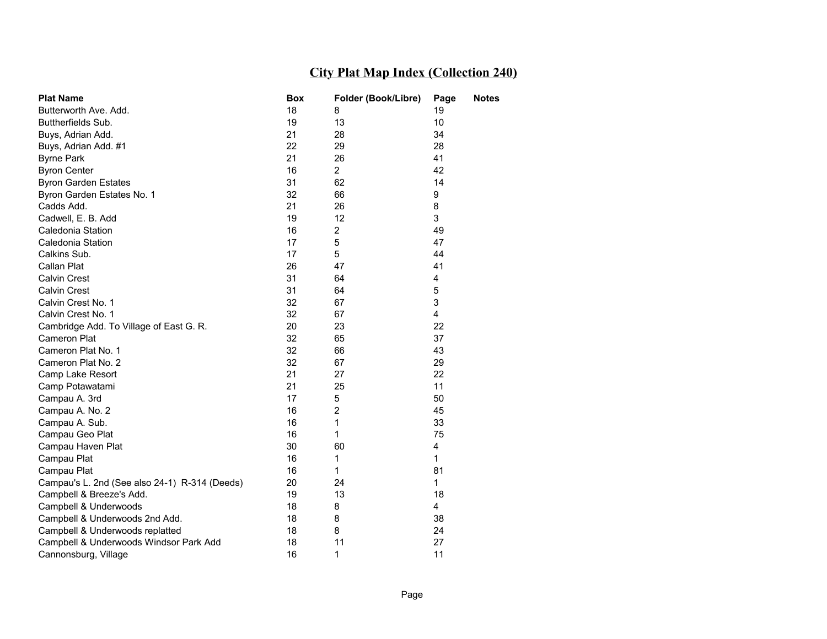| <b>Plat Name</b>                              | <b>Box</b> | Folder (Book/Libre) | Page | <b>Notes</b> |
|-----------------------------------------------|------------|---------------------|------|--------------|
| Butterworth Ave. Add.                         | 18         | 8                   | 19   |              |
| Buttherfields Sub.                            | 19         | 13                  | 10   |              |
| Buys, Adrian Add.                             | 21         | 28                  | 34   |              |
| Buys, Adrian Add. #1                          | 22         | 29                  | 28   |              |
| <b>Byrne Park</b>                             | 21         | 26                  | 41   |              |
| <b>Byron Center</b>                           | 16         | $\overline{2}$      | 42   |              |
| <b>Byron Garden Estates</b>                   | 31         | 62                  | 14   |              |
| Byron Garden Estates No. 1                    | 32         | 66                  | 9    |              |
| Cadds Add.                                    | 21         | 26                  | 8    |              |
| Cadwell, E. B. Add                            | 19         | 12                  | 3    |              |
| Caledonia Station                             | 16         | $\overline{2}$      | 49   |              |
| Caledonia Station                             | 17         | 5                   | 47   |              |
| Calkins Sub.                                  | 17         | 5                   | 44   |              |
| Callan Plat                                   | 26         | 47                  | 41   |              |
| <b>Calvin Crest</b>                           | 31         | 64                  | 4    |              |
| <b>Calvin Crest</b>                           | 31         | 64                  | 5    |              |
| Calvin Crest No. 1                            | 32         | 67                  | 3    |              |
| Calvin Crest No. 1                            | 32         | 67                  | 4    |              |
| Cambridge Add. To Village of East G. R.       | 20         | 23                  | 22   |              |
| Cameron Plat                                  | 32         | 65                  | 37   |              |
| Cameron Plat No. 1                            | 32         | 66                  | 43   |              |
| Cameron Plat No. 2                            | 32         | 67                  | 29   |              |
| Camp Lake Resort                              | 21         | 27                  | 22   |              |
| Camp Potawatami                               | 21         | 25                  | 11   |              |
| Campau A. 3rd                                 | 17         | 5                   | 50   |              |
| Campau A. No. 2                               | 16         | $\overline{2}$      | 45   |              |
| Campau A. Sub.                                | 16         | 1                   | 33   |              |
| Campau Geo Plat                               | 16         | 1                   | 75   |              |
| Campau Haven Plat                             | 30         | 60                  | 4    |              |
| Campau Plat                                   | 16         | 1                   | 1    |              |
| Campau Plat                                   | 16         | 1                   | 81   |              |
| Campau's L. 2nd (See also 24-1) R-314 (Deeds) | 20         | 24                  | 1    |              |
| Campbell & Breeze's Add.                      | 19         | 13                  | 18   |              |
| Campbell & Underwoods                         | 18         | 8                   | 4    |              |
| Campbell & Underwoods 2nd Add.                | 18         | 8                   | 38   |              |
| Campbell & Underwoods replatted               | 18         | 8                   | 24   |              |
| Campbell & Underwoods Windsor Park Add        | 18         | 11                  | 27   |              |
| Cannonsburg, Village                          | 16         | 1                   | 11   |              |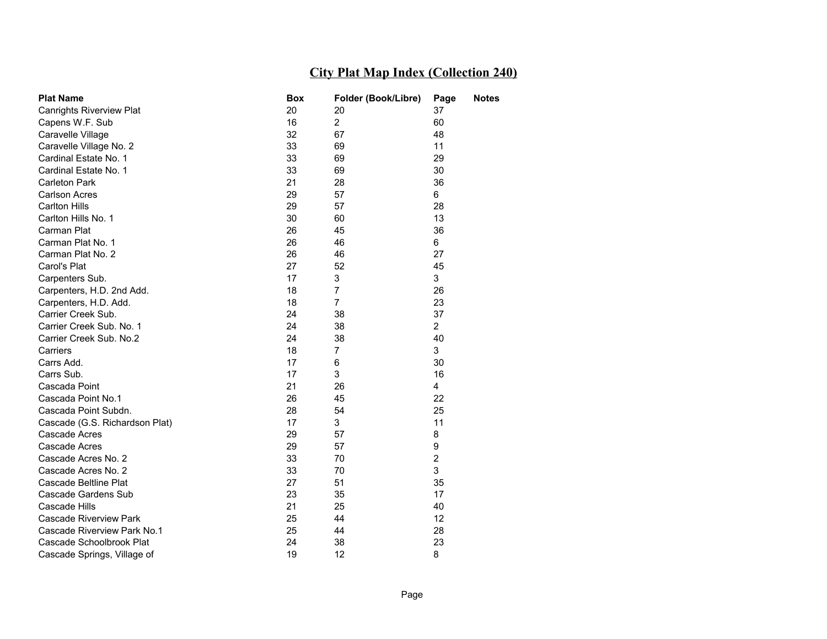| <b>Plat Name</b>                | Box | Folder (Book/Libre) | <b>Notes</b><br>Page    |  |
|---------------------------------|-----|---------------------|-------------------------|--|
| <b>Canrights Riverview Plat</b> | 20  | 20                  | 37                      |  |
| Capens W.F. Sub                 | 16  | $\overline{2}$      | 60                      |  |
| Caravelle Village               | 32  | 67                  | 48                      |  |
| Caravelle Village No. 2         | 33  | 69                  | 11                      |  |
| Cardinal Estate No. 1           | 33  | 69                  | 29                      |  |
| Cardinal Estate No. 1           | 33  | 69                  | 30                      |  |
| Carleton Park                   | 21  | 28                  | 36                      |  |
| <b>Carlson Acres</b>            | 29  | 57                  | 6                       |  |
| <b>Carlton Hills</b>            | 29  | 57                  | 28                      |  |
| Carlton Hills No. 1             | 30  | 60                  | 13                      |  |
| Carman Plat                     | 26  | 45                  | 36                      |  |
| Carman Plat No. 1               | 26  | 46                  | 6                       |  |
| Carman Plat No. 2               | 26  | 46                  | 27                      |  |
| Carol's Plat                    | 27  | 52                  | 45                      |  |
| Carpenters Sub.                 | 17  | 3                   | 3                       |  |
| Carpenters, H.D. 2nd Add.       | 18  | 7                   | 26                      |  |
| Carpenters, H.D. Add.           | 18  | 7                   | 23                      |  |
| Carrier Creek Sub.              | 24  | 38                  | 37                      |  |
| Carrier Creek Sub. No. 1        | 24  | 38                  | $\overline{2}$          |  |
| Carrier Creek Sub. No.2         | 24  | 38                  | 40                      |  |
| Carriers                        | 18  | 7                   | 3                       |  |
| Carrs Add.                      | 17  | 6                   | 30                      |  |
| Carrs Sub.                      | 17  | 3                   | 16                      |  |
| Cascada Point                   | 21  | 26                  | $\overline{4}$          |  |
| Cascada Point No.1              | 26  | 45                  | 22                      |  |
| Cascada Point Subdn.            | 28  | 54                  | 25                      |  |
| Cascade (G.S. Richardson Plat)  | 17  | 3                   | 11                      |  |
| Cascade Acres                   | 29  | 57                  | 8                       |  |
| Cascade Acres                   | 29  | 57                  | 9                       |  |
| Cascade Acres No. 2             | 33  | 70                  | $\overline{\mathbf{c}}$ |  |
| Cascade Acres No. 2             | 33  | 70                  | 3                       |  |
| Cascade Beltline Plat           | 27  | 51                  | 35                      |  |
| Cascade Gardens Sub             | 23  | 35                  | 17                      |  |
| Cascade Hills                   | 21  | 25                  | 40                      |  |
| <b>Cascade Riverview Park</b>   | 25  | 44                  | 12                      |  |
| Cascade Riverview Park No.1     | 25  | 44                  | 28                      |  |
| Cascade Schoolbrook Plat        | 24  | 38                  | 23                      |  |
| Cascade Springs, Village of     | 19  | 12                  | 8                       |  |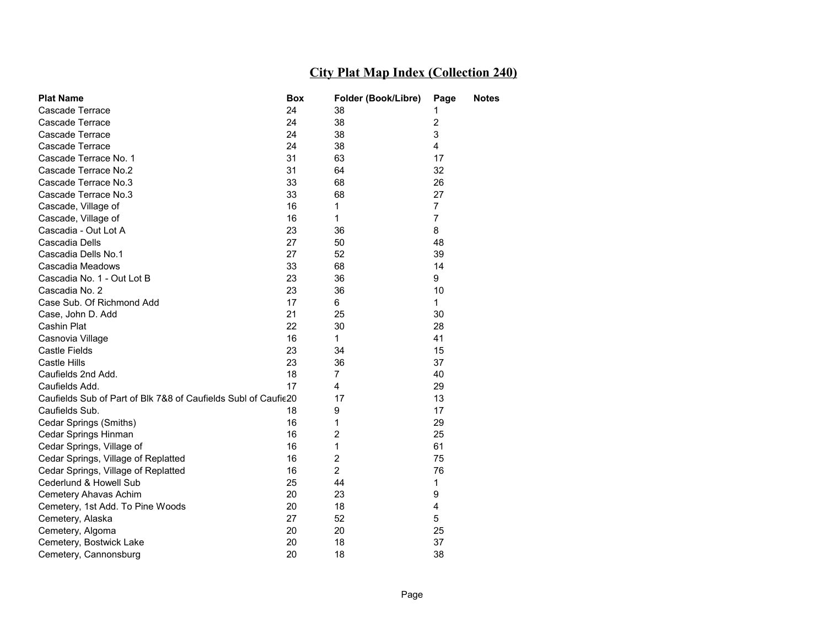| <b>Plat Name</b>                                               | <b>Box</b> | Folder (Book/Libre) | Page                    | Notes |
|----------------------------------------------------------------|------------|---------------------|-------------------------|-------|
| Cascade Terrace                                                | 24         | 38                  | 1                       |       |
| Cascade Terrace                                                | 24         | 38                  | $\overline{\mathbf{c}}$ |       |
| Cascade Terrace                                                | 24         | 38                  | 3                       |       |
| Cascade Terrace                                                | 24         | 38                  | 4                       |       |
| Cascade Terrace No. 1                                          | 31         | 63                  | 17                      |       |
| Cascade Terrace No.2                                           | 31         | 64                  | 32                      |       |
| Cascade Terrace No.3                                           | 33         | 68                  | 26                      |       |
| Cascade Terrace No.3                                           | 33         | 68                  | 27                      |       |
| Cascade, Village of                                            | 16         | 1                   | 7                       |       |
| Cascade, Village of                                            | 16         | 1                   | $\overline{7}$          |       |
| Cascadia - Out Lot A                                           | 23         | 36                  | 8                       |       |
| Cascadia Dells                                                 | 27         | 50                  | 48                      |       |
| Cascadia Dells No.1                                            | 27         | 52                  | 39                      |       |
| Cascadia Meadows                                               | 33         | 68                  | 14                      |       |
| Cascadia No. 1 - Out Lot B                                     | 23         | 36                  | 9                       |       |
| Cascadia No. 2                                                 | 23         | 36                  | 10                      |       |
| Case Sub. Of Richmond Add                                      | 17         | 6                   | 1                       |       |
| Case, John D. Add                                              | 21         | 25                  | 30                      |       |
| Cashin Plat                                                    | 22         | 30                  | 28                      |       |
| Casnovia Village                                               | 16         | 1                   | 41                      |       |
| Castle Fields                                                  | 23         | 34                  | 15                      |       |
| Castle Hills                                                   | 23         | 36                  | 37                      |       |
| Caufields 2nd Add.                                             | 18         | 7                   | 40                      |       |
| Caufields Add.                                                 | 17         | 4                   | 29                      |       |
| Caufields Sub of Part of Blk 7&8 of Caufields Subl of Caufie20 |            | 17                  | 13                      |       |
| Caufields Sub.                                                 | 18         | 9                   | 17                      |       |
| Cedar Springs (Smiths)                                         | 16         | 1                   | 29                      |       |
| Cedar Springs Hinman                                           | 16         | 2                   | 25                      |       |
| Cedar Springs, Village of                                      | 16         | 1                   | 61                      |       |
| Cedar Springs, Village of Replatted                            | 16         | $\overline{c}$      | 75                      |       |
| Cedar Springs, Village of Replatted                            | 16         | $\overline{2}$      | 76                      |       |
| Cederlund & Howell Sub                                         | 25         | 44                  | 1                       |       |
| Cemetery Ahavas Achim                                          | 20         | 23                  | 9                       |       |
| Cemetery, 1st Add. To Pine Woods                               | 20         | 18                  | 4                       |       |
| Cemetery, Alaska                                               | 27         | 52                  | 5                       |       |
| Cemetery, Algoma                                               | 20         | 20                  | 25                      |       |
| Cemetery, Bostwick Lake                                        | 20         | 18                  | 37                      |       |
| Cemetery, Cannonsburg                                          | 20         | 18                  | 38                      |       |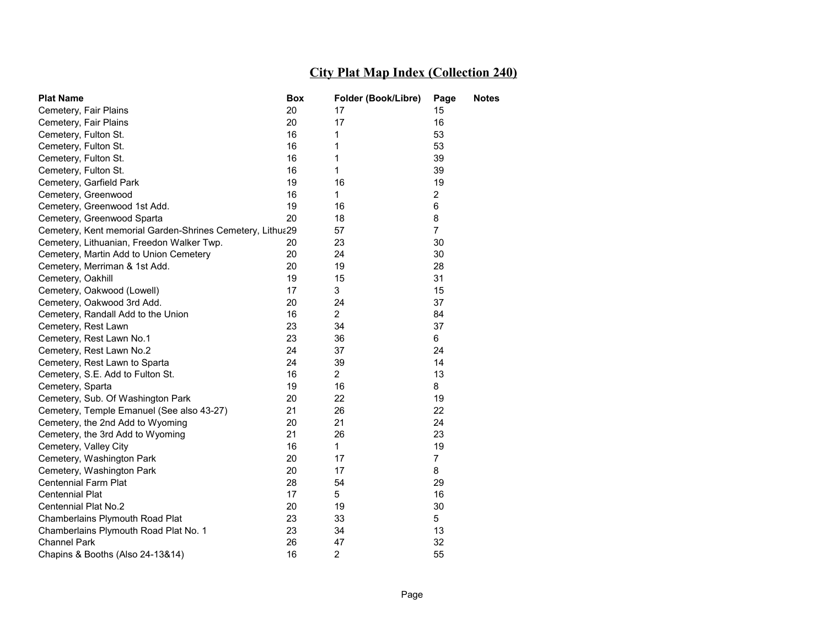| <b>Plat Name</b>                                          | <b>Box</b> | Folder (Book/Libre) | Page           | <b>Notes</b> |
|-----------------------------------------------------------|------------|---------------------|----------------|--------------|
| Cemetery, Fair Plains                                     | 20         | 17                  | 15             |              |
| Cemetery, Fair Plains                                     | 20         | 17                  | 16             |              |
| Cemetery, Fulton St.                                      | 16         | 1                   | 53             |              |
| Cemetery, Fulton St.                                      | 16         | 1                   | 53             |              |
| Cemetery, Fulton St.                                      | 16         | 1                   | 39             |              |
| Cemetery, Fulton St.                                      | 16         | 1                   | 39             |              |
| Cemetery, Garfield Park                                   | 19         | 16                  | 19             |              |
| Cemetery, Greenwood                                       | 16         | $\mathbf{1}$        | $\overline{2}$ |              |
| Cemetery, Greenwood 1st Add.                              | 19         | 16                  | 6              |              |
| Cemetery, Greenwood Sparta                                | 20         | 18                  | 8              |              |
| Cemetery, Kent memorial Garden-Shrines Cemetery, Lithua29 |            | 57                  | $\overline{7}$ |              |
| Cemetery, Lithuanian, Freedon Walker Twp.                 | 20         | 23                  | 30             |              |
| Cemetery, Martin Add to Union Cemetery                    | 20         | 24                  | 30             |              |
| Cemetery, Merriman & 1st Add.                             | 20         | 19                  | 28             |              |
| Cemetery, Oakhill                                         | 19         | 15                  | 31             |              |
| Cemetery, Oakwood (Lowell)                                | 17         | 3                   | 15             |              |
| Cemetery, Oakwood 3rd Add.                                | 20         | 24                  | 37             |              |
| Cemetery, Randall Add to the Union                        | 16         | $\overline{2}$      | 84             |              |
| Cemetery, Rest Lawn                                       | 23         | 34                  | 37             |              |
| Cemetery, Rest Lawn No.1                                  | 23         | 36                  | 6              |              |
| Cemetery, Rest Lawn No.2                                  | 24         | 37                  | 24             |              |
| Cemetery, Rest Lawn to Sparta                             | 24         | 39                  | 14             |              |
| Cemetery, S.E. Add to Fulton St.                          | 16         | $\overline{2}$      | 13             |              |
| Cemetery, Sparta                                          | 19         | 16                  | 8              |              |
| Cemetery, Sub. Of Washington Park                         | 20         | 22                  | 19             |              |
| Cemetery, Temple Emanuel (See also 43-27)                 | 21         | 26                  | 22             |              |
| Cemetery, the 2nd Add to Wyoming                          | 20         | 21                  | 24             |              |
| Cemetery, the 3rd Add to Wyoming                          | 21         | 26                  | 23             |              |
| Cemetery, Valley City                                     | 16         | $\mathbf{1}$        | 19             |              |
| Cemetery, Washington Park                                 | 20         | 17                  | $\overline{7}$ |              |
| Cemetery, Washington Park                                 | 20         | 17                  | 8              |              |
| <b>Centennial Farm Plat</b>                               | 28         | 54                  | 29             |              |
| Centennial Plat                                           | 17         | 5                   | 16             |              |
| Centennial Plat No.2                                      | 20         | 19                  | 30             |              |
| Chamberlains Plymouth Road Plat                           | 23         | 33                  | 5              |              |
| Chamberlains Plymouth Road Plat No. 1                     | 23         | 34                  | 13             |              |
| <b>Channel Park</b>                                       | 26         | 47                  | 32             |              |
| Chapins & Booths (Also 24-13&14)                          | 16         | $\overline{2}$      | 55             |              |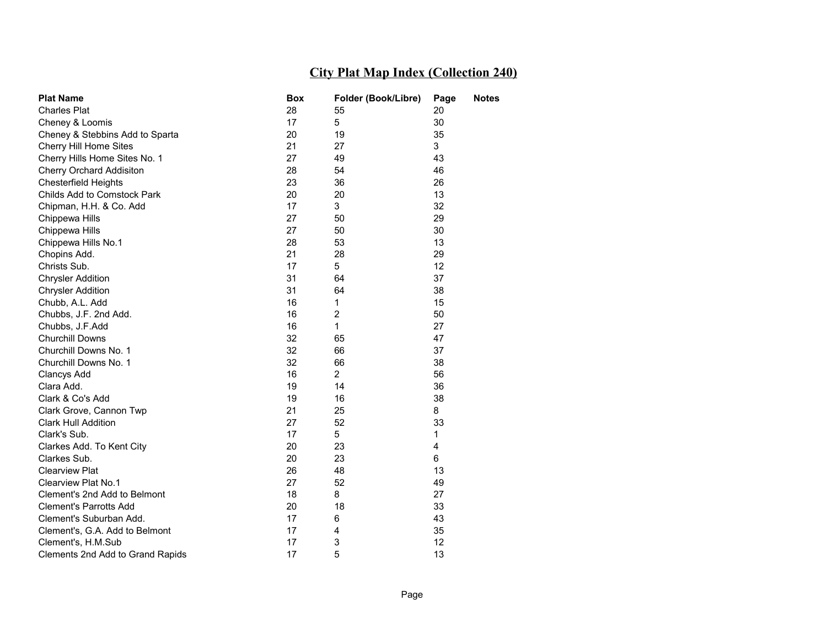| <b>Plat Name</b>                 | Box | Folder (Book/Libre)     | Page | Notes |
|----------------------------------|-----|-------------------------|------|-------|
| <b>Charles Plat</b>              | 28  | 55                      | 20   |       |
| Cheney & Loomis                  | 17  | 5                       | 30   |       |
| Cheney & Stebbins Add to Sparta  | 20  | 19                      | 35   |       |
| Cherry Hill Home Sites           | 21  | 27                      | 3    |       |
| Cherry Hills Home Sites No. 1    | 27  | 49                      | 43   |       |
| Cherry Orchard Addisiton         | 28  | 54                      | 46   |       |
| <b>Chesterfield Heights</b>      | 23  | 36                      | 26   |       |
| Childs Add to Comstock Park      | 20  | 20                      | 13   |       |
| Chipman, H.H. & Co. Add          | 17  | 3                       | 32   |       |
| Chippewa Hills                   | 27  | 50                      | 29   |       |
| Chippewa Hills                   | 27  | 50                      | 30   |       |
| Chippewa Hills No.1              | 28  | 53                      | 13   |       |
| Chopins Add.                     | 21  | 28                      | 29   |       |
| Christs Sub.                     | 17  | 5                       | 12   |       |
| <b>Chrysler Addition</b>         | 31  | 64                      | 37   |       |
| <b>Chrysler Addition</b>         | 31  | 64                      | 38   |       |
| Chubb, A.L. Add                  | 16  | 1                       | 15   |       |
| Chubbs, J.F. 2nd Add.            | 16  | $\overline{\mathbf{c}}$ | 50   |       |
| Chubbs, J.F.Add                  | 16  | 1                       | 27   |       |
| Churchill Downs                  | 32  | 65                      | 47   |       |
| Churchill Downs No. 1            | 32  | 66                      | 37   |       |
| Churchill Downs No. 1            | 32  | 66                      | 38   |       |
| <b>Clancys Add</b>               | 16  | $\overline{2}$          | 56   |       |
| Clara Add.                       | 19  | 14                      | 36   |       |
| Clark & Co's Add                 | 19  | 16                      | 38   |       |
| Clark Grove, Cannon Twp          | 21  | 25                      | 8    |       |
| <b>Clark Hull Addition</b>       | 27  | 52                      | 33   |       |
| Clark's Sub.                     | 17  | 5                       | 1    |       |
| Clarkes Add. To Kent City        | 20  | 23                      | 4    |       |
| Clarkes Sub.                     | 20  | 23                      | 6    |       |
| <b>Clearview Plat</b>            | 26  | 48                      | 13   |       |
| Clearview Plat No.1              | 27  | 52                      | 49   |       |
| Clement's 2nd Add to Belmont     | 18  | 8                       | 27   |       |
| <b>Clement's Parrotts Add</b>    | 20  | 18                      | 33   |       |
| Clement's Suburban Add.          | 17  | 6                       | 43   |       |
| Clement's, G.A. Add to Belmont   | 17  | 4                       | 35   |       |
| Clement's, H.M.Sub               | 17  | 3                       | 12   |       |
| Clements 2nd Add to Grand Rapids | 17  | 5                       | 13   |       |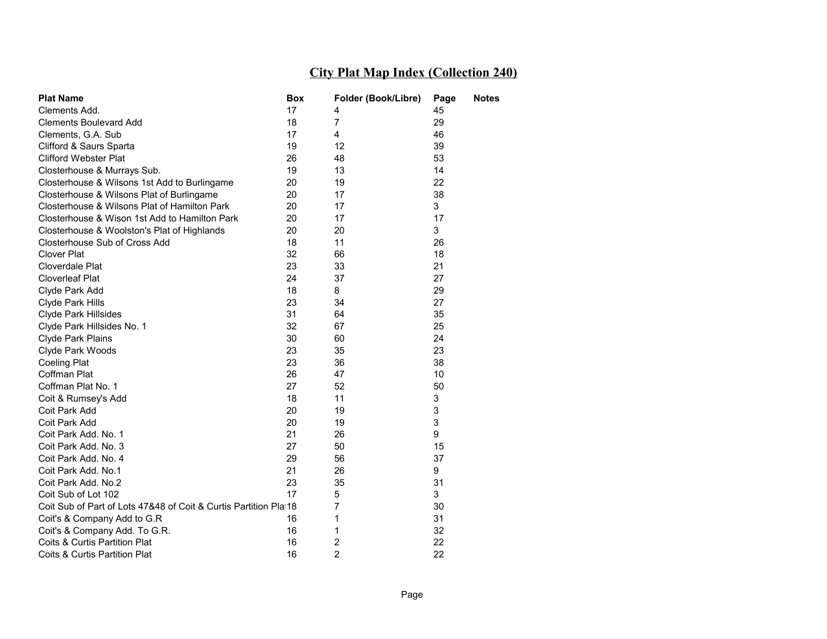| <b>Plat Name</b>                                                 | Box | Folder (Book/Libre) | Page | Notes |
|------------------------------------------------------------------|-----|---------------------|------|-------|
| Clements Add.                                                    | 17  | 4                   | 45   |       |
| <b>Clements Boulevard Add</b>                                    | 18  | $\overline{7}$      | 29   |       |
| Clements, G.A. Sub                                               | 17  | $\overline{4}$      | 46   |       |
| Clifford & Saurs Sparta                                          | 19  | 12                  | 39   |       |
| <b>Clifford Webster Plat</b>                                     | 26  | 48                  | 53   |       |
| Closterhouse & Murrays Sub.                                      | 19  | 13                  | 14   |       |
| Closterhouse & Wilsons 1st Add to Burlingame                     | 20  | 19                  | 22   |       |
| Closterhouse & Wilsons Plat of Burlingame                        | 20  | 17                  | 38   |       |
| Closterhouse & Wilsons Plat of Hamilton Park                     | 20  | 17                  | 3    |       |
| Closterhouse & Wison 1st Add to Hamilton Park                    | 20  | 17                  | 17   |       |
| Closterhouse & Woolston's Plat of Highlands                      | 20  | 20                  | 3    |       |
| Closterhouse Sub of Cross Add                                    | 18  | 11                  | 26   |       |
| <b>Clover Plat</b>                                               | 32  | 66                  | 18   |       |
| Cloverdale Plat                                                  | 23  | 33                  | 21   |       |
| <b>Cloverleaf Plat</b>                                           | 24  | 37                  | 27   |       |
| Clyde Park Add                                                   | 18  | 8                   | 29   |       |
| Clyde Park Hills                                                 | 23  | 34                  | 27   |       |
| Clyde Park Hillsides                                             | 31  | 64                  | 35   |       |
| Clyde Park Hillsides No. 1                                       | 32  | 67                  | 25   |       |
| Clyde Park Plains                                                | 30  | 60                  | 24   |       |
| Clyde Park Woods                                                 | 23  | 35                  | 23   |       |
| Coeling Plat                                                     | 23  | 36                  | 38   |       |
| Coffman Plat                                                     | 26  | 47                  | 10   |       |
| Coffman Plat No. 1                                               | 27  | 52                  | 50   |       |
| Coit & Rumsey's Add                                              | 18  | 11                  | 3    |       |
| Coit Park Add                                                    | 20  | 19                  | 3    |       |
| Coit Park Add                                                    | 20  | 19                  | 3    |       |
| Coit Park Add. No. 1                                             | 21  | 26                  | 9    |       |
| Coit Park Add. No. 3                                             | 27  | 50                  | 15   |       |
| Coit Park Add. No. 4                                             | 29  | 56                  | 37   |       |
| Coit Park Add. No.1                                              | 21  | 26                  | 9    |       |
| Coit Park Add. No.2                                              | 23  | 35                  | 31   |       |
| Coit Sub of Lot 102                                              | 17  | 5                   | 3    |       |
| Coit Sub of Part of Lots 47&48 of Coit & Curtis Partition Plat18 |     | 7                   | 30   |       |
| Coit's & Company Add to G.R                                      | 16  | 1                   | 31   |       |
| Coit's & Company Add. To G.R.                                    | 16  | 1                   | 32   |       |
| Coits & Curtis Partition Plat                                    | 16  | $\overline{2}$      | 22   |       |
| <b>Coits &amp; Curtis Partition Plat</b>                         | 16  | $\overline{2}$      | 22   |       |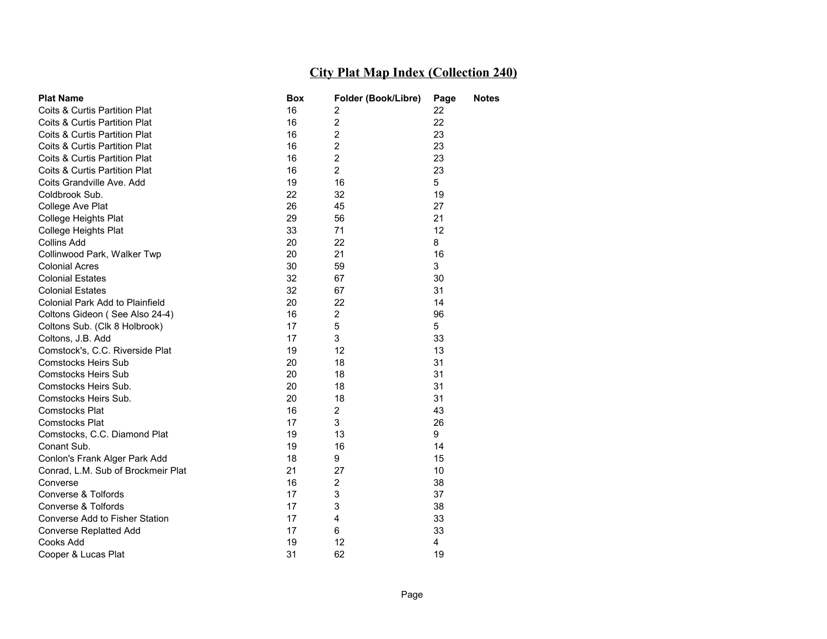| <b>Plat Name</b>                   | Box | Folder (Book/Libre) | Page | Notes |
|------------------------------------|-----|---------------------|------|-------|
| Coits & Curtis Partition Plat      | 16  | 2                   | 22   |       |
| Coits & Curtis Partition Plat      | 16  | $\overline{2}$      | 22   |       |
| Coits & Curtis Partition Plat      | 16  | $\overline{2}$      | 23   |       |
| Coits & Curtis Partition Plat      | 16  | 2                   | 23   |       |
| Coits & Curtis Partition Plat      | 16  | $\overline{2}$      | 23   |       |
| Coits & Curtis Partition Plat      | 16  | $\overline{2}$      | 23   |       |
| Coits Grandville Ave. Add          | 19  | 16                  | 5    |       |
| Coldbrook Sub.                     | 22  | 32                  | 19   |       |
| College Ave Plat                   | 26  | 45                  | 27   |       |
| College Heights Plat               | 29  | 56                  | 21   |       |
| College Heights Plat               | 33  | 71                  | 12   |       |
| <b>Collins Add</b>                 | 20  | 22                  | 8    |       |
| Collinwood Park, Walker Twp        | 20  | 21                  | 16   |       |
| <b>Colonial Acres</b>              | 30  | 59                  | 3    |       |
| <b>Colonial Estates</b>            | 32  | 67                  | 30   |       |
| <b>Colonial Estates</b>            | 32  | 67                  | 31   |       |
| Colonial Park Add to Plainfield    | 20  | 22                  | 14   |       |
| Coltons Gideon (See Also 24-4)     | 16  | $\overline{2}$      | 96   |       |
| Coltons Sub. (Clk 8 Holbrook)      | 17  | 5                   | 5    |       |
| Coltons, J.B. Add                  | 17  | 3                   | 33   |       |
| Comstock's, C.C. Riverside Plat    | 19  | 12                  | 13   |       |
| <b>Comstocks Heirs Sub</b>         | 20  | 18                  | 31   |       |
| <b>Comstocks Heirs Sub</b>         | 20  | 18                  | 31   |       |
| Comstocks Heirs Sub.               | 20  | 18                  | 31   |       |
| Comstocks Heirs Sub.               | 20  | 18                  | 31   |       |
| Comstocks Plat                     | 16  | $\overline{2}$      | 43   |       |
| <b>Comstocks Plat</b>              | 17  | 3                   | 26   |       |
| Comstocks, C.C. Diamond Plat       | 19  | 13                  | 9    |       |
| Conant Sub.                        | 19  | 16                  | 14   |       |
| Conlon's Frank Alger Park Add      | 18  | 9                   | 15   |       |
| Conrad, L.M. Sub of Brockmeir Plat | 21  | 27                  | 10   |       |
| Converse                           | 16  | $\overline{2}$      | 38   |       |
| Converse & Tolfords                | 17  | 3                   | 37   |       |
| Converse & Tolfords                | 17  | 3                   | 38   |       |
| Converse Add to Fisher Station     | 17  | 4                   | 33   |       |
| <b>Converse Replatted Add</b>      | 17  | 6                   | 33   |       |
| Cooks Add                          | 19  | 12                  | 4    |       |
| Cooper & Lucas Plat                | 31  | 62                  | 19   |       |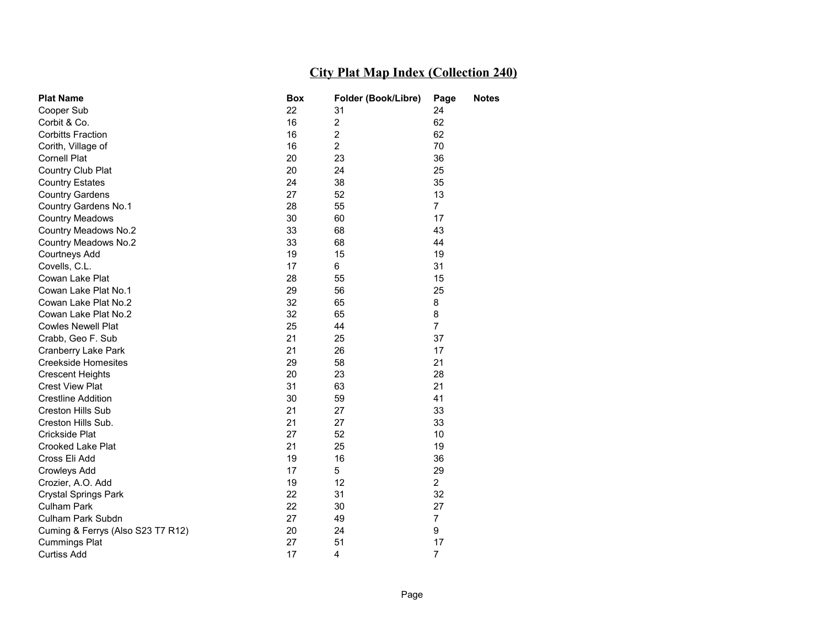| <b>Plat Name</b>                  | <b>Box</b> | Folder (Book/Libre) | Page           | <b>Notes</b> |
|-----------------------------------|------------|---------------------|----------------|--------------|
| Cooper Sub                        | 22         | 31                  | 24             |              |
| Corbit & Co.                      | 16         | $\overline{2}$      | 62             |              |
| <b>Corbitts Fraction</b>          | 16         | $\overline{2}$      | 62             |              |
| Corith, Village of                | 16         | $\overline{2}$      | 70             |              |
| <b>Cornell Plat</b>               | 20         | 23                  | 36             |              |
| Country Club Plat                 | 20         | 24                  | 25             |              |
| <b>Country Estates</b>            | 24         | 38                  | 35             |              |
| <b>Country Gardens</b>            | 27         | 52                  | 13             |              |
| <b>Country Gardens No.1</b>       | 28         | 55                  | $\overline{7}$ |              |
| <b>Country Meadows</b>            | 30         | 60                  | 17             |              |
| Country Meadows No.2              | 33         | 68                  | 43             |              |
| <b>Country Meadows No.2</b>       | 33         | 68                  | 44             |              |
| Courtneys Add                     | 19         | 15                  | 19             |              |
| Covells, C.L.                     | 17         | 6                   | 31             |              |
| Cowan Lake Plat                   | 28         | 55                  | 15             |              |
| Cowan Lake Plat No.1              | 29         | 56                  | 25             |              |
| Cowan Lake Plat No.2              | 32         | 65                  | 8              |              |
| Cowan Lake Plat No.2              | 32         | 65                  | 8              |              |
| <b>Cowles Newell Plat</b>         | 25         | 44                  | $\overline{7}$ |              |
| Crabb, Geo F. Sub                 | 21         | 25                  | 37             |              |
| <b>Cranberry Lake Park</b>        | 21         | 26                  | 17             |              |
| <b>Creekside Homesites</b>        | 29         | 58                  | 21             |              |
| <b>Crescent Heights</b>           | 20         | 23                  | 28             |              |
| <b>Crest View Plat</b>            | 31         | 63                  | 21             |              |
| <b>Crestline Addition</b>         | 30         | 59                  | 41             |              |
| <b>Creston Hills Sub</b>          | 21         | 27                  | 33             |              |
| Creston Hills Sub.                | 21         | 27                  | 33             |              |
| Crickside Plat                    | 27         | 52                  | 10             |              |
| <b>Crooked Lake Plat</b>          | 21         | 25                  | 19             |              |
| Cross Eli Add                     | 19         | 16                  | 36             |              |
| Crowleys Add                      | 17         | 5                   | 29             |              |
| Crozier, A.O. Add                 | 19         | 12                  | $\overline{2}$ |              |
| <b>Crystal Springs Park</b>       | 22         | 31                  | 32             |              |
| Culham Park                       | 22         | 30                  | 27             |              |
| Culham Park Subdn                 | 27         | 49                  | $\overline{7}$ |              |
| Cuming & Ferrys (Also S23 T7 R12) | 20         | 24                  | 9              |              |
| <b>Cummings Plat</b>              | 27         | 51                  | 17             |              |
| <b>Curtiss Add</b>                | 17         | 4                   | 7              |              |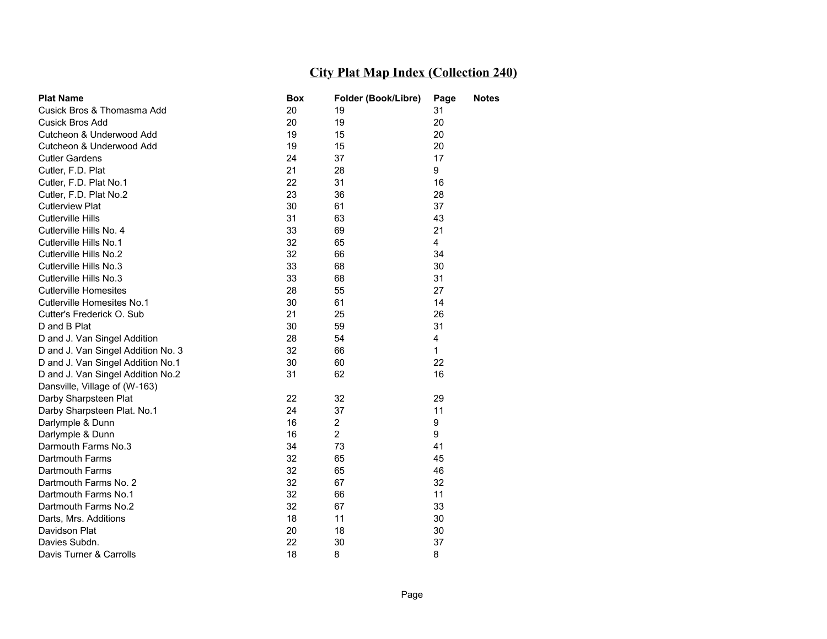| <b>Plat Name</b>                   | Box | Folder (Book/Libre) | Page | Notes |
|------------------------------------|-----|---------------------|------|-------|
| Cusick Bros & Thomasma Add         | 20  | 19                  | 31   |       |
| <b>Cusick Bros Add</b>             | 20  | 19                  | 20   |       |
| Cutcheon & Underwood Add           | 19  | 15                  | 20   |       |
| Cutcheon & Underwood Add           | 19  | 15                  | 20   |       |
| <b>Cutler Gardens</b>              | 24  | 37                  | 17   |       |
| Cutler, F.D. Plat                  | 21  | 28                  | 9    |       |
| Cutler, F.D. Plat No.1             | 22  | 31                  | 16   |       |
| Cutler, F.D. Plat No.2             | 23  | 36                  | 28   |       |
| <b>Cutlerview Plat</b>             | 30  | 61                  | 37   |       |
| <b>Cutlerville Hills</b>           | 31  | 63                  | 43   |       |
| Cutlerville Hills No. 4            | 33  | 69                  | 21   |       |
| Cutlerville Hills No.1             | 32  | 65                  | 4    |       |
| Cutlerville Hills No.2             | 32  | 66                  | 34   |       |
| Cutlerville Hills No.3             | 33  | 68                  | 30   |       |
| Cutlerville Hills No.3             | 33  | 68                  | 31   |       |
| <b>Cutlerville Homesites</b>       | 28  | 55                  | 27   |       |
| Cutlerville Homesites No.1         | 30  | 61                  | 14   |       |
| Cutter's Frederick O. Sub          | 21  | 25                  | 26   |       |
| D and B Plat                       | 30  | 59                  | 31   |       |
| D and J. Van Singel Addition       | 28  | 54                  | 4    |       |
| D and J. Van Singel Addition No. 3 | 32  | 66                  | 1    |       |
| D and J. Van Singel Addition No.1  | 30  | 60                  | 22   |       |
| D and J. Van Singel Addition No.2  | 31  | 62                  | 16   |       |
| Dansville, Village of (W-163)      |     |                     |      |       |
| Darby Sharpsteen Plat              | 22  | 32                  | 29   |       |
| Darby Sharpsteen Plat. No.1        | 24  | 37                  | 11   |       |
| Darlymple & Dunn                   | 16  | $\overline{c}$      | 9    |       |
| Darlymple & Dunn                   | 16  | $\overline{2}$      | 9    |       |
| Darmouth Farms No.3                | 34  | 73                  | 41   |       |
| Dartmouth Farms                    | 32  | 65                  | 45   |       |
| Dartmouth Farms                    | 32  | 65                  | 46   |       |
| Dartmouth Farms No. 2              | 32  | 67                  | 32   |       |
| Dartmouth Farms No.1               | 32  | 66                  | 11   |       |
| Dartmouth Farms No.2               | 32  | 67                  | 33   |       |
| Darts, Mrs. Additions              | 18  | 11                  | 30   |       |
| Davidson Plat                      | 20  | 18                  | 30   |       |
| Davies Subdn.                      | 22  | 30                  | 37   |       |
| Davis Turner & Carrolls            | 18  | 8                   | 8    |       |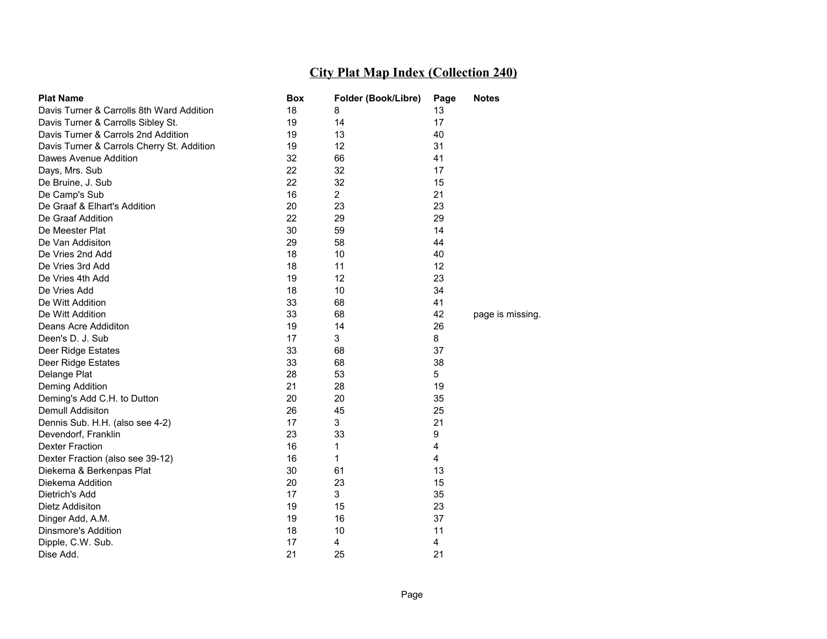| <b>Plat Name</b>                           | Box | Folder (Book/Libre) | Page                    | <b>Notes</b>     |
|--------------------------------------------|-----|---------------------|-------------------------|------------------|
| Davis Turner & Carrolls 8th Ward Addition  | 18  | 8                   | 13                      |                  |
| Davis Turner & Carrolls Sibley St.         | 19  | 14                  | 17                      |                  |
| Davis Turner & Carrols 2nd Addition        | 19  | 13                  | 40                      |                  |
| Davis Turner & Carrols Cherry St. Addition | 19  | 12                  | 31                      |                  |
| Dawes Avenue Addition                      | 32  | 66                  | 41                      |                  |
| Days, Mrs. Sub                             | 22  | 32                  | 17                      |                  |
| De Bruine, J. Sub                          | 22  | 32                  | 15                      |                  |
| De Camp's Sub                              | 16  | $\overline{2}$      | 21                      |                  |
| De Graaf & Elhart's Addition               | 20  | 23                  | 23                      |                  |
| De Graaf Addition                          | 22  | 29                  | 29                      |                  |
| De Meester Plat                            | 30  | 59                  | 14                      |                  |
| De Van Addisiton                           | 29  | 58                  | 44                      |                  |
| De Vries 2nd Add                           | 18  | 10                  | 40                      |                  |
| De Vries 3rd Add                           | 18  | 11                  | 12                      |                  |
| De Vries 4th Add                           | 19  | 12                  | 23                      |                  |
| De Vries Add                               | 18  | 10                  | 34                      |                  |
| De Witt Addition                           | 33  | 68                  | 41                      |                  |
| De Witt Addition                           | 33  | 68                  | 42                      | page is missing. |
| Deans Acre Addiditon                       | 19  | 14                  | 26                      |                  |
| Deen's D. J. Sub                           | 17  | 3                   | 8                       |                  |
| Deer Ridge Estates                         | 33  | 68                  | 37                      |                  |
| Deer Ridge Estates                         | 33  | 68                  | 38                      |                  |
| Delange Plat                               | 28  | 53                  | 5                       |                  |
| Deming Addition                            | 21  | 28                  | 19                      |                  |
| Deming's Add C.H. to Dutton                | 20  | 20                  | 35                      |                  |
| Demull Addisiton                           | 26  | 45                  | 25                      |                  |
| Dennis Sub. H.H. (also see 4-2)            | 17  | 3                   | 21                      |                  |
| Devendorf, Franklin                        | 23  | 33                  | 9                       |                  |
| <b>Dexter Fraction</b>                     | 16  | 1                   | $\overline{\mathbf{4}}$ |                  |
| Dexter Fraction (also see 39-12)           | 16  | 1                   | 4                       |                  |
| Diekema & Berkenpas Plat                   | 30  | 61                  | 13                      |                  |
| Diekema Addition                           | 20  | 23                  | 15                      |                  |
| Dietrich's Add                             | 17  | 3                   | 35                      |                  |
| Dietz Addisiton                            | 19  | 15                  | 23                      |                  |
| Dinger Add, A.M.                           | 19  | 16                  | 37                      |                  |
| Dinsmore's Addition                        | 18  | 10                  | 11                      |                  |
| Dipple, C.W. Sub.                          | 17  | 4                   | 4                       |                  |
| Dise Add.                                  | 21  | 25                  | 21                      |                  |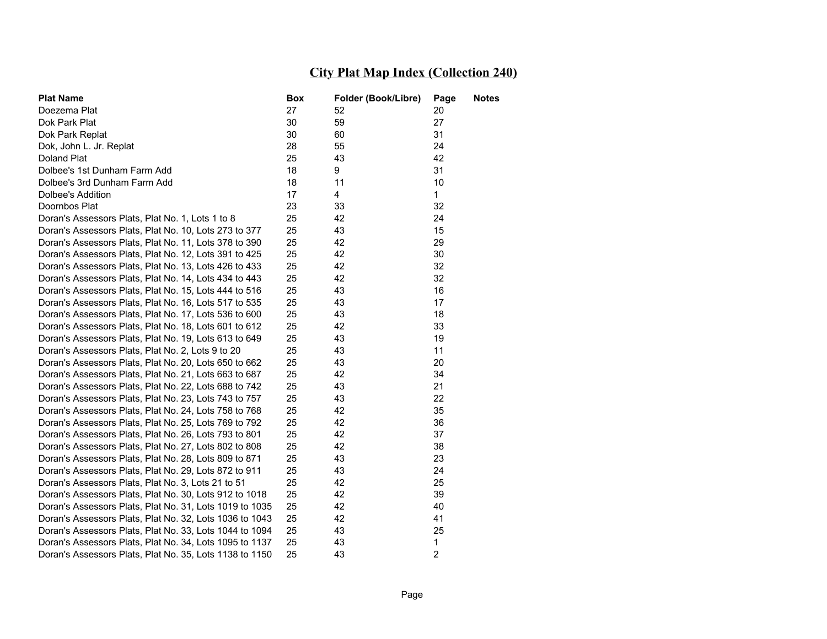| <b>Plat Name</b>                                        | <b>Box</b> | Folder (Book/Libre) | Page           | <b>Notes</b> |
|---------------------------------------------------------|------------|---------------------|----------------|--------------|
| Doezema Plat                                            | 27         | 52                  | 20             |              |
| Dok Park Plat                                           | 30         | 59                  | 27             |              |
| Dok Park Replat                                         | 30         | 60                  | 31             |              |
| Dok, John L. Jr. Replat                                 | 28         | 55                  | 24             |              |
| Doland Plat                                             | 25         | 43                  | 42             |              |
| Dolbee's 1st Dunham Farm Add                            | 18         | 9                   | 31             |              |
| Dolbee's 3rd Dunham Farm Add                            | 18         | 11                  | 10             |              |
| Dolbee's Addition                                       | 17         | 4                   | $\mathbf{1}$   |              |
| Doornbos Plat                                           | 23         | 33                  | 32             |              |
| Doran's Assessors Plats, Plat No. 1, Lots 1 to 8        | 25         | 42                  | 24             |              |
| Doran's Assessors Plats, Plat No. 10, Lots 273 to 377   | 25         | 43                  | 15             |              |
| Doran's Assessors Plats, Plat No. 11, Lots 378 to 390   | 25         | 42                  | 29             |              |
| Doran's Assessors Plats, Plat No. 12, Lots 391 to 425   | 25         | 42                  | 30             |              |
| Doran's Assessors Plats, Plat No. 13, Lots 426 to 433   | 25         | 42                  | 32             |              |
| Doran's Assessors Plats, Plat No. 14, Lots 434 to 443   | 25         | 42                  | 32             |              |
| Doran's Assessors Plats, Plat No. 15, Lots 444 to 516   | 25         | 43                  | 16             |              |
| Doran's Assessors Plats, Plat No. 16, Lots 517 to 535   | 25         | 43                  | 17             |              |
| Doran's Assessors Plats, Plat No. 17, Lots 536 to 600   | 25         | 43                  | 18             |              |
| Doran's Assessors Plats, Plat No. 18, Lots 601 to 612   | 25         | 42                  | 33             |              |
| Doran's Assessors Plats, Plat No. 19, Lots 613 to 649   | 25         | 43                  | 19             |              |
| Doran's Assessors Plats, Plat No. 2, Lots 9 to 20       | 25         | 43                  | 11             |              |
| Doran's Assessors Plats, Plat No. 20, Lots 650 to 662   | 25         | 43                  | 20             |              |
| Doran's Assessors Plats, Plat No. 21, Lots 663 to 687   | 25         | 42                  | 34             |              |
| Doran's Assessors Plats, Plat No. 22, Lots 688 to 742   | 25         | 43                  | 21             |              |
| Doran's Assessors Plats, Plat No. 23, Lots 743 to 757   | 25         | 43                  | 22             |              |
| Doran's Assessors Plats, Plat No. 24, Lots 758 to 768   | 25         | 42                  | 35             |              |
| Doran's Assessors Plats, Plat No. 25, Lots 769 to 792   | 25         | 42                  | 36             |              |
| Doran's Assessors Plats, Plat No. 26, Lots 793 to 801   | 25         | 42                  | 37             |              |
| Doran's Assessors Plats, Plat No. 27, Lots 802 to 808   | 25         | 42                  | 38             |              |
| Doran's Assessors Plats, Plat No. 28, Lots 809 to 871   | 25         | 43                  | 23             |              |
| Doran's Assessors Plats, Plat No. 29, Lots 872 to 911   | 25         | 43                  | 24             |              |
| Doran's Assessors Plats, Plat No. 3, Lots 21 to 51      | 25         | 42                  | 25             |              |
| Doran's Assessors Plats, Plat No. 30, Lots 912 to 1018  | 25         | 42                  | 39             |              |
| Doran's Assessors Plats, Plat No. 31, Lots 1019 to 1035 | 25         | 42                  | 40             |              |
| Doran's Assessors Plats, Plat No. 32, Lots 1036 to 1043 | 25         | 42                  | 41             |              |
| Doran's Assessors Plats, Plat No. 33, Lots 1044 to 1094 | 25         | 43                  | 25             |              |
| Doran's Assessors Plats, Plat No. 34, Lots 1095 to 1137 | 25         | 43                  | $\mathbf{1}$   |              |
| Doran's Assessors Plats, Plat No. 35, Lots 1138 to 1150 | 25         | 43                  | $\overline{2}$ |              |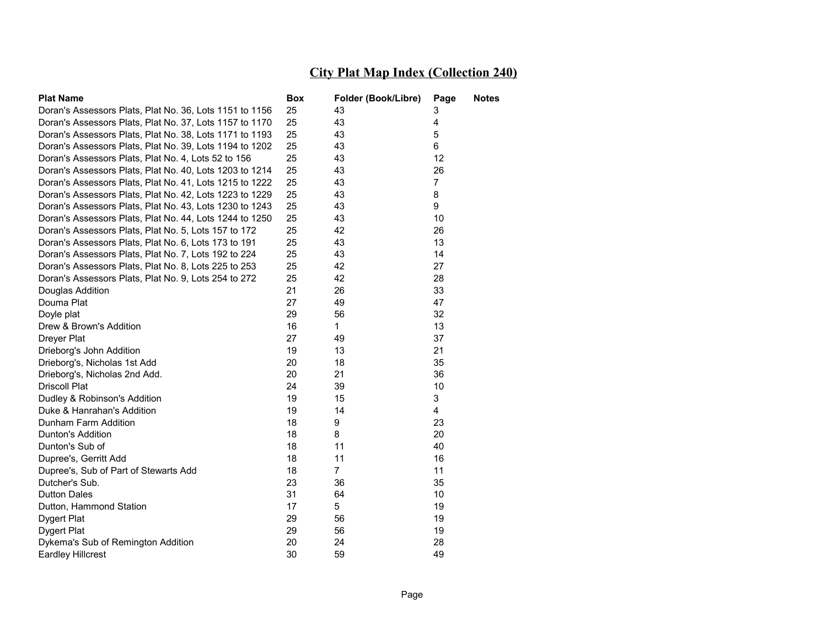| <b>Plat Name</b>                                        | Box | Folder (Book/Libre) | Page                    | Notes |
|---------------------------------------------------------|-----|---------------------|-------------------------|-------|
| Doran's Assessors Plats, Plat No. 36, Lots 1151 to 1156 | 25  | 43                  | 3                       |       |
| Doran's Assessors Plats, Plat No. 37, Lots 1157 to 1170 | 25  | 43                  | 4                       |       |
| Doran's Assessors Plats, Plat No. 38, Lots 1171 to 1193 | 25  | 43                  | 5                       |       |
| Doran's Assessors Plats, Plat No. 39, Lots 1194 to 1202 | 25  | 43                  | 6                       |       |
| Doran's Assessors Plats, Plat No. 4, Lots 52 to 156     | 25  | 43                  | 12                      |       |
| Doran's Assessors Plats, Plat No. 40, Lots 1203 to 1214 | 25  | 43                  | 26                      |       |
| Doran's Assessors Plats, Plat No. 41, Lots 1215 to 1222 | 25  | 43                  | $\overline{7}$          |       |
| Doran's Assessors Plats, Plat No. 42, Lots 1223 to 1229 | 25  | 43                  | 8                       |       |
| Doran's Assessors Plats, Plat No. 43, Lots 1230 to 1243 | 25  | 43                  | 9                       |       |
| Doran's Assessors Plats, Plat No. 44, Lots 1244 to 1250 | 25  | 43                  | 10                      |       |
| Doran's Assessors Plats, Plat No. 5, Lots 157 to 172    | 25  | 42                  | 26                      |       |
| Doran's Assessors Plats, Plat No. 6, Lots 173 to 191    | 25  | 43                  | 13                      |       |
| Doran's Assessors Plats, Plat No. 7, Lots 192 to 224    | 25  | 43                  | 14                      |       |
| Doran's Assessors Plats, Plat No. 8, Lots 225 to 253    | 25  | 42                  | 27                      |       |
| Doran's Assessors Plats, Plat No. 9, Lots 254 to 272    | 25  | 42                  | 28                      |       |
| Douglas Addition                                        | 21  | 26                  | 33                      |       |
| Douma Plat                                              | 27  | 49                  | 47                      |       |
| Doyle plat                                              | 29  | 56                  | 32                      |       |
| Drew & Brown's Addition                                 | 16  | $\mathbf{1}$        | 13                      |       |
| Dreyer Plat                                             | 27  | 49                  | 37                      |       |
| Drieborg's John Addition                                | 19  | 13                  | 21                      |       |
| Drieborg's, Nicholas 1st Add                            | 20  | 18                  | 35                      |       |
| Drieborg's, Nicholas 2nd Add.                           | 20  | 21                  | 36                      |       |
| <b>Driscoll Plat</b>                                    | 24  | 39                  | 10                      |       |
| Dudley & Robinson's Addition                            | 19  | 15                  | 3                       |       |
| Duke & Hanrahan's Addition                              | 19  | 14                  | $\overline{\mathbf{4}}$ |       |
| Dunham Farm Addition                                    | 18  | 9                   | 23                      |       |
| Dunton's Addition                                       | 18  | 8                   | 20                      |       |
| Dunton's Sub of                                         | 18  | 11                  | 40                      |       |
| Dupree's, Gerritt Add                                   | 18  | 11                  | 16                      |       |
| Dupree's, Sub of Part of Stewarts Add                   | 18  | $\overline{7}$      | 11                      |       |
| Dutcher's Sub.                                          | 23  | 36                  | 35                      |       |
| <b>Dutton Dales</b>                                     | 31  | 64                  | 10                      |       |
| Dutton, Hammond Station                                 | 17  | 5                   | 19                      |       |
| Dygert Plat                                             | 29  | 56                  | 19                      |       |
| Dygert Plat                                             | 29  | 56                  | 19                      |       |
| Dykema's Sub of Remington Addition                      | 20  | 24                  | 28                      |       |
| <b>Eardley Hillcrest</b>                                | 30  | 59                  | 49                      |       |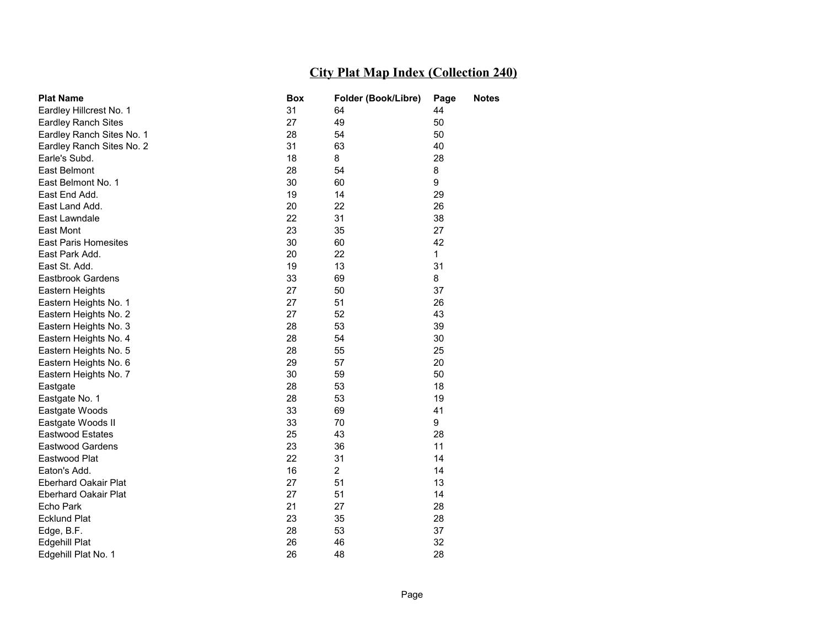| <b>Plat Name</b>            | Box | Folder (Book/Libre) | Page         | <b>Notes</b> |
|-----------------------------|-----|---------------------|--------------|--------------|
| Eardley Hillcrest No. 1     | 31  | 64                  | 44           |              |
| <b>Eardley Ranch Sites</b>  | 27  | 49                  | 50           |              |
| Eardley Ranch Sites No. 1   | 28  | 54                  | 50           |              |
| Eardley Ranch Sites No. 2   | 31  | 63                  | 40           |              |
| Earle's Subd.               | 18  | 8                   | 28           |              |
| <b>East Belmont</b>         | 28  | 54                  | 8            |              |
| East Belmont No. 1          | 30  | 60                  | 9            |              |
| East End Add.               | 19  | 14                  | 29           |              |
| East Land Add.              | 20  | 22                  | 26           |              |
| East Lawndale               | 22  | 31                  | 38           |              |
| East Mont                   | 23  | 35                  | 27           |              |
| <b>East Paris Homesites</b> | 30  | 60                  | 42           |              |
| East Park Add.              | 20  | 22                  | $\mathbf{1}$ |              |
| East St. Add.               | 19  | 13                  | 31           |              |
| <b>Eastbrook Gardens</b>    | 33  | 69                  | 8            |              |
| Eastern Heights             | 27  | 50                  | 37           |              |
| Eastern Heights No. 1       | 27  | 51                  | 26           |              |
| Eastern Heights No. 2       | 27  | 52                  | 43           |              |
| Eastern Heights No. 3       | 28  | 53                  | 39           |              |
| Eastern Heights No. 4       | 28  | 54                  | 30           |              |
| Eastern Heights No. 5       | 28  | 55                  | 25           |              |
| Eastern Heights No. 6       | 29  | 57                  | 20           |              |
| Eastern Heights No. 7       | 30  | 59                  | 50           |              |
| Eastgate                    | 28  | 53                  | 18           |              |
| Eastgate No. 1              | 28  | 53                  | 19           |              |
| Eastgate Woods              | 33  | 69                  | 41           |              |
| Eastgate Woods II           | 33  | 70                  | 9            |              |
| <b>Eastwood Estates</b>     | 25  | 43                  | 28           |              |
| <b>Eastwood Gardens</b>     | 23  | 36                  | 11           |              |
| Eastwood Plat               | 22  | 31                  | 14           |              |
| Eaton's Add.                | 16  | $\overline{c}$      | 14           |              |
| <b>Eberhard Oakair Plat</b> | 27  | 51                  | 13           |              |
| <b>Eberhard Oakair Plat</b> | 27  | 51                  | 14           |              |
| Echo Park                   | 21  | 27                  | 28           |              |
| <b>Ecklund Plat</b>         | 23  | 35                  | 28           |              |
| Edge, B.F.                  | 28  | 53                  | 37           |              |
| Edgehill Plat               | 26  | 46                  | 32           |              |
| Edgehill Plat No. 1         | 26  | 48                  | 28           |              |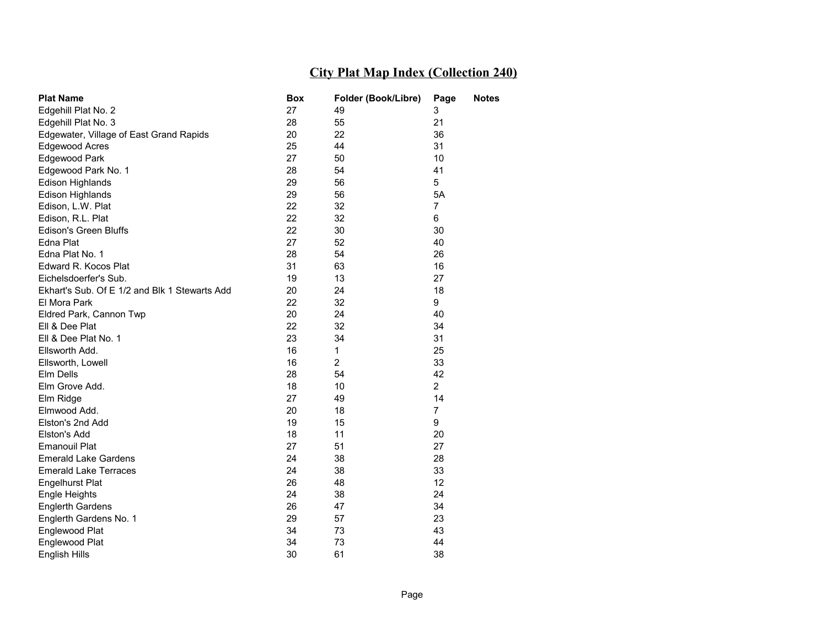| <b>Plat Name</b>                              | <b>Box</b> | Folder (Book/Libre) | Page           | <b>Notes</b> |
|-----------------------------------------------|------------|---------------------|----------------|--------------|
| Edgehill Plat No. 2                           | 27         | 49                  | 3              |              |
| Edgehill Plat No. 3                           | 28         | 55                  | 21             |              |
| Edgewater, Village of East Grand Rapids       | 20         | 22                  | 36             |              |
| Edgewood Acres                                | 25         | 44                  | 31             |              |
| Edgewood Park                                 | 27         | 50                  | 10             |              |
| Edgewood Park No. 1                           | 28         | 54                  | 41             |              |
| Edison Highlands                              | 29         | 56                  | 5              |              |
| Edison Highlands                              | 29         | 56                  | 5A             |              |
| Edison, L.W. Plat                             | 22         | 32                  | $\overline{7}$ |              |
| Edison, R.L. Plat                             | 22         | 32                  | 6              |              |
| <b>Edison's Green Bluffs</b>                  | 22         | 30                  | 30             |              |
| Edna Plat                                     | 27         | 52                  | 40             |              |
| Edna Plat No. 1                               | 28         | 54                  | 26             |              |
| Edward R. Kocos Plat                          | 31         | 63                  | 16             |              |
| Eichelsdoerfer's Sub.                         | 19         | 13                  | 27             |              |
| Ekhart's Sub. Of E 1/2 and Blk 1 Stewarts Add | 20         | 24                  | 18             |              |
| El Mora Park                                  | 22         | 32                  | 9              |              |
| Eldred Park, Cannon Twp                       | 20         | 24                  | 40             |              |
| Ell & Dee Plat                                | 22         | 32                  | 34             |              |
| Ell & Dee Plat No. 1                          | 23         | 34                  | 31             |              |
| Ellsworth Add.                                | 16         | $\mathbf{1}$        | 25             |              |
| Ellsworth, Lowell                             | 16         | $\overline{2}$      | 33             |              |
| Elm Dells                                     | 28         | 54                  | 42             |              |
| Elm Grove Add.                                | 18         | 10                  | $\overline{2}$ |              |
| Elm Ridge                                     | 27         | 49                  | 14             |              |
| Elmwood Add.                                  | 20         | 18                  | $\overline{7}$ |              |
| Elston's 2nd Add                              | 19         | 15                  | 9              |              |
| Elston's Add                                  | 18         | 11                  | 20             |              |
| <b>Emanouil Plat</b>                          | 27         | 51                  | 27             |              |
| <b>Emerald Lake Gardens</b>                   | 24         | 38                  | 28             |              |
| <b>Emerald Lake Terraces</b>                  | 24         | 38                  | 33             |              |
| <b>Engelhurst Plat</b>                        | 26         | 48                  | 12             |              |
| <b>Engle Heights</b>                          | 24         | 38                  | 24             |              |
| <b>Englerth Gardens</b>                       | 26         | 47                  | 34             |              |
| Englerth Gardens No. 1                        | 29         | 57                  | 23             |              |
| Englewood Plat                                | 34         | 73                  | 43             |              |
| Englewood Plat                                | 34         | 73                  | 44             |              |
| English Hills                                 | 30         | 61                  | 38             |              |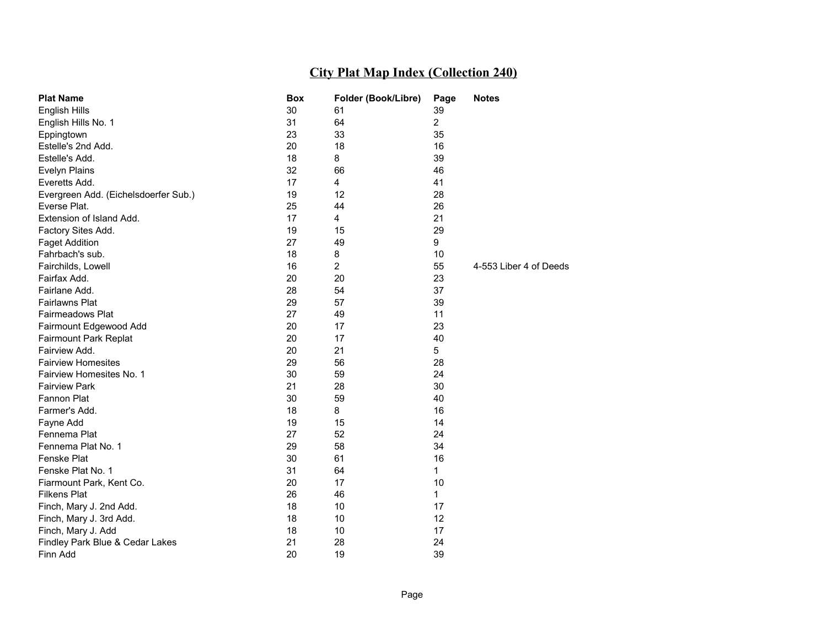| <b>Plat Name</b>                     | <b>Box</b> | Folder (Book/Libre) | Page           | <b>Notes</b>           |
|--------------------------------------|------------|---------------------|----------------|------------------------|
| <b>English Hills</b>                 | 30         | 61                  | 39             |                        |
| English Hills No. 1                  | 31         | 64                  | $\overline{c}$ |                        |
| Eppingtown                           | 23         | 33                  | 35             |                        |
| Estelle's 2nd Add.                   | 20         | 18                  | 16             |                        |
| Estelle's Add.                       | 18         | 8                   | 39             |                        |
| <b>Evelyn Plains</b>                 | 32         | 66                  | 46             |                        |
| Everetts Add.                        | 17         | 4                   | 41             |                        |
| Evergreen Add. (Eichelsdoerfer Sub.) | 19         | 12                  | 28             |                        |
| Everse Plat.                         | 25         | 44                  | 26             |                        |
| Extension of Island Add.             | 17         | $\overline{4}$      | 21             |                        |
| Factory Sites Add.                   | 19         | 15                  | 29             |                        |
| <b>Faget Addition</b>                | 27         | 49                  | 9              |                        |
| Fahrbach's sub.                      | 18         | 8                   | 10             |                        |
| Fairchilds, Lowell                   | 16         | $\overline{2}$      | 55             | 4-553 Liber 4 of Deeds |
| Fairfax Add.                         | 20         | 20                  | 23             |                        |
| Fairlane Add.                        | 28         | 54                  | 37             |                        |
| <b>Fairlawns Plat</b>                | 29         | 57                  | 39             |                        |
| Fairmeadows Plat                     | 27         | 49                  | 11             |                        |
| Fairmount Edgewood Add               | 20         | 17                  | 23             |                        |
| <b>Fairmount Park Replat</b>         | 20         | 17                  | 40             |                        |
| Fairview Add.                        | 20         | 21                  | 5              |                        |
| <b>Fairview Homesites</b>            | 29         | 56                  | 28             |                        |
| Fairview Homesites No. 1             | 30         | 59                  | 24             |                        |
| <b>Fairview Park</b>                 | 21         | 28                  | 30             |                        |
| <b>Fannon Plat</b>                   | 30         | 59                  | 40             |                        |
| Farmer's Add.                        | 18         | 8                   | 16             |                        |
| Fayne Add                            | 19         | 15                  | 14             |                        |
| Fennema Plat                         | 27         | 52                  | 24             |                        |
| Fennema Plat No. 1                   | 29         | 58                  | 34             |                        |
| Fenske Plat                          | 30         | 61                  | 16             |                        |
| Fenske Plat No. 1                    | 31         | 64                  | 1              |                        |
| Fiarmount Park, Kent Co.             | 20         | 17                  | 10             |                        |
| <b>Filkens Plat</b>                  | 26         | 46                  | 1              |                        |
| Finch, Mary J. 2nd Add.              | 18         | 10                  | 17             |                        |
| Finch, Mary J. 3rd Add.              | 18         | 10                  | 12             |                        |
| Finch, Mary J. Add                   | 18         | 10                  | 17             |                        |
| Findley Park Blue & Cedar Lakes      | 21         | 28                  | 24             |                        |
| Finn Add                             | 20         | 19                  | 39             |                        |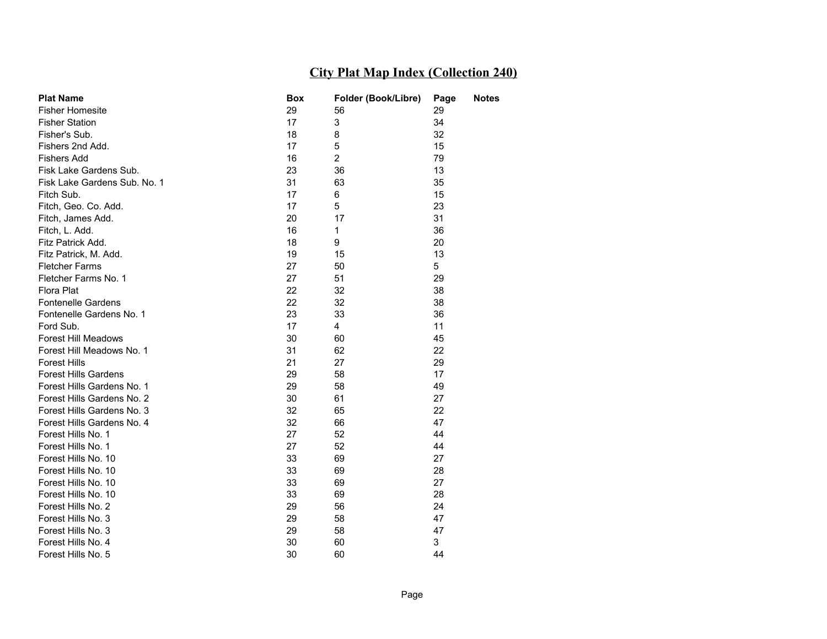| <b>Plat Name</b>             | Box | Folder (Book/Libre) | Page | Notes |
|------------------------------|-----|---------------------|------|-------|
| <b>Fisher Homesite</b>       | 29  | 56                  | 29   |       |
| <b>Fisher Station</b>        | 17  | 3                   | 34   |       |
| Fisher's Sub.                | 18  | 8                   | 32   |       |
| Fishers 2nd Add.             | 17  | 5                   | 15   |       |
| <b>Fishers Add</b>           | 16  | $\overline{2}$      | 79   |       |
| Fisk Lake Gardens Sub.       | 23  | 36                  | 13   |       |
| Fisk Lake Gardens Sub. No. 1 | 31  | 63                  | 35   |       |
| Fitch Sub.                   | 17  | 6                   | 15   |       |
| Fitch, Geo. Co. Add.         | 17  | 5                   | 23   |       |
| Fitch, James Add.            | 20  | 17                  | 31   |       |
| Fitch, L. Add.               | 16  | 1                   | 36   |       |
| Fitz Patrick Add.            | 18  | 9                   | 20   |       |
| Fitz Patrick, M. Add.        | 19  | 15                  | 13   |       |
| <b>Fletcher Farms</b>        | 27  | 50                  | 5    |       |
| Fletcher Farms No. 1         | 27  | 51                  | 29   |       |
| Flora Plat                   | 22  | 32                  | 38   |       |
| Fontenelle Gardens           | 22  | 32                  | 38   |       |
| Fontenelle Gardens No. 1     | 23  | 33                  | 36   |       |
| Ford Sub.                    | 17  | 4                   | 11   |       |
| <b>Forest Hill Meadows</b>   | 30  | 60                  | 45   |       |
| Forest Hill Meadows No. 1    | 31  | 62                  | 22   |       |
| <b>Forest Hills</b>          | 21  | 27                  | 29   |       |
| <b>Forest Hills Gardens</b>  | 29  | 58                  | 17   |       |
| Forest Hills Gardens No. 1   | 29  | 58                  | 49   |       |
| Forest Hills Gardens No. 2   | 30  | 61                  | 27   |       |
| Forest Hills Gardens No. 3   | 32  | 65                  | 22   |       |
| Forest Hills Gardens No. 4   | 32  | 66                  | 47   |       |
| Forest Hills No. 1           | 27  | 52                  | 44   |       |
| Forest Hills No. 1           | 27  | 52                  | 44   |       |
| Forest Hills No. 10          | 33  | 69                  | 27   |       |
| Forest Hills No. 10          | 33  | 69                  | 28   |       |
| Forest Hills No. 10          | 33  | 69                  | 27   |       |
| Forest Hills No. 10          | 33  | 69                  | 28   |       |
| Forest Hills No. 2           | 29  | 56                  | 24   |       |
| Forest Hills No. 3           | 29  | 58                  | 47   |       |
| Forest Hills No. 3           | 29  | 58                  | 47   |       |
| Forest Hills No. 4           | 30  | 60                  | 3    |       |
| Forest Hills No. 5           | 30  | 60                  | 44   |       |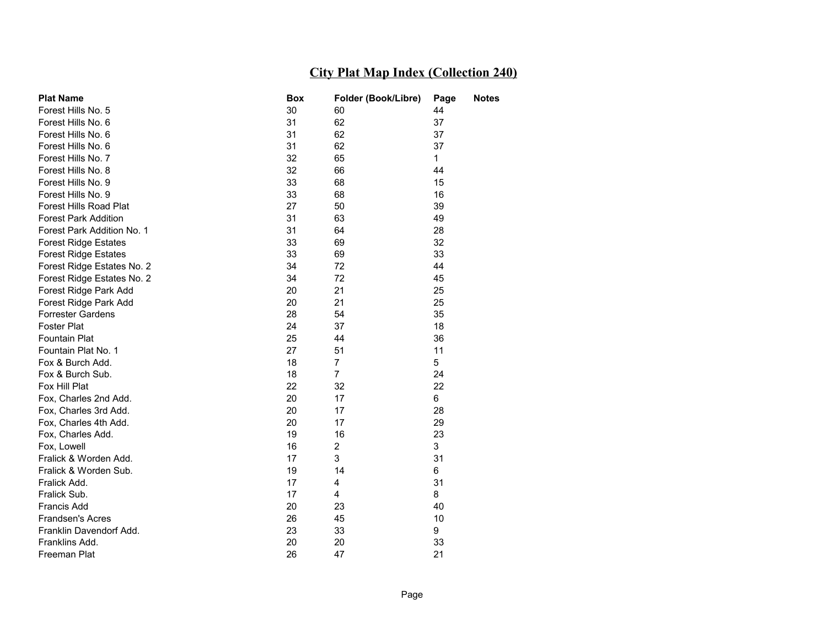| <b>Plat Name</b>            | <b>Box</b> | Folder (Book/Libre) | Page         | <b>Notes</b> |
|-----------------------------|------------|---------------------|--------------|--------------|
| Forest Hills No. 5          | 30         | 60                  | 44           |              |
| Forest Hills No. 6          | 31         | 62                  | 37           |              |
| Forest Hills No. 6          | 31         | 62                  | 37           |              |
| Forest Hills No. 6          | 31         | 62                  | 37           |              |
| Forest Hills No. 7          | 32         | 65                  | $\mathbf{1}$ |              |
| Forest Hills No. 8          | 32         | 66                  | 44           |              |
| Forest Hills No. 9          | 33         | 68                  | 15           |              |
| Forest Hills No. 9          | 33         | 68                  | 16           |              |
| Forest Hills Road Plat      | 27         | 50                  | 39           |              |
| <b>Forest Park Addition</b> | 31         | 63                  | 49           |              |
| Forest Park Addition No. 1  | 31         | 64                  | 28           |              |
| <b>Forest Ridge Estates</b> | 33         | 69                  | 32           |              |
| <b>Forest Ridge Estates</b> | 33         | 69                  | 33           |              |
| Forest Ridge Estates No. 2  | 34         | 72                  | 44           |              |
| Forest Ridge Estates No. 2  | 34         | 72                  | 45           |              |
| Forest Ridge Park Add       | 20         | 21                  | 25           |              |
| Forest Ridge Park Add       | 20         | 21                  | 25           |              |
| <b>Forrester Gardens</b>    | 28         | 54                  | 35           |              |
| <b>Foster Plat</b>          | 24         | 37                  | 18           |              |
| Fountain Plat               | 25         | 44                  | 36           |              |
| Fountain Plat No. 1         | 27         | 51                  | 11           |              |
| Fox & Burch Add.            | 18         | $\overline{7}$      | 5            |              |
| Fox & Burch Sub.            | 18         | $\overline{7}$      | 24           |              |
| Fox Hill Plat               | 22         | 32                  | 22           |              |
| Fox, Charles 2nd Add.       | 20         | 17                  | 6            |              |
| Fox, Charles 3rd Add.       | 20         | 17                  | 28           |              |
| Fox, Charles 4th Add.       | 20         | 17                  | 29           |              |
| Fox, Charles Add.           | 19         | 16                  | 23           |              |
| Fox, Lowell                 | 16         | $\overline{c}$      | 3            |              |
| Fralick & Worden Add.       | 17         | 3                   | 31           |              |
| Fralick & Worden Sub.       | 19         | 14                  | 6            |              |
| Fralick Add.                | 17         | 4                   | 31           |              |
| Fralick Sub.                | 17         | 4                   | 8            |              |
| Francis Add                 | 20         | 23                  | 40           |              |
| Frandsen's Acres            | 26         | 45                  | 10           |              |
| Franklin Davendorf Add.     | 23         | 33                  | 9            |              |
| Franklins Add.              | 20         | 20                  | 33           |              |
| Freeman Plat                | 26         | 47                  | 21           |              |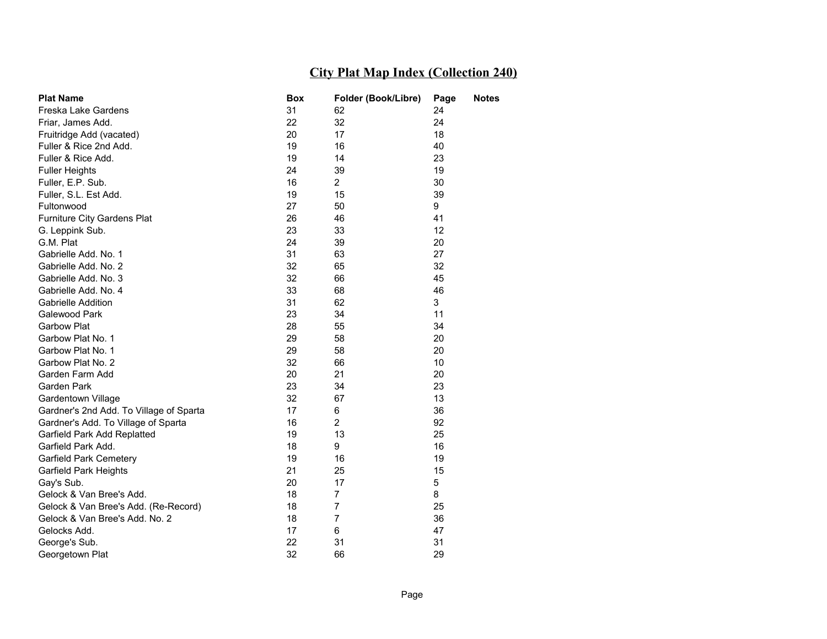| <b>Plat Name</b>                        | <b>Box</b> | Folder (Book/Libre) | Page | <b>Notes</b> |
|-----------------------------------------|------------|---------------------|------|--------------|
| Freska Lake Gardens                     | 31         | 62                  | 24   |              |
| Friar, James Add.                       | 22         | 32                  | 24   |              |
| Fruitridge Add (vacated)                | 20         | 17                  | 18   |              |
| Fuller & Rice 2nd Add.                  | 19         | 16                  | 40   |              |
| Fuller & Rice Add.                      | 19         | 14                  | 23   |              |
| <b>Fuller Heights</b>                   | 24         | 39                  | 19   |              |
| Fuller, E.P. Sub.                       | 16         | $\overline{2}$      | 30   |              |
| Fuller, S.L. Est Add.                   | 19         | 15                  | 39   |              |
| Fultonwood                              | 27         | 50                  | 9    |              |
| Furniture City Gardens Plat             | 26         | 46                  | 41   |              |
| G. Leppink Sub.                         | 23         | 33                  | 12   |              |
| G.M. Plat                               | 24         | 39                  | 20   |              |
| Gabrielle Add. No. 1                    | 31         | 63                  | 27   |              |
| Gabrielle Add. No. 2                    | 32         | 65                  | 32   |              |
| Gabrielle Add. No. 3                    | 32         | 66                  | 45   |              |
| Gabrielle Add. No. 4                    | 33         | 68                  | 46   |              |
| <b>Gabrielle Addition</b>               | 31         | 62                  | 3    |              |
| Galewood Park                           | 23         | 34                  | 11   |              |
| Garbow Plat                             | 28         | 55                  | 34   |              |
| Garbow Plat No. 1                       | 29         | 58                  | 20   |              |
| Garbow Plat No. 1                       | 29         | 58                  | 20   |              |
| Garbow Plat No. 2                       | 32         | 66                  | 10   |              |
| Garden Farm Add                         | 20         | 21                  | 20   |              |
| Garden Park                             | 23         | 34                  | 23   |              |
| Gardentown Village                      | 32         | 67                  | 13   |              |
| Gardner's 2nd Add. To Village of Sparta | 17         | 6                   | 36   |              |
| Gardner's Add. To Village of Sparta     | 16         | $\overline{2}$      | 92   |              |
| Garfield Park Add Replatted             | 19         | 13                  | 25   |              |
| Garfield Park Add.                      | 18         | 9                   | 16   |              |
| Garfield Park Cemetery                  | 19         | 16                  | 19   |              |
| Garfield Park Heights                   | 21         | 25                  | 15   |              |
| Gay's Sub.                              | 20         | 17                  | 5    |              |
| Gelock & Van Bree's Add.                | 18         | $\overline{7}$      | 8    |              |
| Gelock & Van Bree's Add. (Re-Record)    | 18         | 7                   | 25   |              |
| Gelock & Van Bree's Add. No. 2          | 18         | 7                   | 36   |              |
| Gelocks Add.                            | 17         | 6                   | 47   |              |
| George's Sub.                           | 22         | 31                  | 31   |              |
| Georgetown Plat                         | 32         | 66                  | 29   |              |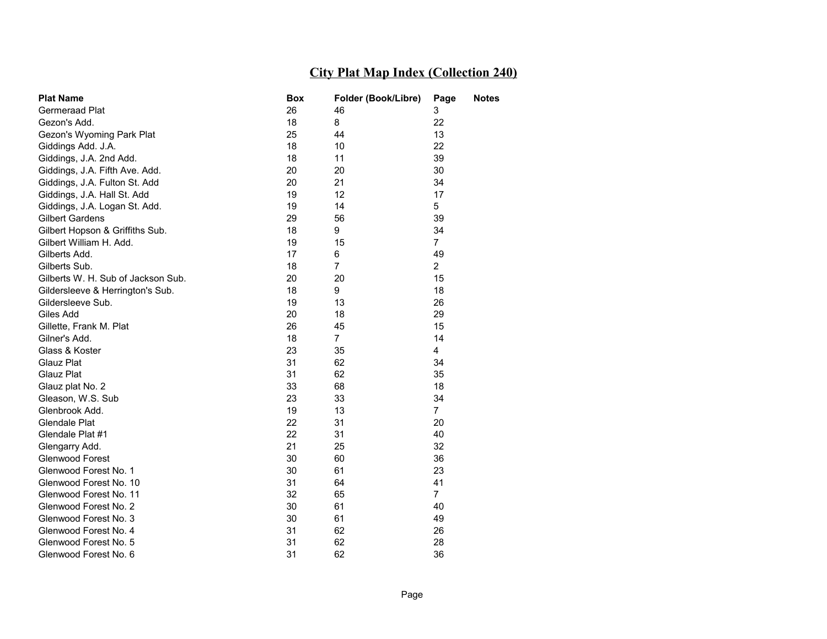| <b>Plat Name</b>                   | Box | Folder (Book/Libre) | Page           | Notes |
|------------------------------------|-----|---------------------|----------------|-------|
| Germeraad Plat                     | 26  | 46                  | 3              |       |
| Gezon's Add.                       | 18  | 8                   | 22             |       |
| Gezon's Wyoming Park Plat          | 25  | 44                  | 13             |       |
| Giddings Add. J.A.                 | 18  | 10                  | 22             |       |
| Giddings, J.A. 2nd Add.            | 18  | 11                  | 39             |       |
| Giddings, J.A. Fifth Ave. Add.     | 20  | 20                  | 30             |       |
| Giddings, J.A. Fulton St. Add      | 20  | 21                  | 34             |       |
| Giddings, J.A. Hall St. Add        | 19  | 12 <sup>2</sup>     | 17             |       |
| Giddings, J.A. Logan St. Add.      | 19  | 14                  | 5              |       |
| <b>Gilbert Gardens</b>             | 29  | 56                  | 39             |       |
| Gilbert Hopson & Griffiths Sub.    | 18  | 9                   | 34             |       |
| Gilbert William H. Add.            | 19  | 15                  | 7              |       |
| Gilberts Add.                      | 17  | 6                   | 49             |       |
| Gilberts Sub.                      | 18  | $\overline{7}$      | $\overline{2}$ |       |
| Gilberts W. H. Sub of Jackson Sub. | 20  | 20                  | 15             |       |
| Gildersleeve & Herrington's Sub.   | 18  | 9                   | 18             |       |
| Gildersleeve Sub.                  | 19  | 13                  | 26             |       |
| Giles Add                          | 20  | 18                  | 29             |       |
| Gillette, Frank M. Plat            | 26  | 45                  | 15             |       |
| Gilner's Add.                      | 18  | $\overline{7}$      | 14             |       |
| Glass & Koster                     | 23  | 35                  | 4              |       |
| Glauz Plat                         | 31  | 62                  | 34             |       |
| Glauz Plat                         | 31  | 62                  | 35             |       |
| Glauz plat No. 2                   | 33  | 68                  | 18             |       |
| Gleason, W.S. Sub                  | 23  | 33                  | 34             |       |
| Glenbrook Add.                     | 19  | 13                  | $\overline{7}$ |       |
| Glendale Plat                      | 22  | 31                  | 20             |       |
| Glendale Plat #1                   | 22  | 31                  | 40             |       |
| Glengarry Add.                     | 21  | 25                  | 32             |       |
| Glenwood Forest                    | 30  | 60                  | 36             |       |
| Glenwood Forest No. 1              | 30  | 61                  | 23             |       |
| Glenwood Forest No. 10             | 31  | 64                  | 41             |       |
| Glenwood Forest No. 11             | 32  | 65                  | $\overline{7}$ |       |
| Glenwood Forest No. 2              | 30  | 61                  | 40             |       |
| Glenwood Forest No. 3              | 30  | 61                  | 49             |       |
| Glenwood Forest No. 4              | 31  | 62                  | 26             |       |
| Glenwood Forest No. 5              | 31  | 62                  | 28             |       |
| Glenwood Forest No. 6              | 31  | 62                  | 36             |       |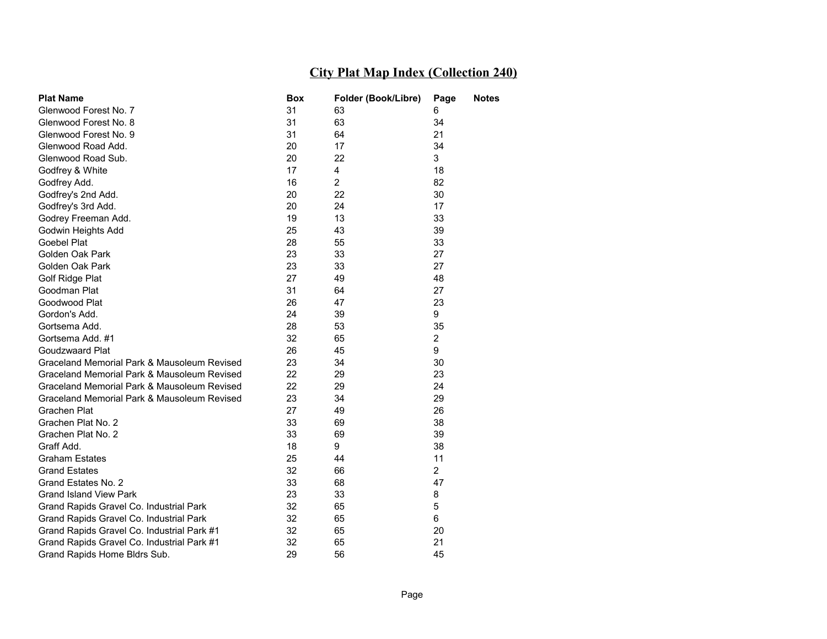| <b>Plat Name</b>                            | Box | Folder (Book/Libre) | Page           | <b>Notes</b> |
|---------------------------------------------|-----|---------------------|----------------|--------------|
| Glenwood Forest No. 7                       | 31  | 63                  | 6              |              |
| Glenwood Forest No. 8                       | 31  | 63                  | 34             |              |
| Glenwood Forest No. 9                       | 31  | 64                  | 21             |              |
| Glenwood Road Add.                          | 20  | 17                  | 34             |              |
| Glenwood Road Sub.                          | 20  | 22                  | 3              |              |
| Godfrey & White                             | 17  | 4                   | 18             |              |
| Godfrey Add.                                | 16  | $\overline{2}$      | 82             |              |
| Godfrey's 2nd Add.                          | 20  | 22                  | 30             |              |
| Godfrey's 3rd Add.                          | 20  | 24                  | 17             |              |
| Godrey Freeman Add.                         | 19  | 13                  | 33             |              |
| Godwin Heights Add                          | 25  | 43                  | 39             |              |
| Goebel Plat                                 | 28  | 55                  | 33             |              |
| Golden Oak Park                             | 23  | 33                  | 27             |              |
| Golden Oak Park                             | 23  | 33                  | 27             |              |
| Golf Ridge Plat                             | 27  | 49                  | 48             |              |
| Goodman Plat                                | 31  | 64                  | 27             |              |
| Goodwood Plat                               | 26  | 47                  | 23             |              |
| Gordon's Add.                               | 24  | 39                  | 9              |              |
| Gortsema Add.                               | 28  | 53                  | 35             |              |
| Gortsema Add. #1                            | 32  | 65                  | $\overline{2}$ |              |
| Goudzwaard Plat                             | 26  | 45                  | 9              |              |
| Graceland Memorial Park & Mausoleum Revised | 23  | 34                  | 30             |              |
| Graceland Memorial Park & Mausoleum Revised | 22  | 29                  | 23             |              |
| Graceland Memorial Park & Mausoleum Revised | 22  | 29                  | 24             |              |
| Graceland Memorial Park & Mausoleum Revised | 23  | 34                  | 29             |              |
| Grachen Plat                                | 27  | 49                  | 26             |              |
| Grachen Plat No. 2                          | 33  | 69                  | 38             |              |
| Grachen Plat No. 2                          | 33  | 69                  | 39             |              |
| Graff Add.                                  | 18  | 9                   | 38             |              |
| <b>Graham Estates</b>                       | 25  | 44                  | 11             |              |
| <b>Grand Estates</b>                        | 32  | 66                  | $\overline{2}$ |              |
| Grand Estates No. 2                         | 33  | 68                  | 47             |              |
| <b>Grand Island View Park</b>               | 23  | 33                  | 8              |              |
| Grand Rapids Gravel Co. Industrial Park     | 32  | 65                  | 5              |              |
| Grand Rapids Gravel Co. Industrial Park     | 32  | 65                  | 6              |              |
| Grand Rapids Gravel Co. Industrial Park #1  | 32  | 65                  | 20             |              |
| Grand Rapids Gravel Co. Industrial Park #1  | 32  | 65                  | 21             |              |
| Grand Rapids Home Bldrs Sub.                | 29  | 56                  | 45             |              |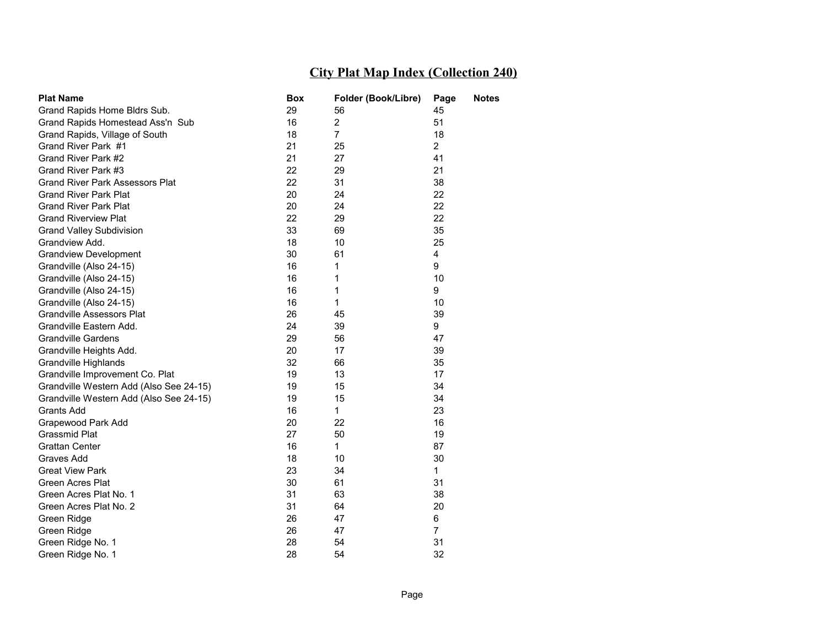| <b>Plat Name</b>                        | Box | Folder (Book/Libre) | Page           | <b>Notes</b> |
|-----------------------------------------|-----|---------------------|----------------|--------------|
| Grand Rapids Home Bldrs Sub.            | 29  | 56                  | 45             |              |
| Grand Rapids Homestead Ass'n Sub        | 16  | $\mathbf{2}$        | 51             |              |
| Grand Rapids, Village of South          | 18  | $\overline{7}$      | 18             |              |
| Grand River Park #1                     | 21  | 25                  | $\overline{a}$ |              |
| Grand River Park #2                     | 21  | 27                  | 41             |              |
| Grand River Park #3                     | 22  | 29                  | 21             |              |
| <b>Grand River Park Assessors Plat</b>  | 22  | 31                  | 38             |              |
| <b>Grand River Park Plat</b>            | 20  | 24                  | 22             |              |
| <b>Grand River Park Plat</b>            | 20  | 24                  | 22             |              |
| <b>Grand Riverview Plat</b>             | 22  | 29                  | 22             |              |
| <b>Grand Valley Subdivision</b>         | 33  | 69                  | 35             |              |
| Grandview Add.                          | 18  | 10                  | 25             |              |
| <b>Grandview Development</b>            | 30  | 61                  | 4              |              |
| Grandville (Also 24-15)                 | 16  | 1                   | 9              |              |
| Grandville (Also 24-15)                 | 16  | 1                   | 10             |              |
| Grandville (Also 24-15)                 | 16  | 1                   | 9              |              |
| Grandville (Also 24-15)                 | 16  | 1                   | 10             |              |
| <b>Grandville Assessors Plat</b>        | 26  | 45                  | 39             |              |
| Grandville Eastern Add.                 | 24  | 39                  | 9              |              |
| <b>Grandville Gardens</b>               | 29  | 56                  | 47             |              |
| Grandville Heights Add.                 | 20  | 17                  | 39             |              |
| <b>Grandville Highlands</b>             | 32  | 66                  | 35             |              |
| Grandville Improvement Co. Plat         | 19  | 13                  | 17             |              |
| Grandville Western Add (Also See 24-15) | 19  | 15                  | 34             |              |
| Grandville Western Add (Also See 24-15) | 19  | 15                  | 34             |              |
| <b>Grants Add</b>                       | 16  | $\mathbf{1}$        | 23             |              |
| Grapewood Park Add                      | 20  | 22                  | 16             |              |
| Grassmid Plat                           | 27  | 50                  | 19             |              |
| <b>Grattan Center</b>                   | 16  | 1                   | 87             |              |
| Graves Add                              | 18  | 10                  | 30             |              |
| <b>Great View Park</b>                  | 23  | 34                  | 1              |              |
| Green Acres Plat                        | 30  | 61                  | 31             |              |
| Green Acres Plat No. 1                  | 31  | 63                  | 38             |              |
| Green Acres Plat No. 2                  | 31  | 64                  | 20             |              |
| Green Ridge                             | 26  | 47                  | 6              |              |
| Green Ridge                             | 26  | 47                  | $\overline{7}$ |              |
| Green Ridge No. 1                       | 28  | 54                  | 31             |              |
| Green Ridge No. 1                       | 28  | 54                  | 32             |              |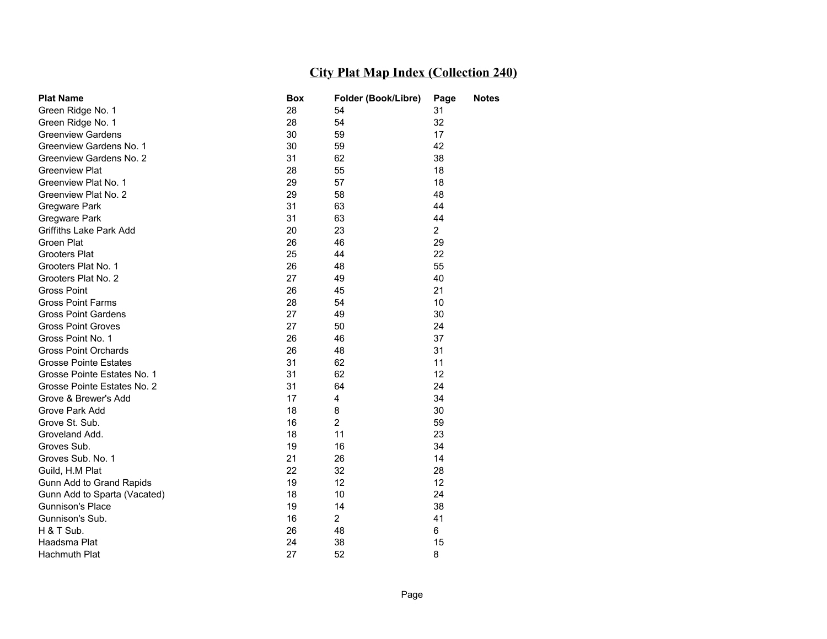| <b>Plat Name</b>               | <b>Box</b> | Folder (Book/Libre) | Page           | <b>Notes</b> |
|--------------------------------|------------|---------------------|----------------|--------------|
| Green Ridge No. 1              | 28         | 54                  | 31             |              |
| Green Ridge No. 1              | 28         | 54                  | 32             |              |
| <b>Greenview Gardens</b>       | 30         | 59                  | 17             |              |
| Greenview Gardens No. 1        | 30         | 59                  | 42             |              |
| Greenview Gardens No. 2        | 31         | 62                  | 38             |              |
| <b>Greenview Plat</b>          | 28         | 55                  | 18             |              |
| Greenview Plat No. 1           | 29         | 57                  | 18             |              |
| Greenview Plat No. 2           | 29         | 58                  | 48             |              |
| Gregware Park                  | 31         | 63                  | 44             |              |
| Gregware Park                  | 31         | 63                  | 44             |              |
| <b>Griffiths Lake Park Add</b> | 20         | 23                  | $\overline{2}$ |              |
| Groen Plat                     | 26         | 46                  | 29             |              |
| <b>Grooters Plat</b>           | 25         | 44                  | 22             |              |
| Grooters Plat No. 1            | 26         | 48                  | 55             |              |
| Grooters Plat No. 2            | 27         | 49                  | 40             |              |
| <b>Gross Point</b>             | 26         | 45                  | 21             |              |
| <b>Gross Point Farms</b>       | 28         | 54                  | 10             |              |
| <b>Gross Point Gardens</b>     | 27         | 49                  | 30             |              |
| <b>Gross Point Groves</b>      | 27         | 50                  | 24             |              |
| Gross Point No. 1              | 26         | 46                  | 37             |              |
| <b>Gross Point Orchards</b>    | 26         | 48                  | 31             |              |
| <b>Grosse Pointe Estates</b>   | 31         | 62                  | 11             |              |
| Grosse Pointe Estates No. 1    | 31         | 62                  | 12             |              |
| Grosse Pointe Estates No. 2    | 31         | 64                  | 24             |              |
| Grove & Brewer's Add           | 17         | 4                   | 34             |              |
| Grove Park Add                 | 18         | 8                   | 30             |              |
| Grove St. Sub.                 | 16         | $\overline{2}$      | 59             |              |
| Groveland Add.                 | 18         | 11                  | 23             |              |
| Groves Sub.                    | 19         | 16                  | 34             |              |
| Groves Sub. No. 1              | 21         | 26                  | 14             |              |
| Guild, H.M Plat                | 22         | 32                  | 28             |              |
| Gunn Add to Grand Rapids       | 19         | 12                  | 12             |              |
| Gunn Add to Sparta (Vacated)   | 18         | 10                  | 24             |              |
| Gunnison's Place               | 19         | 14                  | 38             |              |
| Gunnison's Sub.                | 16         | $\overline{2}$      | 41             |              |
| H & T Sub.                     | 26         | 48                  | 6              |              |
| Haadsma Plat                   | 24         | 38                  | 15             |              |
| <b>Hachmuth Plat</b>           | 27         | 52                  | 8              |              |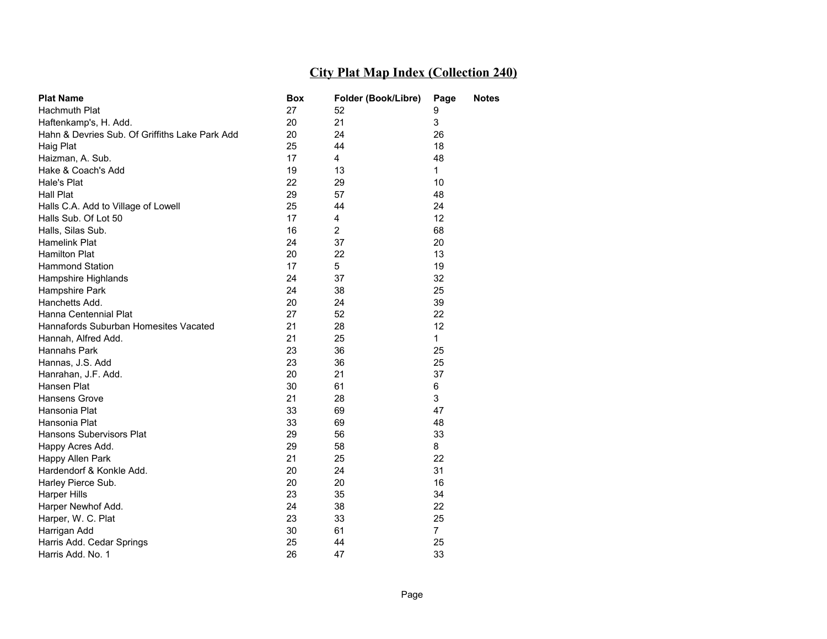| <b>Plat Name</b>                               | Box | Folder (Book/Libre) | Page           | <b>Notes</b> |
|------------------------------------------------|-----|---------------------|----------------|--------------|
| Hachmuth Plat                                  | 27  | 52                  | 9              |              |
| Haftenkamp's, H. Add.                          | 20  | 21                  | 3              |              |
| Hahn & Devries Sub. Of Griffiths Lake Park Add | 20  | 24                  | 26             |              |
| Haig Plat                                      | 25  | 44                  | 18             |              |
| Haizman, A. Sub.                               | 17  | 4                   | 48             |              |
| Hake & Coach's Add                             | 19  | 13                  | $\mathbf{1}$   |              |
| Hale's Plat                                    | 22  | 29                  | 10             |              |
| <b>Hall Plat</b>                               | 29  | 57                  | 48             |              |
| Halls C.A. Add to Village of Lowell            | 25  | 44                  | 24             |              |
| Halls Sub. Of Lot 50                           | 17  | 4                   | 12             |              |
| Halls, Silas Sub.                              | 16  | $\overline{2}$      | 68             |              |
| Hamelink Plat                                  | 24  | 37                  | 20             |              |
| <b>Hamilton Plat</b>                           | 20  | 22                  | 13             |              |
| Hammond Station                                | 17  | 5                   | 19             |              |
| Hampshire Highlands                            | 24  | 37                  | 32             |              |
| Hampshire Park                                 | 24  | 38                  | 25             |              |
| Hanchetts Add.                                 | 20  | 24                  | 39             |              |
| Hanna Centennial Plat                          | 27  | 52                  | 22             |              |
| Hannafords Suburban Homesites Vacated          | 21  | 28                  | 12             |              |
| Hannah, Alfred Add.                            | 21  | 25                  | $\mathbf{1}$   |              |
| Hannahs Park                                   | 23  | 36                  | 25             |              |
| Hannas, J.S. Add                               | 23  | 36                  | 25             |              |
| Hanrahan, J.F. Add.                            | 20  | 21                  | 37             |              |
| Hansen Plat                                    | 30  | 61                  | 6              |              |
| Hansens Grove                                  | 21  | 28                  | 3              |              |
| Hansonia Plat                                  | 33  | 69                  | 47             |              |
| Hansonia Plat                                  | 33  | 69                  | 48             |              |
| Hansons Subervisors Plat                       | 29  | 56                  | 33             |              |
| Happy Acres Add.                               | 29  | 58                  | 8              |              |
| Happy Allen Park                               | 21  | 25                  | 22             |              |
| Hardendorf & Konkle Add.                       | 20  | 24                  | 31             |              |
| Harley Pierce Sub.                             | 20  | 20                  | 16             |              |
| <b>Harper Hills</b>                            | 23  | 35                  | 34             |              |
| Harper Newhof Add.                             | 24  | 38                  | 22             |              |
| Harper, W. C. Plat                             | 23  | 33                  | 25             |              |
| Harrigan Add                                   | 30  | 61                  | $\overline{7}$ |              |
| Harris Add. Cedar Springs                      | 25  | 44                  | 25             |              |
| Harris Add. No. 1                              | 26  | 47                  | 33             |              |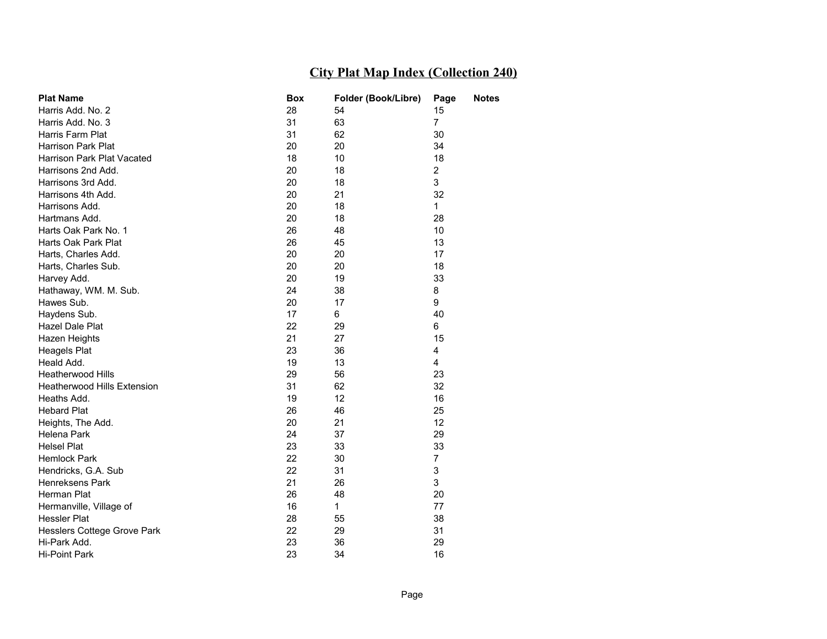| <b>Plat Name</b>                   | Box | Folder (Book/Libre) | Page           | <b>Notes</b> |
|------------------------------------|-----|---------------------|----------------|--------------|
| Harris Add, No. 2                  | 28  | 54                  | 15             |              |
| Harris Add, No. 3                  | 31  | 63                  | $\overline{7}$ |              |
| Harris Farm Plat                   | 31  | 62                  | 30             |              |
| <b>Harrison Park Plat</b>          | 20  | 20                  | 34             |              |
| Harrison Park Plat Vacated         | 18  | 10                  | 18             |              |
| Harrisons 2nd Add.                 | 20  | 18                  | $\overline{2}$ |              |
| Harrisons 3rd Add.                 | 20  | 18                  | 3              |              |
| Harrisons 4th Add.                 | 20  | 21                  | 32             |              |
| Harrisons Add.                     | 20  | 18                  | 1              |              |
| Hartmans Add.                      | 20  | 18                  | 28             |              |
| Harts Oak Park No. 1               | 26  | 48                  | 10             |              |
| Harts Oak Park Plat                | 26  | 45                  | 13             |              |
| Harts, Charles Add.                | 20  | 20                  | 17             |              |
| Harts, Charles Sub.                | 20  | 20                  | 18             |              |
| Harvey Add.                        | 20  | 19                  | 33             |              |
| Hathaway, WM. M. Sub.              | 24  | 38                  | 8              |              |
| Hawes Sub.                         | 20  | 17                  | 9              |              |
| Haydens Sub.                       | 17  | 6                   | 40             |              |
| <b>Hazel Dale Plat</b>             | 22  | 29                  | 6              |              |
| Hazen Heights                      | 21  | 27                  | 15             |              |
| <b>Heagels Plat</b>                | 23  | 36                  | 4              |              |
| Heald Add.                         | 19  | 13                  | 4              |              |
| <b>Heatherwood Hills</b>           | 29  | 56                  | 23             |              |
| <b>Heatherwood Hills Extension</b> | 31  | 62                  | 32             |              |
| Heaths Add.                        | 19  | 12                  | 16             |              |
| <b>Hebard Plat</b>                 | 26  | 46                  | 25             |              |
| Heights, The Add.                  | 20  | 21                  | 12             |              |
| Helena Park                        | 24  | 37                  | 29             |              |
| <b>Helsel Plat</b>                 | 23  | 33                  | 33             |              |
| Hemlock Park                       | 22  | 30                  | $\overline{7}$ |              |
| Hendricks, G.A. Sub                | 22  | 31                  | 3              |              |
| <b>Henreksens Park</b>             | 21  | 26                  | 3              |              |
| Herman Plat                        | 26  | 48                  | 20             |              |
| Hermanville, Village of            | 16  | $\mathbf{1}$        | 77             |              |
| Hessler Plat                       | 28  | 55                  | 38             |              |
| Hesslers Cottege Grove Park        | 22  | 29                  | 31             |              |
| Hi-Park Add.                       | 23  | 36                  | 29             |              |
| Hi-Point Park                      | 23  | 34                  | 16             |              |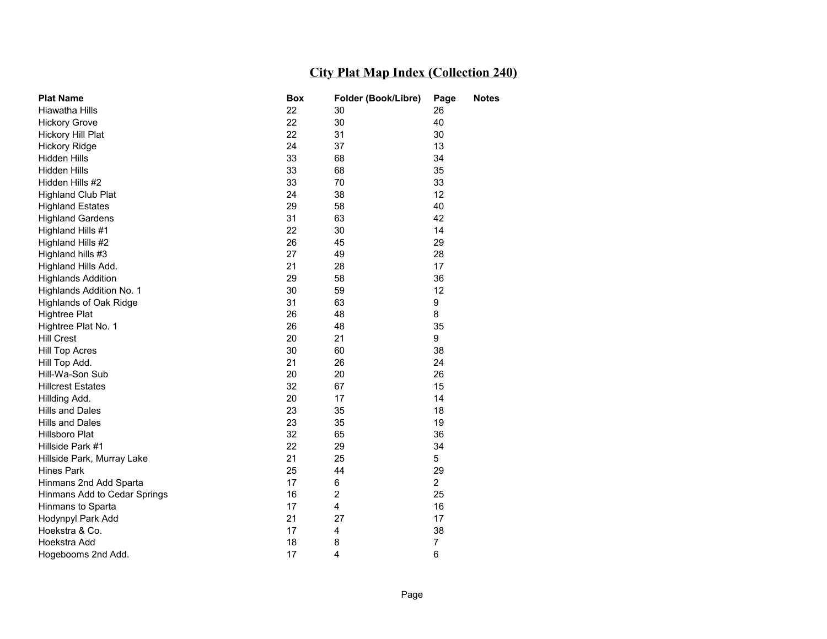| <b>Plat Name</b>             | <b>Box</b> | Folder (Book/Libre) | Page           | <b>Notes</b> |
|------------------------------|------------|---------------------|----------------|--------------|
| Hiawatha Hills               | 22         | 30                  | 26             |              |
| <b>Hickory Grove</b>         | 22         | 30                  | 40             |              |
| Hickory Hill Plat            | 22         | 31                  | 30             |              |
| <b>Hickory Ridge</b>         | 24         | 37                  | 13             |              |
| Hidden Hills                 | 33         | 68                  | 34             |              |
| Hidden Hills                 | 33         | 68                  | 35             |              |
| Hidden Hills #2              | 33         | 70                  | 33             |              |
| <b>Highland Club Plat</b>    | 24         | 38                  | 12             |              |
| <b>Highland Estates</b>      | 29         | 58                  | 40             |              |
| <b>Highland Gardens</b>      | 31         | 63                  | 42             |              |
| Highland Hills #1            | 22         | 30                  | 14             |              |
| Highland Hills #2            | 26         | 45                  | 29             |              |
| Highland hills #3            | 27         | 49                  | 28             |              |
| Highland Hills Add.          | 21         | 28                  | 17             |              |
| <b>Highlands Addition</b>    | 29         | 58                  | 36             |              |
| Highlands Addition No. 1     | 30         | 59                  | 12             |              |
| Highlands of Oak Ridge       | 31         | 63                  | 9              |              |
| <b>Hightree Plat</b>         | 26         | 48                  | 8              |              |
| Hightree Plat No. 1          | 26         | 48                  | 35             |              |
| <b>Hill Crest</b>            | 20         | 21                  | 9              |              |
| <b>Hill Top Acres</b>        | 30         | 60                  | 38             |              |
| Hill Top Add.                | 21         | 26                  | 24             |              |
| Hill-Wa-Son Sub              | 20         | 20                  | 26             |              |
| <b>Hillcrest Estates</b>     | 32         | 67                  | 15             |              |
| Hillding Add.                | 20         | 17                  | 14             |              |
| Hills and Dales              | 23         | 35                  | 18             |              |
| Hills and Dales              | 23         | 35                  | 19             |              |
| Hillsboro Plat               | 32         | 65                  | 36             |              |
| Hillside Park #1             | 22         | 29                  | 34             |              |
| Hillside Park, Murray Lake   | 21         | 25                  | 5              |              |
| <b>Hines Park</b>            | 25         | 44                  | 29             |              |
| Hinmans 2nd Add Sparta       | 17         | 6                   | $\overline{2}$ |              |
| Hinmans Add to Cedar Springs | 16         | $\overline{2}$      | 25             |              |
| Hinmans to Sparta            | 17         | 4                   | 16             |              |
| Hodynpyl Park Add            | 21         | 27                  | 17             |              |
| Hoekstra & Co.               | 17         | 4                   | 38             |              |
| Hoekstra Add                 | 18         | 8                   | 7              |              |
| Hogebooms 2nd Add.           | 17         | 4                   | 6              |              |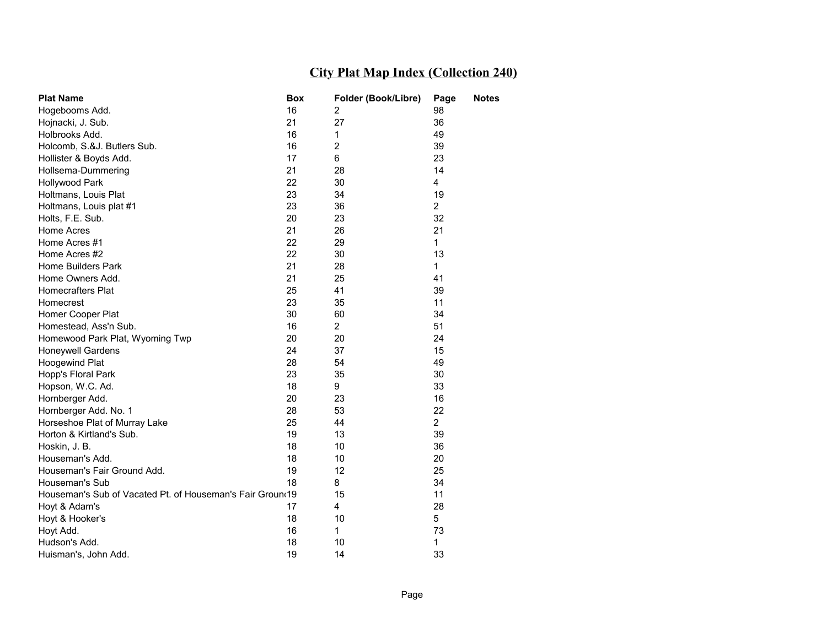| <b>Plat Name</b>                                          | Box | Folder (Book/Libre) | Page           | <b>Notes</b> |
|-----------------------------------------------------------|-----|---------------------|----------------|--------------|
| Hogebooms Add.                                            | 16  | 2                   | 98             |              |
| Hojnacki, J. Sub.                                         | 21  | 27                  | 36             |              |
| Holbrooks Add.                                            | 16  | 1                   | 49             |              |
| Holcomb, S.&J. Butlers Sub.                               | 16  | 2                   | 39             |              |
| Hollister & Boyds Add.                                    | 17  | 6                   | 23             |              |
| Hollsema-Dummering                                        | 21  | 28                  | 14             |              |
| Hollywood Park                                            | 22  | 30                  | 4              |              |
| Holtmans, Louis Plat                                      | 23  | 34                  | 19             |              |
| Holtmans, Louis plat #1                                   | 23  | 36                  | $\overline{2}$ |              |
| Holts, F.E. Sub.                                          | 20  | 23                  | 32             |              |
| Home Acres                                                | 21  | 26                  | 21             |              |
| Home Acres #1                                             | 22  | 29                  | 1              |              |
| Home Acres #2                                             | 22  | 30                  | 13             |              |
| Home Builders Park                                        | 21  | 28                  | $\mathbf{1}$   |              |
| Home Owners Add.                                          | 21  | 25                  | 41             |              |
| <b>Homecrafters Plat</b>                                  | 25  | 41                  | 39             |              |
| Homecrest                                                 | 23  | 35                  | 11             |              |
| Homer Cooper Plat                                         | 30  | 60                  | 34             |              |
| Homestead, Ass'n Sub.                                     | 16  | $\overline{2}$      | 51             |              |
| Homewood Park Plat, Wyoming Twp                           | 20  | 20                  | 24             |              |
| Honeywell Gardens                                         | 24  | 37                  | 15             |              |
| <b>Hoogewind Plat</b>                                     | 28  | 54                  | 49             |              |
| Hopp's Floral Park                                        | 23  | 35                  | 30             |              |
| Hopson, W.C. Ad.                                          | 18  | 9                   | 33             |              |
| Hornberger Add.                                           | 20  | 23                  | 16             |              |
| Hornberger Add. No. 1                                     | 28  | 53                  | 22             |              |
| Horseshoe Plat of Murray Lake                             | 25  | 44                  | $\overline{2}$ |              |
| Horton & Kirtland's Sub.                                  | 19  | 13                  | 39             |              |
| Hoskin, J. B.                                             | 18  | 10                  | 36             |              |
| Houseman's Add.                                           | 18  | 10                  | 20             |              |
| Houseman's Fair Ground Add.                               | 19  | 12                  | 25             |              |
| Houseman's Sub                                            | 18  | 8                   | 34             |              |
| Houseman's Sub of Vacated Pt. of Houseman's Fair Groun(19 |     | 15                  | 11             |              |
| Hoyt & Adam's                                             | 17  | 4                   | 28             |              |
| Hoyt & Hooker's                                           | 18  | 10                  | 5              |              |
| Hoyt Add.                                                 | 16  | $\mathbf{1}$        | 73             |              |
| Hudson's Add.                                             | 18  | 10                  | 1              |              |
| Huisman's, John Add.                                      | 19  | 14                  | 33             |              |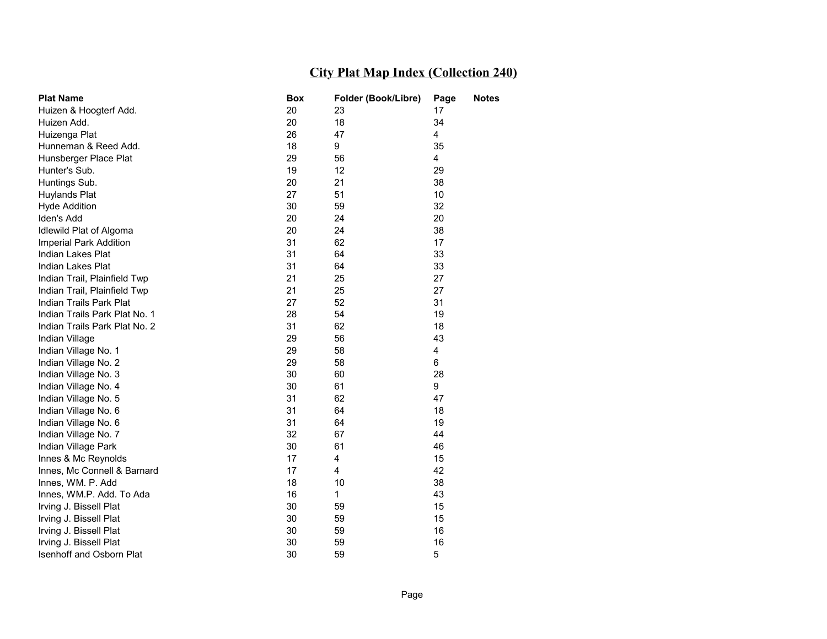| <b>Plat Name</b>              | Box | Folder (Book/Libre) | Page | <b>Notes</b> |
|-------------------------------|-----|---------------------|------|--------------|
| Huizen & Hoogterf Add.        | 20  | 23                  | 17   |              |
| Huizen Add.                   | 20  | 18                  | 34   |              |
| Huizenga Plat                 | 26  | 47                  | 4    |              |
| Hunneman & Reed Add.          | 18  | 9                   | 35   |              |
| Hunsberger Place Plat         | 29  | 56                  | 4    |              |
| Hunter's Sub.                 | 19  | 12                  | 29   |              |
| Huntings Sub.                 | 20  | 21                  | 38   |              |
| Huylands Plat                 | 27  | 51                  | 10   |              |
| <b>Hyde Addition</b>          | 30  | 59                  | 32   |              |
| Iden's Add                    | 20  | 24                  | 20   |              |
| Idlewild Plat of Algoma       | 20  | 24                  | 38   |              |
| Imperial Park Addition        | 31  | 62                  | 17   |              |
| Indian Lakes Plat             | 31  | 64                  | 33   |              |
| Indian Lakes Plat             | 31  | 64                  | 33   |              |
| Indian Trail, Plainfield Twp  | 21  | 25                  | 27   |              |
| Indian Trail, Plainfield Twp  | 21  | 25                  | 27   |              |
| Indian Trails Park Plat       | 27  | 52                  | 31   |              |
| Indian Trails Park Plat No. 1 | 28  | 54                  | 19   |              |
| Indian Trails Park Plat No. 2 | 31  | 62                  | 18   |              |
| Indian Village                | 29  | 56                  | 43   |              |
| Indian Village No. 1          | 29  | 58                  | 4    |              |
| Indian Village No. 2          | 29  | 58                  | 6    |              |
| Indian Village No. 3          | 30  | 60                  | 28   |              |
| Indian Village No. 4          | 30  | 61                  | 9    |              |
| Indian Village No. 5          | 31  | 62                  | 47   |              |
| Indian Village No. 6          | 31  | 64                  | 18   |              |
| Indian Village No. 6          | 31  | 64                  | 19   |              |
| Indian Village No. 7          | 32  | 67                  | 44   |              |
| Indian Village Park           | 30  | 61                  | 46   |              |
| Innes & Mc Reynolds           | 17  | 4                   | 15   |              |
| Innes, Mc Connell & Barnard   | 17  | 4                   | 42   |              |
| Innes, WM. P. Add             | 18  | 10                  | 38   |              |
| Innes, WM.P. Add. To Ada      | 16  | $\mathbf{1}$        | 43   |              |
| Irving J. Bissell Plat        | 30  | 59                  | 15   |              |
| Irving J. Bissell Plat        | 30  | 59                  | 15   |              |
| Irving J. Bissell Plat        | 30  | 59                  | 16   |              |
| Irving J. Bissell Plat        | 30  | 59                  | 16   |              |
| Isenhoff and Osborn Plat      | 30  | 59                  | 5    |              |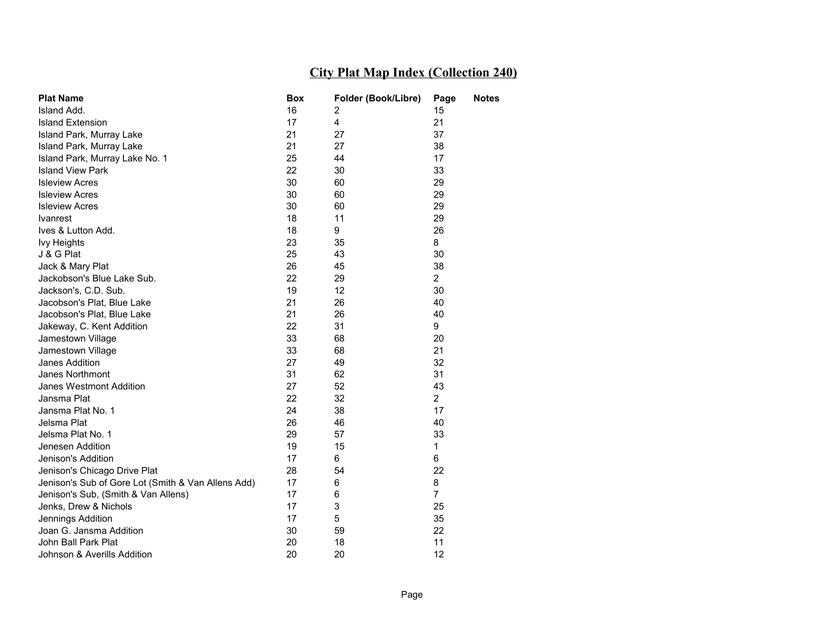| <b>Plat Name</b>                                   | Box | Folder (Book/Libre) | Page           | <b>Notes</b> |
|----------------------------------------------------|-----|---------------------|----------------|--------------|
| Island Add.                                        | 16  | 2                   | 15             |              |
| <b>Island Extension</b>                            | 17  | 4                   | 21             |              |
| Island Park, Murray Lake                           | 21  | 27                  | 37             |              |
| Island Park, Murray Lake                           | 21  | 27                  | 38             |              |
| Island Park, Murray Lake No. 1                     | 25  | 44                  | 17             |              |
| <b>Island View Park</b>                            | 22  | 30                  | 33             |              |
| <b>Isleview Acres</b>                              | 30  | 60                  | 29             |              |
| <b>Isleview Acres</b>                              | 30  | 60                  | 29             |              |
| <b>Isleview Acres</b>                              | 30  | 60                  | 29             |              |
| <b>Ivanrest</b>                                    | 18  | 11                  | 29             |              |
| Ives & Lutton Add.                                 | 18  | 9                   | 26             |              |
| <b>Ivy Heights</b>                                 | 23  | 35                  | 8              |              |
| J & G Plat                                         | 25  | 43                  | 30             |              |
| Jack & Mary Plat                                   | 26  | 45                  | 38             |              |
| Jackobson's Blue Lake Sub.                         | 22  | 29                  | $\mathbf{2}$   |              |
| Jackson's, C.D. Sub.                               | 19  | 12                  | 30             |              |
| Jacobson's Plat, Blue Lake                         | 21  | 26                  | 40             |              |
| Jacobson's Plat, Blue Lake                         | 21  | 26                  | 40             |              |
| Jakeway, C. Kent Addition                          | 22  | 31                  | 9              |              |
| Jamestown Village                                  | 33  | 68                  | 20             |              |
| Jamestown Village                                  | 33  | 68                  | 21             |              |
| Janes Addition                                     | 27  | 49                  | 32             |              |
| Janes Northmont                                    | 31  | 62                  | 31             |              |
| Janes Westmont Addition                            | 27  | 52                  | 43             |              |
| Jansma Plat                                        | 22  | 32                  | $\overline{2}$ |              |
| Jansma Plat No. 1                                  | 24  | 38                  | 17             |              |
| Jelsma Plat                                        | 26  | 46                  | 40             |              |
| Jelsma Plat No. 1                                  | 29  | 57                  | 33             |              |
| Jenesen Addition                                   | 19  | 15                  | 1              |              |
| Jenison's Addition                                 | 17  | 6                   | 6              |              |
| Jenison's Chicago Drive Plat                       | 28  | 54                  | 22             |              |
| Jenison's Sub of Gore Lot (Smith & Van Allens Add) | 17  | 6                   | 8              |              |
| Jenison's Sub, (Smith & Van Allens)                | 17  | 6                   | $\overline{7}$ |              |
| Jenks, Drew & Nichols                              | 17  | 3                   | 25             |              |
| Jennings Addition                                  | 17  | 5                   | 35             |              |
| Joan G. Jansma Addition                            | 30  | 59                  | 22             |              |
| John Ball Park Plat                                | 20  | 18                  | 11             |              |
| Johnson & Averills Addition                        | 20  | 20                  | 12             |              |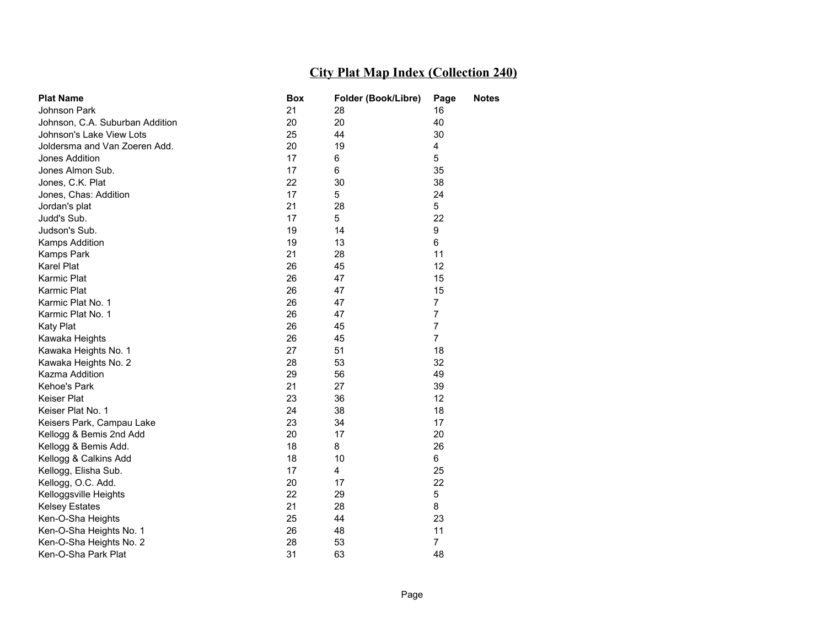| <b>Plat Name</b>                | Box | Folder (Book/Libre) | Page           | <b>Notes</b> |
|---------------------------------|-----|---------------------|----------------|--------------|
| Johnson Park                    | 21  | 28                  | 16             |              |
| Johnson, C.A. Suburban Addition | 20  | 20                  | 40             |              |
| Johnson's Lake View Lots        | 25  | 44                  | 30             |              |
| Joldersma and Van Zoeren Add.   | 20  | 19                  | 4              |              |
| Jones Addition                  | 17  | 6                   | 5              |              |
| Jones Almon Sub.                | 17  | 6                   | 35             |              |
| Jones, C.K. Plat                | 22  | 30                  | 38             |              |
| Jones, Chas: Addition           | 17  | 5                   | 24             |              |
| Jordan's plat                   | 21  | 28                  | 5              |              |
| Judd's Sub.                     | 17  | 5                   | 22             |              |
| Judson's Sub.                   | 19  | 14                  | 9              |              |
| Kamps Addition                  | 19  | 13                  | 6              |              |
| Kamps Park                      | 21  | 28                  | 11             |              |
| <b>Karel Plat</b>               | 26  | 45                  | 12             |              |
| Karmic Plat                     | 26  | 47                  | 15             |              |
| Karmic Plat                     | 26  | 47                  | 15             |              |
| Karmic Plat No. 1               | 26  | 47                  | $\overline{7}$ |              |
| Karmic Plat No. 1               | 26  | 47                  | $\overline{7}$ |              |
| <b>Katy Plat</b>                | 26  | 45                  | $\overline{7}$ |              |
| Kawaka Heights                  | 26  | 45                  | $\overline{7}$ |              |
| Kawaka Heights No. 1            | 27  | 51                  | 18             |              |
| Kawaka Heights No. 2            | 28  | 53                  | 32             |              |
| Kazma Addition                  | 29  | 56                  | 49             |              |
| Kehoe's Park                    | 21  | 27                  | 39             |              |
| Keiser Plat                     | 23  | 36                  | 12             |              |
| Keiser Plat No. 1               | 24  | 38                  | 18             |              |
| Keisers Park, Campau Lake       | 23  | 34                  | 17             |              |
| Kellogg & Bemis 2nd Add         | 20  | 17                  | 20             |              |
| Kellogg & Bemis Add.            | 18  | 8                   | 26             |              |
| Kellogg & Calkins Add           | 18  | 10                  | 6              |              |
| Kellogg, Elisha Sub.            | 17  | 4                   | 25             |              |
| Kellogg, O.C. Add.              | 20  | 17                  | 22             |              |
| Kelloggsville Heights           | 22  | 29                  | 5              |              |
| <b>Kelsey Estates</b>           | 21  | 28                  | 8              |              |
| Ken-O-Sha Heights               | 25  | 44                  | 23             |              |
| Ken-O-Sha Heights No. 1         | 26  | 48                  | 11             |              |
| Ken-O-Sha Heights No. 2         | 28  | 53                  | $\overline{7}$ |              |
| Ken-O-Sha Park Plat             | 31  | 63                  | 48             |              |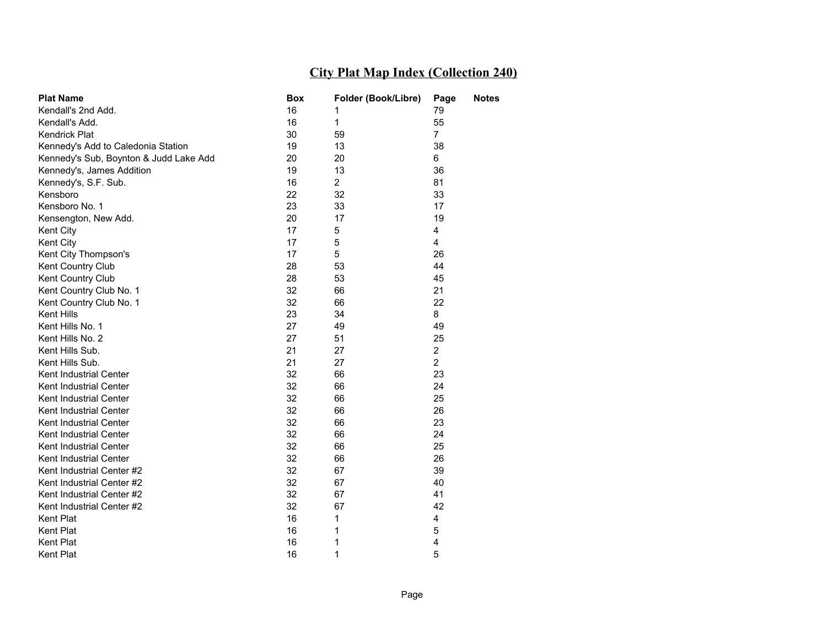| <b>Plat Name</b>                       | Box | Folder (Book/Libre) | Page           | <b>Notes</b> |
|----------------------------------------|-----|---------------------|----------------|--------------|
| Kendall's 2nd Add.                     | 16  |                     | 79             |              |
| Kendall's Add.                         | 16  | $\mathbf{1}$        | 55             |              |
| Kendrick Plat                          | 30  | 59                  | $\overline{7}$ |              |
| Kennedy's Add to Caledonia Station     | 19  | 13                  | 38             |              |
| Kennedy's Sub, Boynton & Judd Lake Add | 20  | 20                  | 6              |              |
| Kennedy's, James Addition              | 19  | 13                  | 36             |              |
| Kennedy's, S.F. Sub.                   | 16  | $\overline{2}$      | 81             |              |
| Kensboro                               | 22  | 32                  | 33             |              |
| Kensboro No. 1                         | 23  | 33                  | 17             |              |
| Kensengton, New Add.                   | 20  | 17                  | 19             |              |
| Kent City                              | 17  | 5                   | 4              |              |
| Kent City                              | 17  | 5                   | 4              |              |
| Kent City Thompson's                   | 17  | 5                   | 26             |              |
| Kent Country Club                      | 28  | 53                  | 44             |              |
| Kent Country Club                      | 28  | 53                  | 45             |              |
| Kent Country Club No. 1                | 32  | 66                  | 21             |              |
| Kent Country Club No. 1                | 32  | 66                  | 22             |              |
| Kent Hills                             | 23  | 34                  | 8              |              |
| Kent Hills No. 1                       | 27  | 49                  | 49             |              |
| Kent Hills No. 2                       | 27  | 51                  | 25             |              |
| Kent Hills Sub.                        | 21  | 27                  | $\overline{2}$ |              |
| Kent Hills Sub.                        | 21  | 27                  | $\overline{2}$ |              |
| Kent Industrial Center                 | 32  | 66                  | 23             |              |
| Kent Industrial Center                 | 32  | 66                  | 24             |              |
| Kent Industrial Center                 | 32  | 66                  | 25             |              |
| Kent Industrial Center                 | 32  | 66                  | 26             |              |
| Kent Industrial Center                 | 32  | 66                  | 23             |              |
| Kent Industrial Center                 | 32  | 66                  | 24             |              |
| Kent Industrial Center                 | 32  | 66                  | 25             |              |
| Kent Industrial Center                 | 32  | 66                  | 26             |              |
| Kent Industrial Center #2              | 32  | 67                  | 39             |              |
| Kent Industrial Center #2              | 32  | 67                  | 40             |              |
| Kent Industrial Center #2              | 32  | 67                  | 41             |              |
| Kent Industrial Center #2              | 32  | 67                  | 42             |              |
| Kent Plat                              | 16  | 1                   | 4              |              |
| Kent Plat                              | 16  | 1                   | 5              |              |
| Kent Plat                              | 16  | 1                   | 4              |              |
| <b>Kent Plat</b>                       | 16  | 1                   | 5              |              |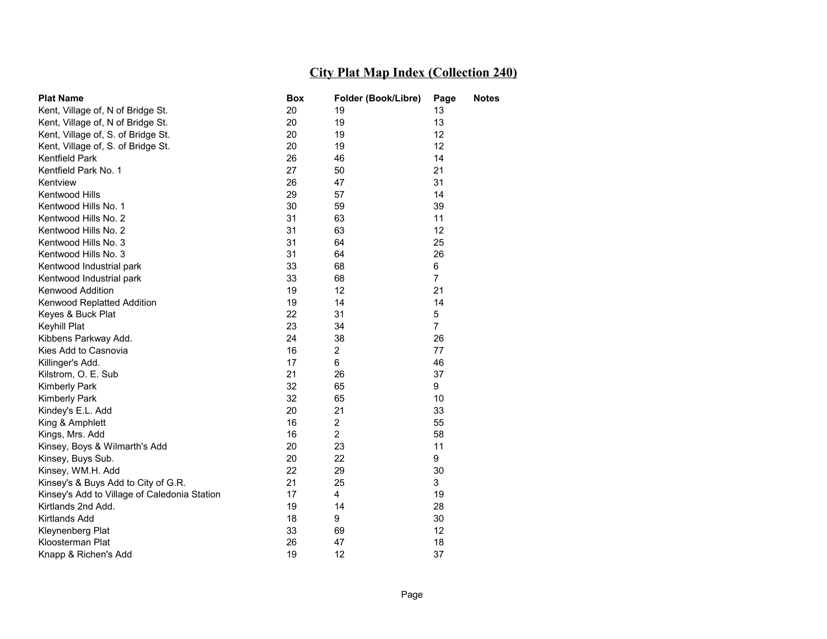| <b>Plat Name</b>                             | <b>Box</b> | Folder (Book/Libre) | Page           | <b>Notes</b> |
|----------------------------------------------|------------|---------------------|----------------|--------------|
| Kent, Village of, N of Bridge St.            | 20         | 19                  | 13             |              |
| Kent, Village of, N of Bridge St.            | 20         | 19                  | 13             |              |
| Kent, Village of, S. of Bridge St.           | 20         | 19                  | 12             |              |
| Kent, Village of, S. of Bridge St.           | 20         | 19                  | 12             |              |
| <b>Kentfield Park</b>                        | 26         | 46                  | 14             |              |
| Kentfield Park No. 1                         | 27         | 50                  | 21             |              |
| Kentview                                     | 26         | 47                  | 31             |              |
| Kentwood Hills                               | 29         | 57                  | 14             |              |
| Kentwood Hills No. 1                         | 30         | 59                  | 39             |              |
| Kentwood Hills No. 2                         | 31         | 63                  | 11             |              |
| Kentwood Hills No. 2                         | 31         | 63                  | 12             |              |
| Kentwood Hills No. 3                         | 31         | 64                  | 25             |              |
| Kentwood Hills No. 3                         | 31         | 64                  | 26             |              |
| Kentwood Industrial park                     | 33         | 68                  | 6              |              |
| Kentwood Industrial park                     | 33         | 68                  | $\overline{7}$ |              |
| <b>Kenwood Addition</b>                      | 19         | 12                  | 21             |              |
| Kenwood Replatted Addition                   | 19         | 14                  | 14             |              |
| Keyes & Buck Plat                            | 22         | 31                  | 5              |              |
| Keyhill Plat                                 | 23         | 34                  | $\overline{7}$ |              |
| Kibbens Parkway Add.                         | 24         | 38                  | 26             |              |
| Kies Add to Casnovia                         | 16         | $\overline{2}$      | 77             |              |
| Killinger's Add.                             | 17         | 6                   | 46             |              |
| Kilstrom, O. E. Sub                          | 21         | 26                  | 37             |              |
| <b>Kimberly Park</b>                         | 32         | 65                  | 9              |              |
| <b>Kimberly Park</b>                         | 32         | 65                  | 10             |              |
| Kindey's E.L. Add                            | 20         | 21                  | 33             |              |
| King & Amphlett                              | 16         | $\overline{2}$      | 55             |              |
| Kings, Mrs. Add                              | 16         | $\overline{2}$      | 58             |              |
| Kinsey, Boys & Wilmarth's Add                | 20         | 23                  | 11             |              |
| Kinsey, Buys Sub.                            | 20         | 22                  | 9              |              |
| Kinsey, WM.H. Add                            | 22         | 29                  | 30             |              |
| Kinsey's & Buys Add to City of G.R.          | 21         | 25                  | 3              |              |
| Kinsey's Add to Village of Caledonia Station | 17         | 4                   | 19             |              |
| Kirtlands 2nd Add.                           | 19         | 14                  | 28             |              |
| Kirtlands Add                                | 18         | 9                   | 30             |              |
| Kleynenberg Plat                             | 33         | 69                  | 12             |              |
| Kloosterman Plat                             | 26         | 47                  | 18             |              |
| Knapp & Richen's Add                         | 19         | 12                  | 37             |              |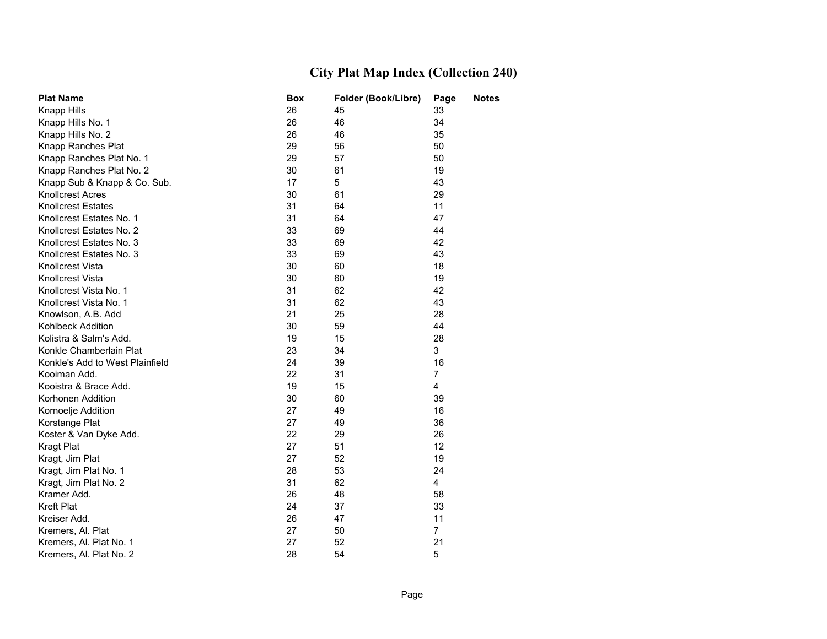| <b>Plat Name</b>                | Box | Folder (Book/Libre) | Page           | <b>Notes</b> |
|---------------------------------|-----|---------------------|----------------|--------------|
| Knapp Hills                     | 26  | 45                  | 33             |              |
| Knapp Hills No. 1               | 26  | 46                  | 34             |              |
| Knapp Hills No. 2               | 26  | 46                  | 35             |              |
| Knapp Ranches Plat              | 29  | 56                  | 50             |              |
| Knapp Ranches Plat No. 1        | 29  | 57                  | 50             |              |
| Knapp Ranches Plat No. 2        | 30  | 61                  | 19             |              |
| Knapp Sub & Knapp & Co. Sub.    | 17  | 5                   | 43             |              |
| <b>Knollcrest Acres</b>         | 30  | 61                  | 29             |              |
| <b>Knollcrest Estates</b>       | 31  | 64                  | 11             |              |
| Knollcrest Estates No. 1        | 31  | 64                  | 47             |              |
| Knollcrest Estates No. 2        | 33  | 69                  | 44             |              |
| Knollcrest Estates No. 3        | 33  | 69                  | 42             |              |
| Knollcrest Estates No. 3        | 33  | 69                  | 43             |              |
| Knollcrest Vista                | 30  | 60                  | 18             |              |
| <b>Knollcrest Vista</b>         | 30  | 60                  | 19             |              |
| Knollcrest Vista No. 1          | 31  | 62                  | 42             |              |
| Knollcrest Vista No. 1          | 31  | 62                  | 43             |              |
| Knowlson, A.B. Add              | 21  | 25                  | 28             |              |
| Kohlbeck Addition               | 30  | 59                  | 44             |              |
| Kolistra & Salm's Add.          | 19  | 15                  | 28             |              |
| Konkle Chamberlain Plat         | 23  | 34                  | 3              |              |
| Konkle's Add to West Plainfield | 24  | 39                  | 16             |              |
| Kooiman Add.                    | 22  | 31                  | $\overline{7}$ |              |
| Kooistra & Brace Add.           | 19  | 15                  | 4              |              |
| Korhonen Addition               | 30  | 60                  | 39             |              |
| Kornoelje Addition              | 27  | 49                  | 16             |              |
| Korstange Plat                  | 27  | 49                  | 36             |              |
| Koster & Van Dyke Add.          | 22  | 29                  | 26             |              |
| <b>Kragt Plat</b>               | 27  | 51                  | 12             |              |
| Kragt, Jim Plat                 | 27  | 52                  | 19             |              |
| Kragt, Jim Plat No. 1           | 28  | 53                  | 24             |              |
| Kragt, Jim Plat No. 2           | 31  | 62                  | 4              |              |
| Kramer Add.                     | 26  | 48                  | 58             |              |
| <b>Kreft Plat</b>               | 24  | 37                  | 33             |              |
| Kreiser Add.                    | 26  | 47                  | 11             |              |
| Kremers, Al. Plat               | 27  | 50                  | $\overline{7}$ |              |
| Kremers, Al. Plat No. 1         | 27  | 52                  | 21             |              |
| Kremers, Al. Plat No. 2         | 28  | 54                  | 5              |              |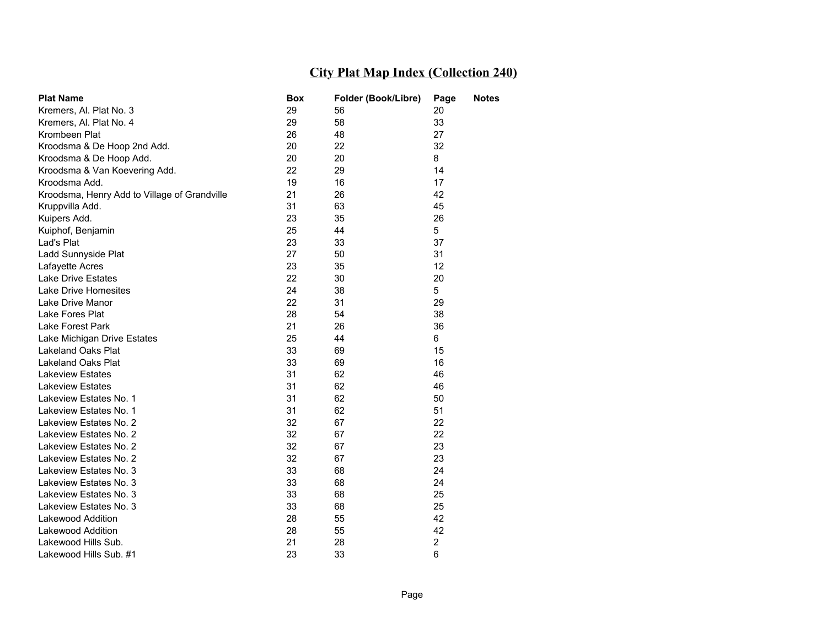| <b>Plat Name</b>                             | Box | Folder (Book/Libre) | Page           | <b>Notes</b> |
|----------------------------------------------|-----|---------------------|----------------|--------------|
| Kremers, Al. Plat No. 3                      | 29  | 56                  | 20             |              |
| Kremers, Al. Plat No. 4                      | 29  | 58                  | 33             |              |
| Krombeen Plat                                | 26  | 48                  | 27             |              |
| Kroodsma & De Hoop 2nd Add.                  | 20  | 22                  | 32             |              |
| Kroodsma & De Hoop Add.                      | 20  | 20                  | 8              |              |
| Kroodsma & Van Koevering Add.                | 22  | 29                  | 14             |              |
| Kroodsma Add.                                | 19  | 16                  | 17             |              |
| Kroodsma, Henry Add to Village of Grandville | 21  | 26                  | 42             |              |
| Kruppvilla Add.                              | 31  | 63                  | 45             |              |
| Kuipers Add.                                 | 23  | 35                  | 26             |              |
| Kuiphof, Benjamin                            | 25  | 44                  | 5              |              |
| Lad's Plat                                   | 23  | 33                  | 37             |              |
| Ladd Sunnyside Plat                          | 27  | 50                  | 31             |              |
| Lafayette Acres                              | 23  | 35                  | 12             |              |
| <b>Lake Drive Estates</b>                    | 22  | 30                  | 20             |              |
| Lake Drive Homesites                         | 24  | 38                  | 5              |              |
| Lake Drive Manor                             | 22  | 31                  | 29             |              |
| Lake Fores Plat                              | 28  | 54                  | 38             |              |
| Lake Forest Park                             | 21  | 26                  | 36             |              |
| Lake Michigan Drive Estates                  | 25  | 44                  | 6              |              |
| <b>Lakeland Oaks Plat</b>                    | 33  | 69                  | 15             |              |
| <b>Lakeland Oaks Plat</b>                    | 33  | 69                  | 16             |              |
| <b>Lakeview Estates</b>                      | 31  | 62                  | 46             |              |
| <b>Lakeview Estates</b>                      | 31  | 62                  | 46             |              |
| Lakeview Estates No. 1                       | 31  | 62                  | 50             |              |
| Lakeview Estates No. 1                       | 31  | 62                  | 51             |              |
| Lakeview Estates No. 2                       | 32  | 67                  | 22             |              |
| Lakeview Estates No. 2                       | 32  | 67                  | 22             |              |
| Lakeview Estates No. 2                       | 32  | 67                  | 23             |              |
| Lakeview Estates No. 2                       | 32  | 67                  | 23             |              |
| Lakeview Estates No. 3                       | 33  | 68                  | 24             |              |
| Lakeview Estates No. 3                       | 33  | 68                  | 24             |              |
| Lakeview Estates No. 3                       | 33  | 68                  | 25             |              |
| Lakeview Estates No. 3                       | 33  | 68                  | 25             |              |
| Lakewood Addition                            | 28  | 55                  | 42             |              |
| <b>Lakewood Addition</b>                     | 28  | 55                  | 42             |              |
| Lakewood Hills Sub.                          | 21  | 28                  | $\overline{2}$ |              |
| Lakewood Hills Sub. #1                       | 23  | 33                  | 6              |              |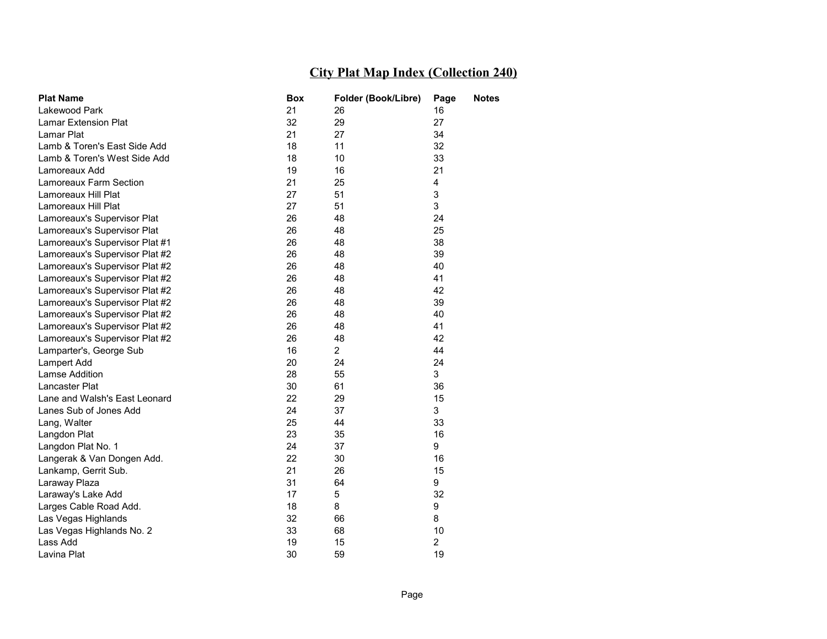| <b>Plat Name</b>               | Box | Folder (Book/Libre) | Page           | <b>Notes</b> |
|--------------------------------|-----|---------------------|----------------|--------------|
| Lakewood Park                  | 21  | 26                  | 16             |              |
| Lamar Extension Plat           | 32  | 29                  | 27             |              |
| Lamar Plat                     | 21  | 27                  | 34             |              |
| Lamb & Toren's East Side Add   | 18  | 11                  | 32             |              |
| Lamb & Toren's West Side Add   | 18  | 10                  | 33             |              |
| Lamoreaux Add                  | 19  | 16                  | 21             |              |
| Lamoreaux Farm Section         | 21  | 25                  | 4              |              |
| Lamoreaux Hill Plat            | 27  | 51                  | 3              |              |
| Lamoreaux Hill Plat            | 27  | 51                  | 3              |              |
| Lamoreaux's Supervisor Plat    | 26  | 48                  | 24             |              |
| Lamoreaux's Supervisor Plat    | 26  | 48                  | 25             |              |
| Lamoreaux's Supervisor Plat #1 | 26  | 48                  | 38             |              |
| Lamoreaux's Supervisor Plat #2 | 26  | 48                  | 39             |              |
| Lamoreaux's Supervisor Plat #2 | 26  | 48                  | 40             |              |
| Lamoreaux's Supervisor Plat #2 | 26  | 48                  | 41             |              |
| Lamoreaux's Supervisor Plat #2 | 26  | 48                  | 42             |              |
| Lamoreaux's Supervisor Plat #2 | 26  | 48                  | 39             |              |
| Lamoreaux's Supervisor Plat #2 | 26  | 48                  | 40             |              |
| Lamoreaux's Supervisor Plat #2 | 26  | 48                  | 41             |              |
| Lamoreaux's Supervisor Plat #2 | 26  | 48                  | 42             |              |
| Lamparter's, George Sub        | 16  | $\overline{2}$      | 44             |              |
| Lampert Add                    | 20  | 24                  | 24             |              |
| Lamse Addition                 | 28  | 55                  | 3              |              |
| Lancaster Plat                 | 30  | 61                  | 36             |              |
| Lane and Walsh's East Leonard  | 22  | 29                  | 15             |              |
| Lanes Sub of Jones Add         | 24  | 37                  | 3              |              |
| Lang, Walter                   | 25  | 44                  | 33             |              |
| Langdon Plat                   | 23  | 35                  | 16             |              |
| Langdon Plat No. 1             | 24  | 37                  | 9              |              |
| Langerak & Van Dongen Add.     | 22  | 30                  | 16             |              |
| Lankamp, Gerrit Sub.           | 21  | 26                  | 15             |              |
| Laraway Plaza                  | 31  | 64                  | 9              |              |
| Laraway's Lake Add             | 17  | 5                   | 32             |              |
| Larges Cable Road Add.         | 18  | 8                   | 9              |              |
| Las Vegas Highlands            | 32  | 66                  | 8              |              |
| Las Vegas Highlands No. 2      | 33  | 68                  | 10             |              |
| Lass Add                       | 19  | 15                  | $\overline{2}$ |              |
| Lavina Plat                    | 30  | 59                  | 19             |              |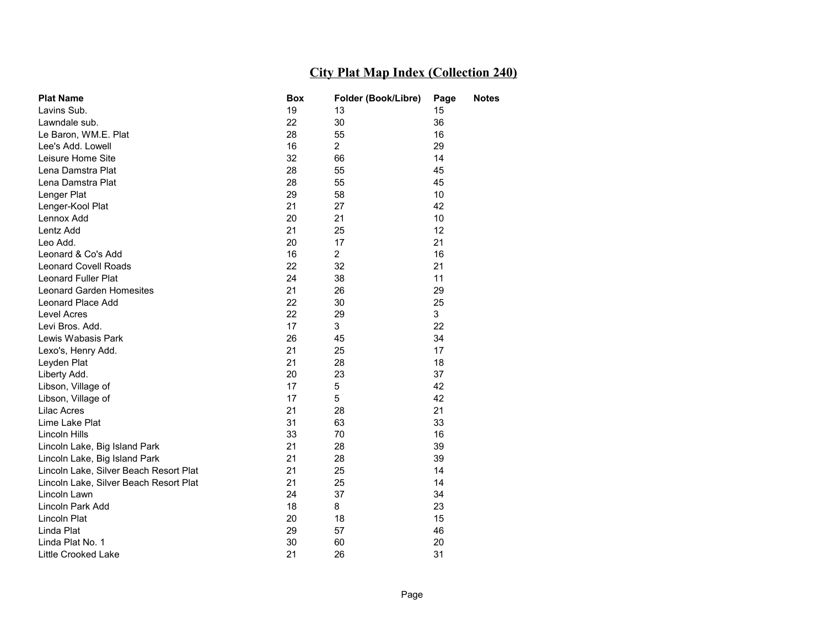| <b>Plat Name</b>                       | <b>Box</b> | Folder (Book/Libre) | Page | <b>Notes</b> |
|----------------------------------------|------------|---------------------|------|--------------|
| Lavins Sub.                            | 19         | 13                  | 15   |              |
| Lawndale sub.                          | 22         | 30                  | 36   |              |
| Le Baron, WM.E. Plat                   | 28         | 55                  | 16   |              |
| Lee's Add. Lowell                      | 16         | $\overline{2}$      | 29   |              |
| Leisure Home Site                      | 32         | 66                  | 14   |              |
| Lena Damstra Plat                      | 28         | 55                  | 45   |              |
| Lena Damstra Plat                      | 28         | 55                  | 45   |              |
| Lenger Plat                            | 29         | 58                  | 10   |              |
| Lenger-Kool Plat                       | 21         | 27                  | 42   |              |
| Lennox Add                             | 20         | 21                  | 10   |              |
| Lentz Add                              | 21         | 25                  | 12   |              |
| Leo Add.                               | 20         | 17                  | 21   |              |
| Leonard & Co's Add                     | 16         | $\overline{2}$      | 16   |              |
| <b>Leonard Covell Roads</b>            | 22         | 32                  | 21   |              |
| Leonard Fuller Plat                    | 24         | 38                  | 11   |              |
| Leonard Garden Homesites               | 21         | 26                  | 29   |              |
| Leonard Place Add                      | 22         | 30                  | 25   |              |
| Level Acres                            | 22         | 29                  | 3    |              |
| Levi Bros, Add.                        | 17         | 3                   | 22   |              |
| Lewis Wabasis Park                     | 26         | 45                  | 34   |              |
| Lexo's, Henry Add.                     | 21         | 25                  | 17   |              |
| Leyden Plat                            | 21         | 28                  | 18   |              |
| Liberty Add.                           | 20         | 23                  | 37   |              |
| Libson, Village of                     | 17         | 5                   | 42   |              |
| Libson, Village of                     | 17         | 5                   | 42   |              |
| <b>Lilac Acres</b>                     | 21         | 28                  | 21   |              |
| Lime Lake Plat                         | 31         | 63                  | 33   |              |
| Lincoln Hills                          | 33         | 70                  | 16   |              |
| Lincoln Lake, Big Island Park          | 21         | 28                  | 39   |              |
| Lincoln Lake, Big Island Park          | 21         | 28                  | 39   |              |
| Lincoln Lake, Silver Beach Resort Plat | 21         | 25                  | 14   |              |
| Lincoln Lake, Silver Beach Resort Plat | 21         | 25                  | 14   |              |
| Lincoln Lawn                           | 24         | 37                  | 34   |              |
| Lincoln Park Add                       | 18         | 8                   | 23   |              |
| Lincoln Plat                           | 20         | 18                  | 15   |              |
| Linda Plat                             | 29         | 57                  | 46   |              |
| Linda Plat No. 1                       | 30         | 60                  | 20   |              |
| Little Crooked Lake                    | 21         | 26                  | 31   |              |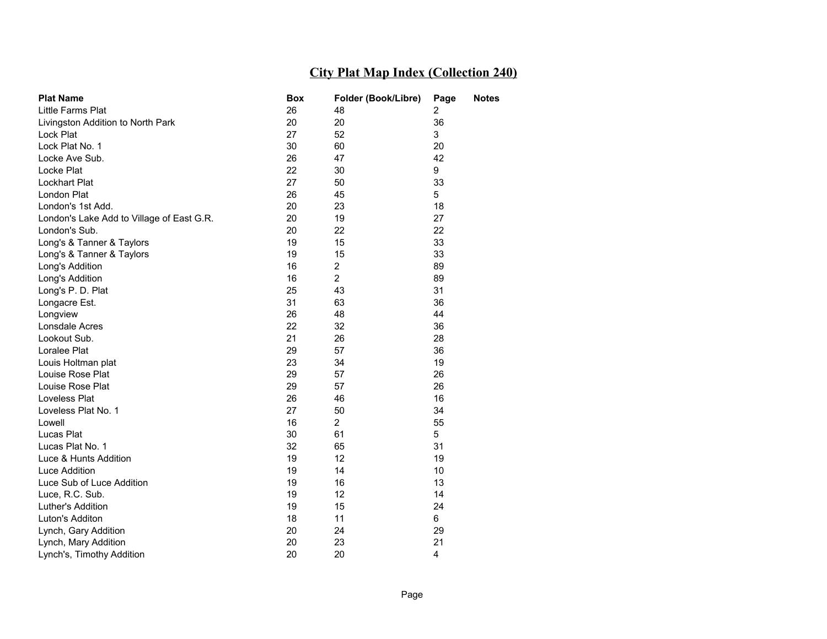| <b>Plat Name</b>                          | Box | Folder (Book/Libre) | Page | <b>Notes</b> |
|-------------------------------------------|-----|---------------------|------|--------------|
| <b>Little Farms Plat</b>                  | 26  | 48                  | 2    |              |
| Livingston Addition to North Park         | 20  | 20                  | 36   |              |
| Lock Plat                                 | 27  | 52                  | 3    |              |
| Lock Plat No. 1                           | 30  | 60                  | 20   |              |
| Locke Ave Sub.                            | 26  | 47                  | 42   |              |
| Locke Plat                                | 22  | 30                  | 9    |              |
| <b>Lockhart Plat</b>                      | 27  | 50                  | 33   |              |
| London Plat                               | 26  | 45                  | 5    |              |
| London's 1st Add.                         | 20  | 23                  | 18   |              |
| London's Lake Add to Village of East G.R. | 20  | 19                  | 27   |              |
| London's Sub.                             | 20  | 22                  | 22   |              |
| Long's & Tanner & Taylors                 | 19  | 15                  | 33   |              |
| Long's & Tanner & Taylors                 | 19  | 15                  | 33   |              |
| Long's Addition                           | 16  | $\overline{2}$      | 89   |              |
| Long's Addition                           | 16  | $\overline{2}$      | 89   |              |
| Long's P. D. Plat                         | 25  | 43                  | 31   |              |
| Longacre Est.                             | 31  | 63                  | 36   |              |
| Longview                                  | 26  | 48                  | 44   |              |
| Lonsdale Acres                            | 22  | 32                  | 36   |              |
| Lookout Sub.                              | 21  | 26                  | 28   |              |
| Loralee Plat                              | 29  | 57                  | 36   |              |
| Louis Holtman plat                        | 23  | 34                  | 19   |              |
| Louise Rose Plat                          | 29  | 57                  | 26   |              |
| Louise Rose Plat                          | 29  | 57                  | 26   |              |
| Loveless Plat                             | 26  | 46                  | 16   |              |
| Loveless Plat No. 1                       | 27  | 50                  | 34   |              |
| Lowell                                    | 16  | $\overline{2}$      | 55   |              |
| Lucas Plat                                | 30  | 61                  | 5    |              |
| Lucas Plat No. 1                          | 32  | 65                  | 31   |              |
| Luce & Hunts Addition                     | 19  | 12                  | 19   |              |
| Luce Addition                             | 19  | 14                  | 10   |              |
| Luce Sub of Luce Addition                 | 19  | 16                  | 13   |              |
| Luce, R.C. Sub.                           | 19  | 12                  | 14   |              |
| Luther's Addition                         | 19  | 15                  | 24   |              |
| Luton's Additon                           | 18  | 11                  | 6    |              |
| Lynch, Gary Addition                      | 20  | 24                  | 29   |              |
| Lynch, Mary Addition                      | 20  | 23                  | 21   |              |
| Lynch's, Timothy Addition                 | 20  | 20                  | 4    |              |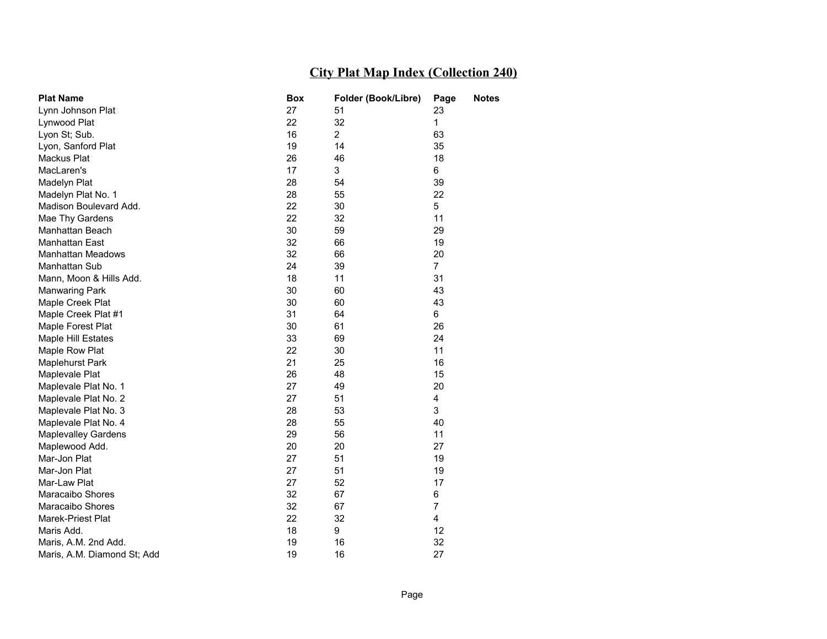| <b>Plat Name</b>            | <b>Box</b> | Folder (Book/Libre) | Page           | <b>Notes</b> |
|-----------------------------|------------|---------------------|----------------|--------------|
| Lynn Johnson Plat           | 27         | 51                  | 23             |              |
| Lynwood Plat                | 22         | 32                  | $\mathbf{1}$   |              |
| Lyon St; Sub.               | 16         | $\overline{2}$      | 63             |              |
| Lyon, Sanford Plat          | 19         | 14                  | 35             |              |
| Mackus Plat                 | 26         | 46                  | 18             |              |
| MacLaren's                  | 17         | 3                   | 6              |              |
| Madelyn Plat                | 28         | 54                  | 39             |              |
| Madelyn Plat No. 1          | 28         | 55                  | 22             |              |
| Madison Boulevard Add.      | 22         | 30                  | 5              |              |
| Mae Thy Gardens             | 22         | 32                  | 11             |              |
| Manhattan Beach             | 30         | 59                  | 29             |              |
| Manhattan East              | 32         | 66                  | 19             |              |
| <b>Manhattan Meadows</b>    | 32         | 66                  | 20             |              |
| Manhattan Sub               | 24         | 39                  | $\overline{7}$ |              |
| Mann, Moon & Hills Add.     | 18         | 11                  | 31             |              |
| <b>Manwaring Park</b>       | 30         | 60                  | 43             |              |
| Maple Creek Plat            | 30         | 60                  | 43             |              |
| Maple Creek Plat #1         | 31         | 64                  | 6              |              |
| Maple Forest Plat           | 30         | 61                  | 26             |              |
| Maple Hill Estates          | 33         | 69                  | 24             |              |
| Maple Row Plat              | 22         | 30                  | 11             |              |
| Maplehurst Park             | 21         | 25                  | 16             |              |
| Maplevale Plat              | 26         | 48                  | 15             |              |
| Maplevale Plat No. 1        | 27         | 49                  | 20             |              |
| Maplevale Plat No. 2        | 27         | 51                  | 4              |              |
| Maplevale Plat No. 3        | 28         | 53                  | 3              |              |
| Maplevale Plat No. 4        | 28         | 55                  | 40             |              |
| <b>Maplevalley Gardens</b>  | 29         | 56                  | 11             |              |
| Maplewood Add.              | 20         | 20                  | 27             |              |
| Mar-Jon Plat                | 27         | 51                  | 19             |              |
| Mar-Jon Plat                | 27         | 51                  | 19             |              |
| Mar-Law Plat                | 27         | 52                  | 17             |              |
| <b>Maracaibo Shores</b>     | 32         | 67                  | 6              |              |
| Maracaibo Shores            | 32         | 67                  | $\overline{7}$ |              |
| Marek-Priest Plat           | 22         | 32                  | 4              |              |
| Maris Add.                  | 18         | 9                   | 12             |              |
| Maris, A.M. 2nd Add.        | 19         | 16                  | 32             |              |
| Maris, A.M. Diamond St; Add | 19         | 16                  | 27             |              |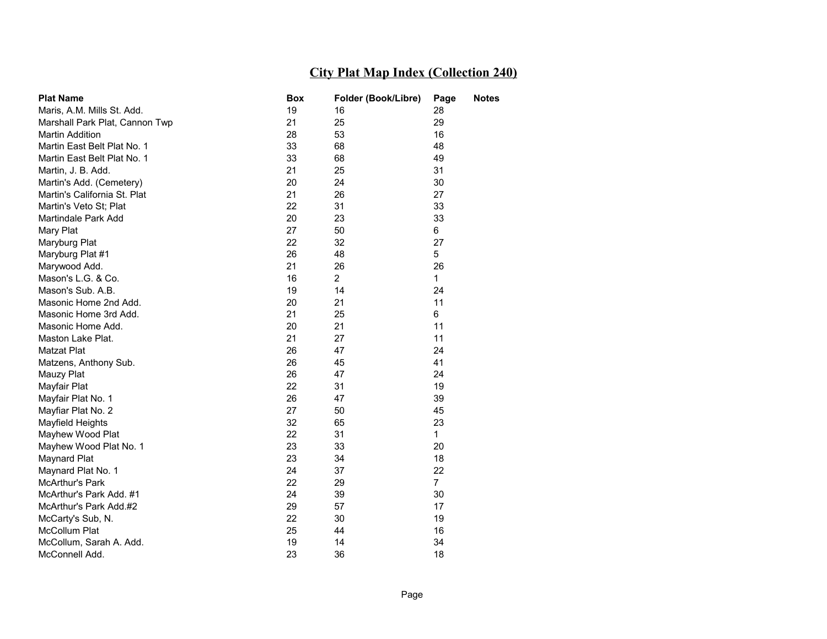| <b>Plat Name</b>               | Box | Folder (Book/Libre) | Page           | <b>Notes</b> |
|--------------------------------|-----|---------------------|----------------|--------------|
| Maris, A.M. Mills St. Add.     | 19  | 16                  | 28             |              |
| Marshall Park Plat, Cannon Twp | 21  | 25                  | 29             |              |
| <b>Martin Addition</b>         | 28  | 53                  | 16             |              |
| Martin East Belt Plat No. 1    | 33  | 68                  | 48             |              |
| Martin East Belt Plat No. 1    | 33  | 68                  | 49             |              |
| Martin, J. B. Add.             | 21  | 25                  | 31             |              |
| Martin's Add. (Cemetery)       | 20  | 24                  | 30             |              |
| Martin's California St. Plat   | 21  | 26                  | 27             |              |
| Martin's Veto St; Plat         | 22  | 31                  | 33             |              |
| Martindale Park Add            | 20  | 23                  | 33             |              |
| Mary Plat                      | 27  | 50                  | 6              |              |
| Maryburg Plat                  | 22  | 32                  | 27             |              |
| Maryburg Plat #1               | 26  | 48                  | 5              |              |
| Marywood Add.                  | 21  | 26                  | 26             |              |
| Mason's L.G. & Co.             | 16  | $\overline{2}$      | 1              |              |
| Mason's Sub. A.B.              | 19  | 14                  | 24             |              |
| Masonic Home 2nd Add.          | 20  | 21                  | 11             |              |
| Masonic Home 3rd Add.          | 21  | 25                  | 6              |              |
| Masonic Home Add.              | 20  | 21                  | 11             |              |
| Maston Lake Plat.              | 21  | 27                  | 11             |              |
| Matzat Plat                    | 26  | 47                  | 24             |              |
| Matzens, Anthony Sub.          | 26  | 45                  | 41             |              |
| Mauzy Plat                     | 26  | 47                  | 24             |              |
| Mayfair Plat                   | 22  | 31                  | 19             |              |
| Mayfair Plat No. 1             | 26  | 47                  | 39             |              |
| Mayfiar Plat No. 2             | 27  | 50                  | 45             |              |
| Mayfield Heights               | 32  | 65                  | 23             |              |
| Mayhew Wood Plat               | 22  | 31                  | $\mathbf 1$    |              |
| Mayhew Wood Plat No. 1         | 23  | 33                  | 20             |              |
| Maynard Plat                   | 23  | 34                  | 18             |              |
| Maynard Plat No. 1             | 24  | 37                  | 22             |              |
| <b>McArthur's Park</b>         | 22  | 29                  | $\overline{7}$ |              |
| McArthur's Park Add. #1        | 24  | 39                  | 30             |              |
| McArthur's Park Add.#2         | 29  | 57                  | 17             |              |
| McCarty's Sub, N.              | 22  | 30                  | 19             |              |
| McCollum Plat                  | 25  | 44                  | 16             |              |
| McCollum, Sarah A. Add.        | 19  | 14                  | 34             |              |
| McConnell Add.                 | 23  | 36                  | 18             |              |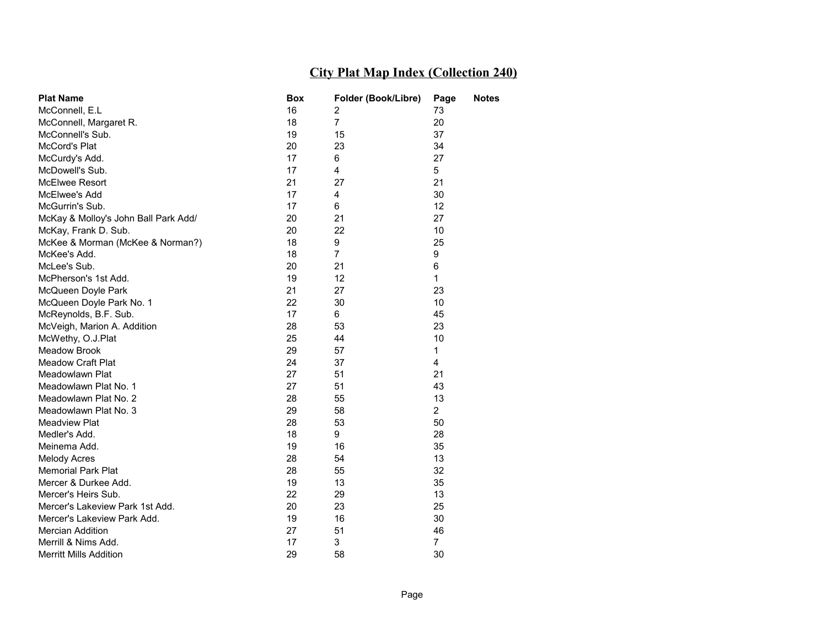| <b>Plat Name</b>                     | Box | Folder (Book/Libre) | Page            | <b>Notes</b> |
|--------------------------------------|-----|---------------------|-----------------|--------------|
| McConnell, E.L                       | 16  | 2                   | 73              |              |
| McConnell, Margaret R.               | 18  | $\overline{7}$      | 20              |              |
| McConnell's Sub.                     | 19  | 15                  | 37              |              |
| McCord's Plat                        | 20  | 23                  | 34              |              |
| McCurdy's Add.                       | 17  | 6                   | 27              |              |
| McDowell's Sub.                      | 17  | 4                   | 5               |              |
| McElwee Resort                       | 21  | 27                  | 21              |              |
| McElwee's Add                        | 17  | 4                   | 30              |              |
| McGurrin's Sub.                      | 17  | 6                   | 12 <sup>2</sup> |              |
| McKay & Molloy's John Ball Park Add/ | 20  | 21                  | 27              |              |
| McKay, Frank D. Sub.                 | 20  | 22                  | 10              |              |
| McKee & Morman (McKee & Norman?)     | 18  | 9                   | 25              |              |
| McKee's Add.                         | 18  | 7                   | 9               |              |
| McLee's Sub.                         | 20  | 21                  | 6               |              |
| McPherson's 1st Add.                 | 19  | 12                  | 1               |              |
| McQueen Doyle Park                   | 21  | 27                  | 23              |              |
| McQueen Doyle Park No. 1             | 22  | 30                  | 10              |              |
| McReynolds, B.F. Sub.                | 17  | 6                   | 45              |              |
| McVeigh, Marion A. Addition          | 28  | 53                  | 23              |              |
| McWethy, O.J.Plat                    | 25  | 44                  | 10              |              |
| <b>Meadow Brook</b>                  | 29  | 57                  | 1               |              |
| <b>Meadow Craft Plat</b>             | 24  | 37                  | 4               |              |
| Meadowlawn Plat                      | 27  | 51                  | 21              |              |
| Meadowlawn Plat No. 1                | 27  | 51                  | 43              |              |
| Meadowlawn Plat No. 2                | 28  | 55                  | 13              |              |
| Meadowlawn Plat No. 3                | 29  | 58                  | $\overline{2}$  |              |
| Meadview Plat                        | 28  | 53                  | 50              |              |
| Medler's Add.                        | 18  | 9                   | 28              |              |
| Meinema Add.                         | 19  | 16                  | 35              |              |
| <b>Melody Acres</b>                  | 28  | 54                  | 13              |              |
| <b>Memorial Park Plat</b>            | 28  | 55                  | 32              |              |
| Mercer & Durkee Add.                 | 19  | 13                  | 35              |              |
| Mercer's Heirs Sub.                  | 22  | 29                  | 13              |              |
| Mercer's Lakeview Park 1st Add.      | 20  | 23                  | 25              |              |
| Mercer's Lakeview Park Add.          | 19  | 16                  | 30              |              |
| <b>Mercian Addition</b>              | 27  | 51                  | 46              |              |
| Merrill & Nims Add.                  | 17  | 3                   | $\overline{7}$  |              |
| <b>Merritt Mills Addition</b>        | 29  | 58                  | 30              |              |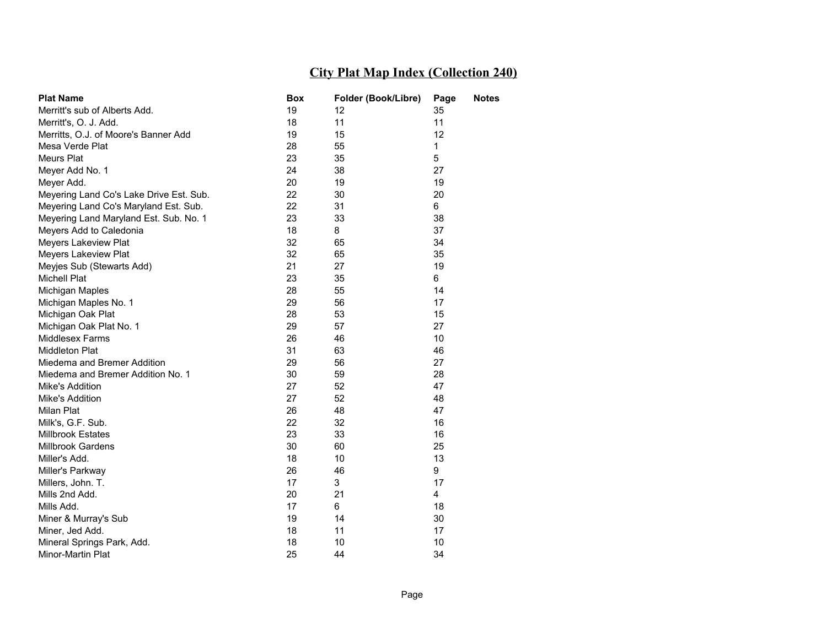| <b>Plat Name</b>                        | Box | Folder (Book/Libre) | Page            | <b>Notes</b> |
|-----------------------------------------|-----|---------------------|-----------------|--------------|
| Merritt's sub of Alberts Add.           | 19  | 12                  | 35              |              |
| Merritt's, O. J. Add.                   | 18  | 11                  | 11              |              |
| Merritts, O.J. of Moore's Banner Add    | 19  | 15                  | 12 <sub>2</sub> |              |
| Mesa Verde Plat                         | 28  | 55                  | 1               |              |
| Meurs Plat                              | 23  | 35                  | 5               |              |
| Meyer Add No. 1                         | 24  | 38                  | 27              |              |
| Meyer Add.                              | 20  | 19                  | 19              |              |
| Meyering Land Co's Lake Drive Est. Sub. | 22  | 30                  | 20              |              |
| Meyering Land Co's Maryland Est. Sub.   | 22  | 31                  | 6               |              |
| Meyering Land Maryland Est. Sub. No. 1  | 23  | 33                  | 38              |              |
| Meyers Add to Caledonia                 | 18  | 8                   | 37              |              |
| Meyers Lakeview Plat                    | 32  | 65                  | 34              |              |
| Meyers Lakeview Plat                    | 32  | 65                  | 35              |              |
| Meyjes Sub (Stewarts Add)               | 21  | 27                  | 19              |              |
| <b>Michell Plat</b>                     | 23  | 35                  | 6               |              |
| Michigan Maples                         | 28  | 55                  | 14              |              |
| Michigan Maples No. 1                   | 29  | 56                  | 17              |              |
| Michigan Oak Plat                       | 28  | 53                  | 15              |              |
| Michigan Oak Plat No. 1                 | 29  | 57                  | 27              |              |
| <b>Middlesex Farms</b>                  | 26  | 46                  | 10              |              |
| <b>Middleton Plat</b>                   | 31  | 63                  | 46              |              |
| Miedema and Bremer Addition             | 29  | 56                  | 27              |              |
| Miedema and Bremer Addition No. 1       | 30  | 59                  | 28              |              |
| Mike's Addition                         | 27  | 52                  | 47              |              |
| Mike's Addition                         | 27  | 52                  | 48              |              |
| Milan Plat                              | 26  | 48                  | 47              |              |
| Milk's, G.F. Sub.                       | 22  | 32                  | 16              |              |
| Millbrook Estates                       | 23  | 33                  | 16              |              |
| Millbrook Gardens                       | 30  | 60                  | 25              |              |
| Miller's Add.                           | 18  | 10                  | 13              |              |
| Miller's Parkway                        | 26  | 46                  | 9               |              |
| Millers, John. T.                       | 17  | 3                   | 17              |              |
| Mills 2nd Add.                          | 20  | 21                  | 4               |              |
| Mills Add.                              | 17  | 6                   | 18              |              |
| Miner & Murray's Sub                    | 19  | 14                  | 30              |              |
| Miner, Jed Add.                         | 18  | 11                  | 17              |              |
| Mineral Springs Park, Add.              | 18  | 10                  | 10              |              |
| Minor-Martin Plat                       | 25  | 44                  | 34              |              |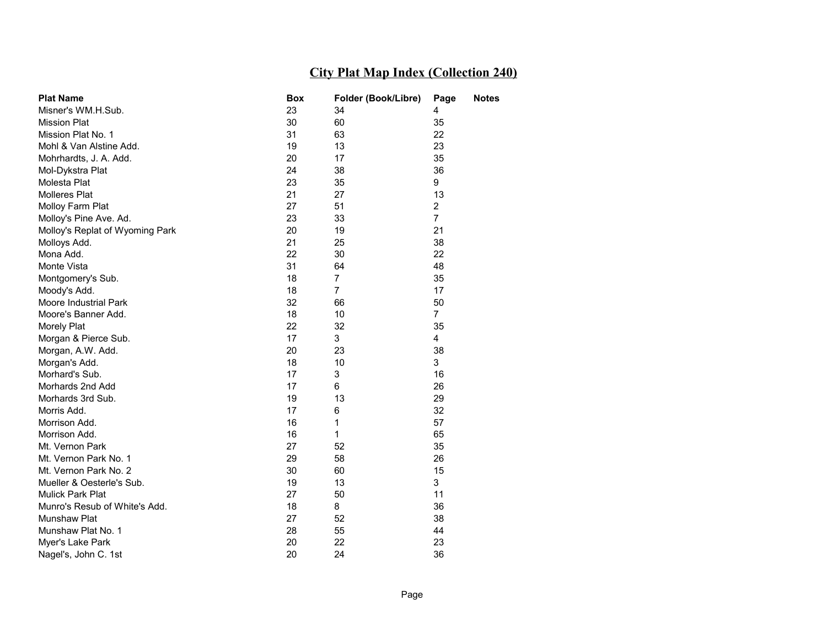| <b>Plat Name</b>                | <b>Box</b> | Folder (Book/Libre) | Page           | <b>Notes</b> |
|---------------------------------|------------|---------------------|----------------|--------------|
| Misner's WM.H.Sub.              | 23         | 34                  | 4              |              |
| <b>Mission Plat</b>             | 30         | 60                  | 35             |              |
| Mission Plat No. 1              | 31         | 63                  | 22             |              |
| Mohl & Van Alstine Add.         | 19         | 13                  | 23             |              |
| Mohrhardts, J. A. Add.          | 20         | 17                  | 35             |              |
| Mol-Dykstra Plat                | 24         | 38                  | 36             |              |
| Molesta Plat                    | 23         | 35                  | 9              |              |
| <b>Molleres Plat</b>            | 21         | 27                  | 13             |              |
| Molloy Farm Plat                | 27         | 51                  | 2              |              |
| Molloy's Pine Ave. Ad.          | 23         | 33                  | $\overline{7}$ |              |
| Molloy's Replat of Wyoming Park | 20         | 19                  | 21             |              |
| Molloys Add.                    | 21         | 25                  | 38             |              |
| Mona Add.                       | 22         | 30                  | 22             |              |
| Monte Vista                     | 31         | 64                  | 48             |              |
| Montgomery's Sub.               | 18         | 7                   | 35             |              |
| Moody's Add.                    | 18         | $\overline{7}$      | 17             |              |
| Moore Industrial Park           | 32         | 66                  | 50             |              |
| Moore's Banner Add.             | 18         | 10                  | $\overline{7}$ |              |
| Morely Plat                     | 22         | 32                  | 35             |              |
| Morgan & Pierce Sub.            | 17         | 3                   | 4              |              |
| Morgan, A.W. Add.               | 20         | 23                  | 38             |              |
| Morgan's Add.                   | 18         | 10                  | 3              |              |
| Morhard's Sub.                  | 17         | 3                   | 16             |              |
| Morhards 2nd Add                | 17         | 6                   | 26             |              |
| Morhards 3rd Sub.               | 19         | 13                  | 29             |              |
| Morris Add.                     | 17         | 6                   | 32             |              |
| Morrison Add.                   | 16         | 1                   | 57             |              |
| Morrison Add.                   | 16         | 1                   | 65             |              |
| Mt. Vernon Park                 | 27         | 52                  | 35             |              |
| Mt. Vernon Park No. 1           | 29         | 58                  | 26             |              |
| Mt. Vernon Park No. 2           | 30         | 60                  | 15             |              |
| Mueller & Oesterle's Sub.       | 19         | 13                  | 3              |              |
| <b>Mulick Park Plat</b>         | 27         | 50                  | 11             |              |
| Munro's Resub of White's Add.   | 18         | 8                   | 36             |              |
| Munshaw Plat                    | 27         | 52                  | 38             |              |
| Munshaw Plat No. 1              | 28         | 55                  | 44             |              |
| Myer's Lake Park                | 20         | 22                  | 23             |              |
| Nagel's, John C. 1st            | 20         | 24                  | 36             |              |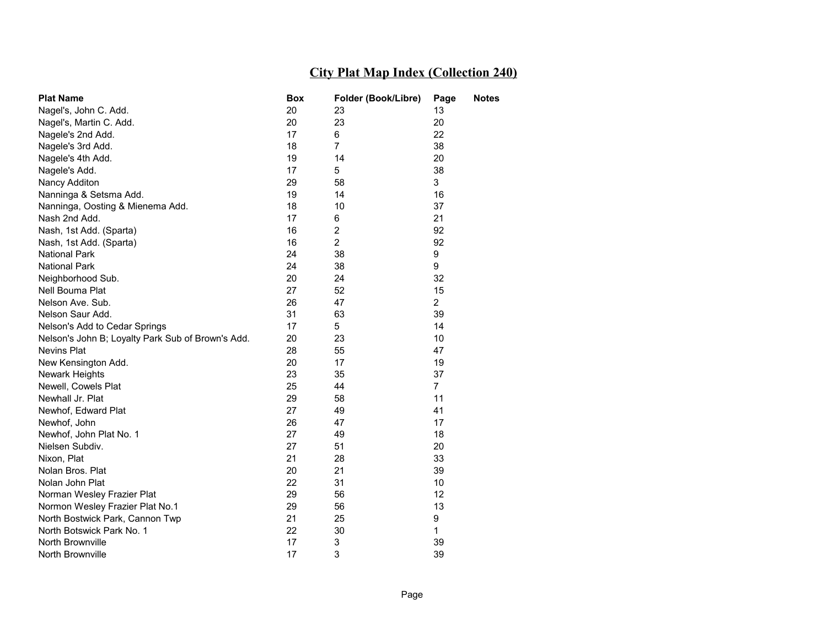| <b>Plat Name</b>                                  | Box | Folder (Book/Libre)     | Page           | <b>Notes</b> |
|---------------------------------------------------|-----|-------------------------|----------------|--------------|
| Nagel's, John C. Add.                             | 20  | 23                      | 13             |              |
| Nagel's, Martin C. Add.                           | 20  | 23                      | 20             |              |
| Nagele's 2nd Add.                                 | 17  | 6                       | 22             |              |
| Nagele's 3rd Add.                                 | 18  | $\overline{7}$          | 38             |              |
| Nagele's 4th Add.                                 | 19  | 14                      | 20             |              |
| Nagele's Add.                                     | 17  | 5                       | 38             |              |
| Nancy Additon                                     | 29  | 58                      | 3              |              |
| Nanninga & Setsma Add.                            | 19  | 14                      | 16             |              |
| Nanninga, Oosting & Mienema Add.                  | 18  | 10                      | 37             |              |
| Nash 2nd Add.                                     | 17  | 6                       | 21             |              |
| Nash, 1st Add. (Sparta)                           | 16  | $\overline{\mathbf{c}}$ | 92             |              |
| Nash, 1st Add. (Sparta)                           | 16  | $\overline{2}$          | 92             |              |
| <b>National Park</b>                              | 24  | 38                      | 9              |              |
| <b>National Park</b>                              | 24  | 38                      | 9              |              |
| Neighborhood Sub.                                 | 20  | 24                      | 32             |              |
| Nell Bouma Plat                                   | 27  | 52                      | 15             |              |
| Nelson Ave. Sub.                                  | 26  | 47                      | $\overline{2}$ |              |
| Nelson Saur Add.                                  | 31  | 63                      | 39             |              |
| Nelson's Add to Cedar Springs                     | 17  | 5                       | 14             |              |
| Nelson's John B; Loyalty Park Sub of Brown's Add. | 20  | 23                      | 10             |              |
| Nevins Plat                                       | 28  | 55                      | 47             |              |
| New Kensington Add.                               | 20  | 17                      | 19             |              |
| <b>Newark Heights</b>                             | 23  | 35                      | 37             |              |
| Newell, Cowels Plat                               | 25  | 44                      | $\overline{7}$ |              |
| Newhall Jr. Plat                                  | 29  | 58                      | 11             |              |
| Newhof, Edward Plat                               | 27  | 49                      | 41             |              |
| Newhof, John                                      | 26  | 47                      | 17             |              |
| Newhof, John Plat No. 1                           | 27  | 49                      | 18             |              |
| Nielsen Subdiv.                                   | 27  | 51                      | 20             |              |
| Nixon, Plat                                       | 21  | 28                      | 33             |              |
| Nolan Bros. Plat                                  | 20  | 21                      | 39             |              |
| Nolan John Plat                                   | 22  | 31                      | 10             |              |
| Norman Wesley Frazier Plat                        | 29  | 56                      | 12             |              |
| Normon Wesley Frazier Plat No.1                   | 29  | 56                      | 13             |              |
| North Bostwick Park, Cannon Twp                   | 21  | 25                      | 9              |              |
| North Botswick Park No. 1                         | 22  | 30                      | 1              |              |
| North Brownville                                  | 17  | 3                       | 39             |              |
| North Brownville                                  | 17  | 3                       | 39             |              |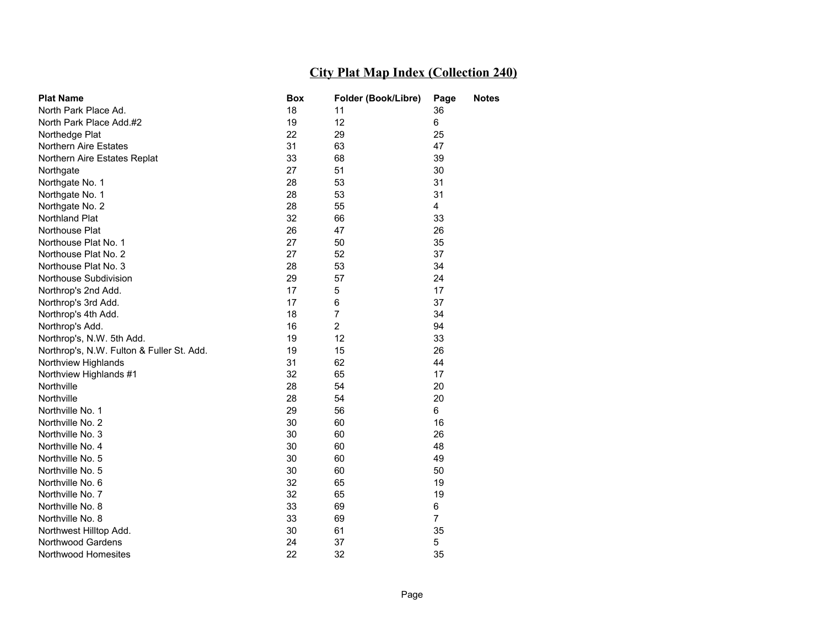| <b>Plat Name</b>                          | Box | Folder (Book/Libre) | Page           | <b>Notes</b> |
|-------------------------------------------|-----|---------------------|----------------|--------------|
| North Park Place Ad.                      | 18  | 11                  | 36             |              |
| North Park Place Add.#2                   | 19  | 12                  | 6              |              |
| Northedge Plat                            | 22  | 29                  | 25             |              |
| Northern Aire Estates                     | 31  | 63                  | 47             |              |
| Northern Aire Estates Replat              | 33  | 68                  | 39             |              |
| Northgate                                 | 27  | 51                  | 30             |              |
| Northgate No. 1                           | 28  | 53                  | 31             |              |
| Northgate No. 1                           | 28  | 53                  | 31             |              |
| Northgate No. 2                           | 28  | 55                  | 4              |              |
| Northland Plat                            | 32  | 66                  | 33             |              |
| Northouse Plat                            | 26  | 47                  | 26             |              |
| Northouse Plat No. 1                      | 27  | 50                  | 35             |              |
| Northouse Plat No. 2                      | 27  | 52                  | 37             |              |
| Northouse Plat No. 3                      | 28  | 53                  | 34             |              |
| Northouse Subdivision                     | 29  | 57                  | 24             |              |
| Northrop's 2nd Add.                       | 17  | 5                   | 17             |              |
| Northrop's 3rd Add.                       | 17  | 6                   | 37             |              |
| Northrop's 4th Add.                       | 18  | 7                   | 34             |              |
| Northrop's Add.                           | 16  | $\overline{2}$      | 94             |              |
| Northrop's, N.W. 5th Add.                 | 19  | 12                  | 33             |              |
| Northrop's, N.W. Fulton & Fuller St. Add. | 19  | 15                  | 26             |              |
| Northview Highlands                       | 31  | 62                  | 44             |              |
| Northview Highlands #1                    | 32  | 65                  | 17             |              |
| Northville                                | 28  | 54                  | 20             |              |
| Northville                                | 28  | 54                  | 20             |              |
| Northville No. 1                          | 29  | 56                  | 6              |              |
| Northville No. 2                          | 30  | 60                  | 16             |              |
| Northville No. 3                          | 30  | 60                  | 26             |              |
| Northville No. 4                          | 30  | 60                  | 48             |              |
| Northville No. 5                          | 30  | 60                  | 49             |              |
| Northville No. 5                          | 30  | 60                  | 50             |              |
| Northville No. 6                          | 32  | 65                  | 19             |              |
| Northville No. 7                          | 32  | 65                  | 19             |              |
| Northville No. 8                          | 33  | 69                  | 6              |              |
| Northville No. 8                          | 33  | 69                  | $\overline{7}$ |              |
| Northwest Hilltop Add.                    | 30  | 61                  | 35             |              |
| <b>Northwood Gardens</b>                  | 24  | 37                  | 5              |              |
| Northwood Homesites                       | 22  | 32                  | 35             |              |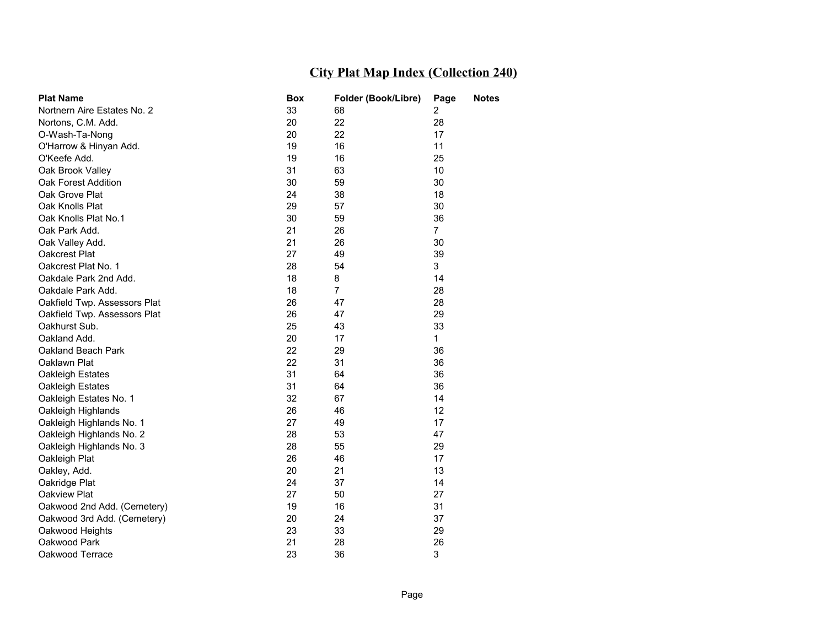| <b>Plat Name</b>             | Box | Folder (Book/Libre) | Page           | <b>Notes</b> |
|------------------------------|-----|---------------------|----------------|--------------|
| Nortnern Aire Estates No. 2  | 33  | 68                  | 2              |              |
| Nortons, C.M. Add.           | 20  | 22                  | 28             |              |
| O-Wash-Ta-Nong               | 20  | 22                  | 17             |              |
| O'Harrow & Hinyan Add.       | 19  | 16                  | 11             |              |
| O'Keefe Add.                 | 19  | 16                  | 25             |              |
| Oak Brook Valley             | 31  | 63                  | 10             |              |
| Oak Forest Addition          | 30  | 59                  | 30             |              |
| Oak Grove Plat               | 24  | 38                  | 18             |              |
| Oak Knolls Plat              | 29  | 57                  | 30             |              |
| Oak Knolls Plat No.1         | 30  | 59                  | 36             |              |
| Oak Park Add.                | 21  | 26                  | $\overline{7}$ |              |
| Oak Valley Add.              | 21  | 26                  | 30             |              |
| Oakcrest Plat                | 27  | 49                  | 39             |              |
| Oakcrest Plat No. 1          | 28  | 54                  | 3              |              |
| Oakdale Park 2nd Add.        | 18  | 8                   | 14             |              |
| Oakdale Park Add.            | 18  | $\overline{7}$      | 28             |              |
| Oakfield Twp. Assessors Plat | 26  | 47                  | 28             |              |
| Oakfield Twp. Assessors Plat | 26  | 47                  | 29             |              |
| Oakhurst Sub.                | 25  | 43                  | 33             |              |
| Oakland Add.                 | 20  | 17                  | $\mathbf{1}$   |              |
| Oakland Beach Park           | 22  | 29                  | 36             |              |
| Oaklawn Plat                 | 22  | 31                  | 36             |              |
| Oakleigh Estates             | 31  | 64                  | 36             |              |
| Oakleigh Estates             | 31  | 64                  | 36             |              |
| Oakleigh Estates No. 1       | 32  | 67                  | 14             |              |
| Oakleigh Highlands           | 26  | 46                  | 12             |              |
| Oakleigh Highlands No. 1     | 27  | 49                  | 17             |              |
| Oakleigh Highlands No. 2     | 28  | 53                  | 47             |              |
| Oakleigh Highlands No. 3     | 28  | 55                  | 29             |              |
| Oakleigh Plat                | 26  | 46                  | 17             |              |
| Oakley, Add.                 | 20  | 21                  | 13             |              |
| Oakridge Plat                | 24  | 37                  | 14             |              |
| Oakview Plat                 | 27  | 50                  | 27             |              |
| Oakwood 2nd Add. (Cemetery)  | 19  | 16                  | 31             |              |
| Oakwood 3rd Add. (Cemetery)  | 20  | 24                  | 37             |              |
| Oakwood Heights              | 23  | 33                  | 29             |              |
| Oakwood Park                 | 21  | 28                  | 26             |              |
| Oakwood Terrace              | 23  | 36                  | 3              |              |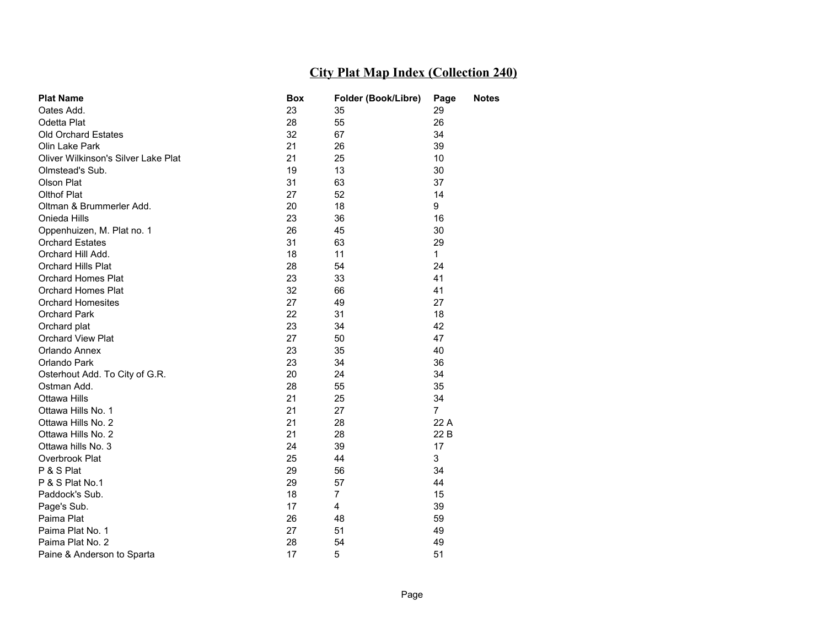| <b>Plat Name</b>                    | <b>Box</b> | Folder (Book/Libre) | Page           | <b>Notes</b> |
|-------------------------------------|------------|---------------------|----------------|--------------|
| Oates Add.                          | 23         | 35                  | 29             |              |
| Odetta Plat                         | 28         | 55                  | 26             |              |
| <b>Old Orchard Estates</b>          | 32         | 67                  | 34             |              |
| Olin Lake Park                      | 21         | 26                  | 39             |              |
| Oliver Wilkinson's Silver Lake Plat | 21         | 25                  | 10             |              |
| Olmstead's Sub.                     | 19         | 13                  | 30             |              |
| Olson Plat                          | 31         | 63                  | 37             |              |
| <b>Olthof Plat</b>                  | 27         | 52                  | 14             |              |
| Oltman & Brummerler Add.            | 20         | 18                  | 9              |              |
| Onieda Hills                        | 23         | 36                  | 16             |              |
| Oppenhuizen, M. Plat no. 1          | 26         | 45                  | 30             |              |
| <b>Orchard Estates</b>              | 31         | 63                  | 29             |              |
| Orchard Hill Add.                   | 18         | 11                  | $\mathbf 1$    |              |
| <b>Orchard Hills Plat</b>           | 28         | 54                  | 24             |              |
| <b>Orchard Homes Plat</b>           | 23         | 33                  | 41             |              |
| Orchard Homes Plat                  | 32         | 66                  | 41             |              |
| <b>Orchard Homesites</b>            | 27         | 49                  | 27             |              |
| Orchard Park                        | 22         | 31                  | 18             |              |
| Orchard plat                        | 23         | 34                  | 42             |              |
| <b>Orchard View Plat</b>            | 27         | 50                  | 47             |              |
| Orlando Annex                       | 23         | 35                  | 40             |              |
| Orlando Park                        | 23         | 34                  | 36             |              |
| Osterhout Add. To City of G.R.      | 20         | 24                  | 34             |              |
| Ostman Add.                         | 28         | 55                  | 35             |              |
| <b>Ottawa Hills</b>                 | 21         | 25                  | 34             |              |
| Ottawa Hills No. 1                  | 21         | 27                  | $\overline{7}$ |              |
| Ottawa Hills No. 2                  | 21         | 28                  | 22 A           |              |
| Ottawa Hills No. 2                  | 21         | 28                  | 22 B           |              |
| Ottawa hills No. 3                  | 24         | 39                  | 17             |              |
| Overbrook Plat                      | 25         | 44                  | 3              |              |
| P & S Plat                          | 29         | 56                  | 34             |              |
| P & S Plat No.1                     | 29         | 57                  | 44             |              |
| Paddock's Sub.                      | 18         | $\overline{7}$      | 15             |              |
| Page's Sub.                         | 17         | 4                   | 39             |              |
| Paima Plat                          | 26         | 48                  | 59             |              |
| Paima Plat No. 1                    | 27         | 51                  | 49             |              |
| Paima Plat No. 2                    | 28         | 54                  | 49             |              |
| Paine & Anderson to Sparta          | 17         | 5                   | 51             |              |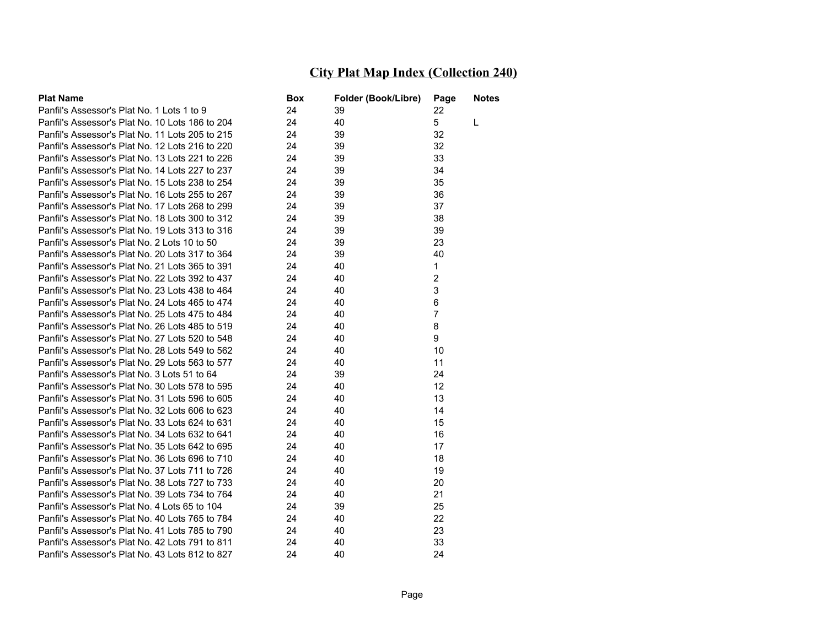| <b>Plat Name</b>                                | Box | Folder (Book/Libre) | Page           | Notes |
|-------------------------------------------------|-----|---------------------|----------------|-------|
| Panfil's Assessor's Plat No. 1 Lots 1 to 9      | 24  | 39                  | 22             |       |
| Panfil's Assessor's Plat No. 10 Lots 186 to 204 | 24  | 40                  | 5              | L     |
| Panfil's Assessor's Plat No. 11 Lots 205 to 215 | 24  | 39                  | 32             |       |
| Panfil's Assessor's Plat No. 12 Lots 216 to 220 | 24  | 39                  | 32             |       |
| Panfil's Assessor's Plat No. 13 Lots 221 to 226 | 24  | 39                  | 33             |       |
| Panfil's Assessor's Plat No. 14 Lots 227 to 237 | 24  | 39                  | 34             |       |
| Panfil's Assessor's Plat No. 15 Lots 238 to 254 | 24  | 39                  | 35             |       |
| Panfil's Assessor's Plat No. 16 Lots 255 to 267 | 24  | 39                  | 36             |       |
| Panfil's Assessor's Plat No. 17 Lots 268 to 299 | 24  | 39                  | 37             |       |
| Panfil's Assessor's Plat No. 18 Lots 300 to 312 | 24  | 39                  | 38             |       |
| Panfil's Assessor's Plat No. 19 Lots 313 to 316 | 24  | 39                  | 39             |       |
| Panfil's Assessor's Plat No. 2 Lots 10 to 50    | 24  | 39                  | 23             |       |
| Panfil's Assessor's Plat No. 20 Lots 317 to 364 | 24  | 39                  | 40             |       |
| Panfil's Assessor's Plat No. 21 Lots 365 to 391 | 24  | 40                  | $\mathbf{1}$   |       |
| Panfil's Assessor's Plat No. 22 Lots 392 to 437 | 24  | 40                  | $\overline{2}$ |       |
| Panfil's Assessor's Plat No. 23 Lots 438 to 464 | 24  | 40                  | 3              |       |
| Panfil's Assessor's Plat No. 24 Lots 465 to 474 | 24  | 40                  | 6              |       |
| Panfil's Assessor's Plat No. 25 Lots 475 to 484 | 24  | 40                  | $\overline{7}$ |       |
| Panfil's Assessor's Plat No. 26 Lots 485 to 519 | 24  | 40                  | 8              |       |
| Panfil's Assessor's Plat No. 27 Lots 520 to 548 | 24  | 40                  | 9              |       |
| Panfil's Assessor's Plat No. 28 Lots 549 to 562 | 24  | 40                  | 10             |       |
| Panfil's Assessor's Plat No. 29 Lots 563 to 577 | 24  | 40                  | 11             |       |
| Panfil's Assessor's Plat No. 3 Lots 51 to 64    | 24  | 39                  | 24             |       |
| Panfil's Assessor's Plat No. 30 Lots 578 to 595 | 24  | 40                  | 12             |       |
| Panfil's Assessor's Plat No. 31 Lots 596 to 605 | 24  | 40                  | 13             |       |
| Panfil's Assessor's Plat No. 32 Lots 606 to 623 | 24  | 40                  | 14             |       |
| Panfil's Assessor's Plat No. 33 Lots 624 to 631 | 24  | 40                  | 15             |       |
| Panfil's Assessor's Plat No. 34 Lots 632 to 641 | 24  | 40                  | 16             |       |
| Panfil's Assessor's Plat No. 35 Lots 642 to 695 | 24  | 40                  | 17             |       |
| Panfil's Assessor's Plat No. 36 Lots 696 to 710 | 24  | 40                  | 18             |       |
| Panfil's Assessor's Plat No. 37 Lots 711 to 726 | 24  | 40                  | 19             |       |
| Panfil's Assessor's Plat No. 38 Lots 727 to 733 | 24  | 40                  | 20             |       |
| Panfil's Assessor's Plat No. 39 Lots 734 to 764 | 24  | 40                  | 21             |       |
| Panfil's Assessor's Plat No. 4 Lots 65 to 104   | 24  | 39                  | 25             |       |
| Panfil's Assessor's Plat No. 40 Lots 765 to 784 | 24  | 40                  | 22             |       |
| Panfil's Assessor's Plat No. 41 Lots 785 to 790 | 24  | 40                  | 23             |       |
| Panfil's Assessor's Plat No. 42 Lots 791 to 811 | 24  | 40                  | 33             |       |
| Panfil's Assessor's Plat No. 43 Lots 812 to 827 | 24  | 40                  | 24             |       |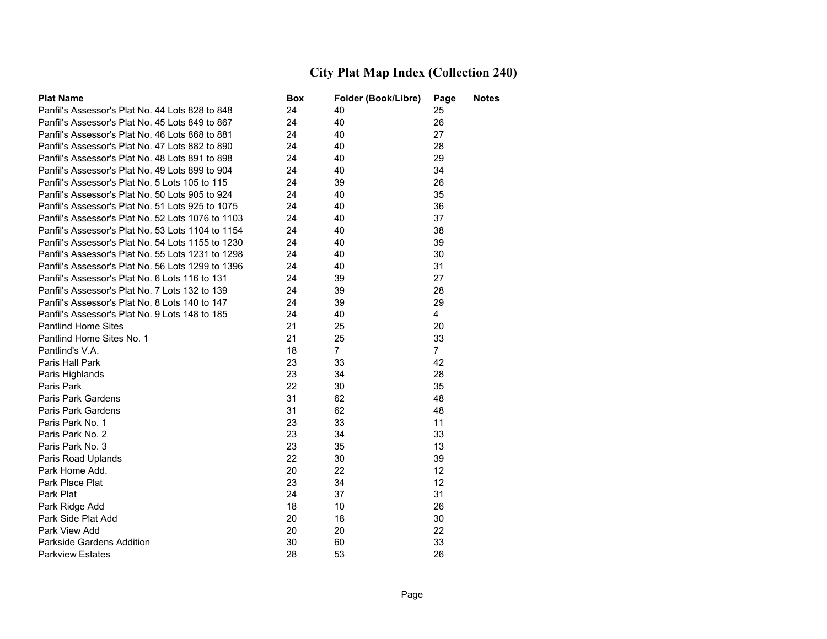| <b>Plat Name</b>                                  | Box | Folder (Book/Libre) | Page           | <b>Notes</b> |
|---------------------------------------------------|-----|---------------------|----------------|--------------|
| Panfil's Assessor's Plat No. 44 Lots 828 to 848   | 24  | 40                  | 25             |              |
| Panfil's Assessor's Plat No. 45 Lots 849 to 867   | 24  | 40                  | 26             |              |
| Panfil's Assessor's Plat No. 46 Lots 868 to 881   | 24  | 40                  | 27             |              |
| Panfil's Assessor's Plat No. 47 Lots 882 to 890   | 24  | 40                  | 28             |              |
| Panfil's Assessor's Plat No. 48 Lots 891 to 898   | 24  | 40                  | 29             |              |
| Panfil's Assessor's Plat No. 49 Lots 899 to 904   | 24  | 40                  | 34             |              |
| Panfil's Assessor's Plat No. 5 Lots 105 to 115    | 24  | 39                  | 26             |              |
| Panfil's Assessor's Plat No. 50 Lots 905 to 924   | 24  | 40                  | 35             |              |
| Panfil's Assessor's Plat No. 51 Lots 925 to 1075  | 24  | 40                  | 36             |              |
| Panfil's Assessor's Plat No. 52 Lots 1076 to 1103 | 24  | 40                  | 37             |              |
| Panfil's Assessor's Plat No. 53 Lots 1104 to 1154 | 24  | 40                  | 38             |              |
| Panfil's Assessor's Plat No. 54 Lots 1155 to 1230 | 24  | 40                  | 39             |              |
| Panfil's Assessor's Plat No. 55 Lots 1231 to 1298 | 24  | 40                  | 30             |              |
| Panfil's Assessor's Plat No. 56 Lots 1299 to 1396 | 24  | 40                  | 31             |              |
| Panfil's Assessor's Plat No. 6 Lots 116 to 131    | 24  | 39                  | 27             |              |
| Panfil's Assessor's Plat No. 7 Lots 132 to 139    | 24  | 39                  | 28             |              |
| Panfil's Assessor's Plat No. 8 Lots 140 to 147    | 24  | 39                  | 29             |              |
| Panfil's Assessor's Plat No. 9 Lots 148 to 185    | 24  | 40                  | $\overline{4}$ |              |
| <b>Pantlind Home Sites</b>                        | 21  | 25                  | 20             |              |
| Pantlind Home Sites No. 1                         | 21  | 25                  | 33             |              |
| Pantlind's V.A.                                   | 18  | $\overline{7}$      | $\overline{7}$ |              |
| Paris Hall Park                                   | 23  | 33                  | 42             |              |
| Paris Highlands                                   | 23  | 34                  | 28             |              |
| Paris Park                                        | 22  | 30                  | 35             |              |
| Paris Park Gardens                                | 31  | 62                  | 48             |              |
| Paris Park Gardens                                | 31  | 62                  | 48             |              |
| Paris Park No. 1                                  | 23  | 33                  | 11             |              |
| Paris Park No. 2                                  | 23  | 34                  | 33             |              |
| Paris Park No. 3                                  | 23  | 35                  | 13             |              |
| Paris Road Uplands                                | 22  | 30                  | 39             |              |
| Park Home Add.                                    | 20  | 22                  | 12             |              |
| Park Place Plat                                   | 23  | 34                  | 12             |              |
| Park Plat                                         | 24  | 37                  | 31             |              |
| Park Ridge Add                                    | 18  | 10                  | 26             |              |
| Park Side Plat Add                                | 20  | 18                  | 30             |              |
| Park View Add                                     | 20  | 20                  | 22             |              |
| Parkside Gardens Addition                         | 30  | 60                  | 33             |              |
| <b>Parkview Estates</b>                           | 28  | 53                  | 26             |              |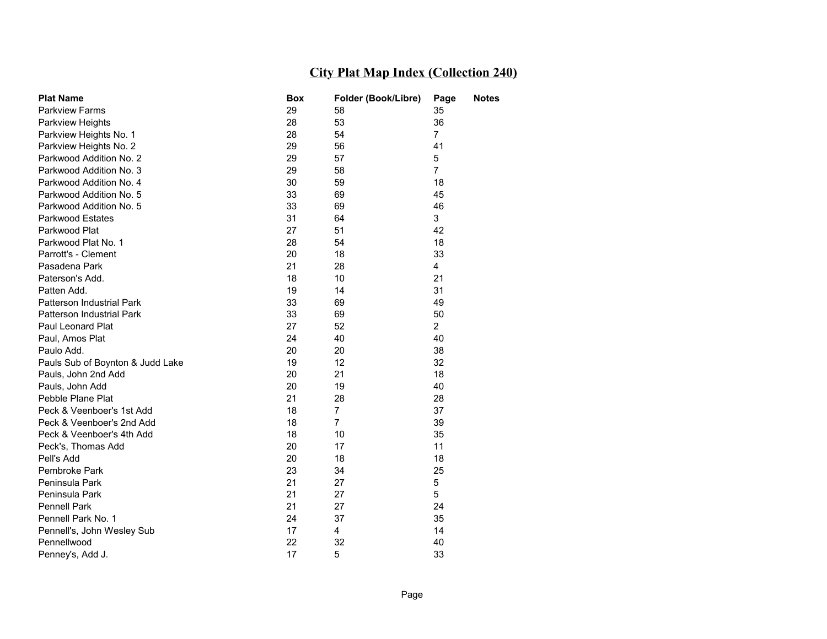| <b>Plat Name</b>                 | Box | Folder (Book/Libre) | Page           | <b>Notes</b> |
|----------------------------------|-----|---------------------|----------------|--------------|
| <b>Parkview Farms</b>            | 29  | 58                  | 35             |              |
| <b>Parkview Heights</b>          | 28  | 53                  | 36             |              |
| Parkview Heights No. 1           | 28  | 54                  | $\overline{7}$ |              |
| Parkview Heights No. 2           | 29  | 56                  | 41             |              |
| Parkwood Addition No. 2          | 29  | 57                  | 5              |              |
| Parkwood Addition No. 3          | 29  | 58                  | $\overline{7}$ |              |
| Parkwood Addition No. 4          | 30  | 59                  | 18             |              |
| Parkwood Addition No. 5          | 33  | 69                  | 45             |              |
| Parkwood Addition No. 5          | 33  | 69                  | 46             |              |
| <b>Parkwood Estates</b>          | 31  | 64                  | 3              |              |
| Parkwood Plat                    | 27  | 51                  | 42             |              |
| Parkwood Plat No. 1              | 28  | 54                  | 18             |              |
| Parrott's - Clement              | 20  | 18                  | 33             |              |
| Pasadena Park                    | 21  | 28                  | $\overline{4}$ |              |
| Paterson's Add.                  | 18  | 10                  | 21             |              |
| Patten Add.                      | 19  | 14                  | 31             |              |
| Patterson Industrial Park        | 33  | 69                  | 49             |              |
| Patterson Industrial Park        | 33  | 69                  | 50             |              |
| Paul Leonard Plat                | 27  | 52                  | $\overline{2}$ |              |
| Paul, Amos Plat                  | 24  | 40                  | 40             |              |
| Paulo Add.                       | 20  | 20                  | 38             |              |
| Pauls Sub of Boynton & Judd Lake | 19  | 12                  | 32             |              |
| Pauls, John 2nd Add              | 20  | 21                  | 18             |              |
| Pauls, John Add                  | 20  | 19                  | 40             |              |
| Pebble Plane Plat                | 21  | 28                  | 28             |              |
| Peck & Veenboer's 1st Add        | 18  | $\overline{7}$      | 37             |              |
| Peck & Veenboer's 2nd Add        | 18  | $\overline{7}$      | 39             |              |
| Peck & Veenboer's 4th Add        | 18  | 10                  | 35             |              |
| Peck's, Thomas Add               | 20  | 17                  | 11             |              |
| Pell's Add                       | 20  | 18                  | 18             |              |
| Pembroke Park                    | 23  | 34                  | 25             |              |
| Peninsula Park                   | 21  | 27                  | 5              |              |
| Peninsula Park                   | 21  | 27                  | 5              |              |
| <b>Pennell Park</b>              | 21  | 27                  | 24             |              |
| Pennell Park No. 1               | 24  | 37                  | 35             |              |
| Pennell's, John Wesley Sub       | 17  | 4                   | 14             |              |
| Pennellwood                      | 22  | 32                  | 40             |              |
| Penney's, Add J.                 | 17  | 5                   | 33             |              |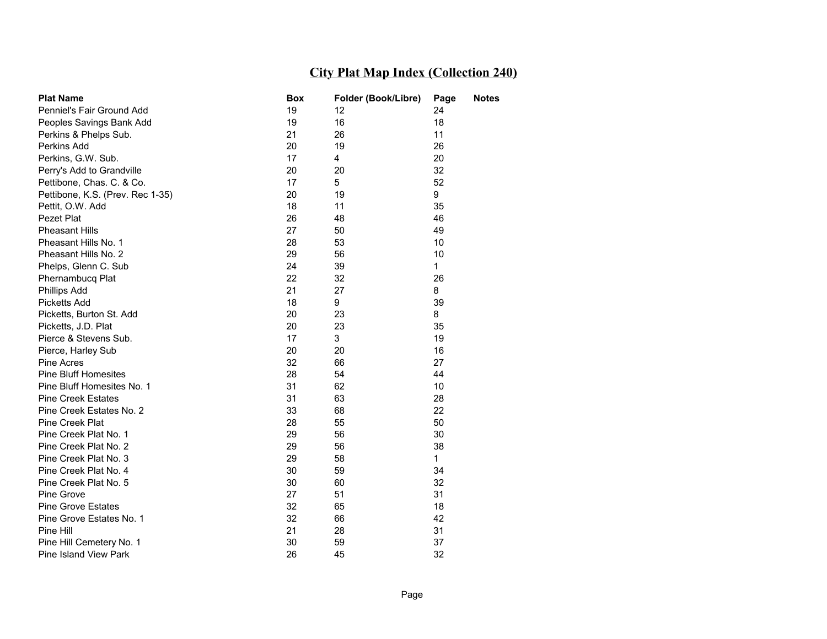| <b>Plat Name</b>                 | Box | Folder (Book/Libre) | Page         | <b>Notes</b> |
|----------------------------------|-----|---------------------|--------------|--------------|
| Penniel's Fair Ground Add        | 19  | 12                  | 24           |              |
| Peoples Savings Bank Add         | 19  | 16                  | 18           |              |
| Perkins & Phelps Sub.            | 21  | 26                  | 11           |              |
| Perkins Add                      | 20  | 19                  | 26           |              |
| Perkins, G.W. Sub.               | 17  | 4                   | 20           |              |
| Perry's Add to Grandville        | 20  | 20                  | 32           |              |
| Pettibone, Chas. C. & Co.        | 17  | 5                   | 52           |              |
| Pettibone, K.S. (Prev. Rec 1-35) | 20  | 19                  | 9            |              |
| Pettit, O.W. Add                 | 18  | 11                  | 35           |              |
| Pezet Plat                       | 26  | 48                  | 46           |              |
| <b>Pheasant Hills</b>            | 27  | 50                  | 49           |              |
| Pheasant Hills No. 1             | 28  | 53                  | 10           |              |
| Pheasant Hills No. 2             | 29  | 56                  | 10           |              |
| Phelps, Glenn C. Sub             | 24  | 39                  | 1            |              |
| Phernambucq Plat                 | 22  | 32                  | 26           |              |
| <b>Phillips Add</b>              | 21  | 27                  | 8            |              |
| <b>Picketts Add</b>              | 18  | 9                   | 39           |              |
| Picketts, Burton St. Add         | 20  | 23                  | 8            |              |
| Picketts, J.D. Plat              | 20  | 23                  | 35           |              |
| Pierce & Stevens Sub.            | 17  | 3                   | 19           |              |
| Pierce, Harley Sub               | 20  | 20                  | 16           |              |
| Pine Acres                       | 32  | 66                  | 27           |              |
| <b>Pine Bluff Homesites</b>      | 28  | 54                  | 44           |              |
| Pine Bluff Homesites No. 1       | 31  | 62                  | 10           |              |
| <b>Pine Creek Estates</b>        | 31  | 63                  | 28           |              |
| Pine Creek Estates No. 2         | 33  | 68                  | 22           |              |
| Pine Creek Plat                  | 28  | 55                  | 50           |              |
| Pine Creek Plat No. 1            | 29  | 56                  | 30           |              |
| Pine Creek Plat No. 2            | 29  | 56                  | 38           |              |
| Pine Creek Plat No. 3            | 29  | 58                  | $\mathbf{1}$ |              |
| Pine Creek Plat No. 4            | 30  | 59                  | 34           |              |
| Pine Creek Plat No. 5            | 30  | 60                  | 32           |              |
| Pine Grove                       | 27  | 51                  | 31           |              |
| <b>Pine Grove Estates</b>        | 32  | 65                  | 18           |              |
| Pine Grove Estates No. 1         | 32  | 66                  | 42           |              |
| Pine Hill                        | 21  | 28                  | 31           |              |
| Pine Hill Cemetery No. 1         | 30  | 59                  | 37           |              |
| Pine Island View Park            | 26  | 45                  | 32           |              |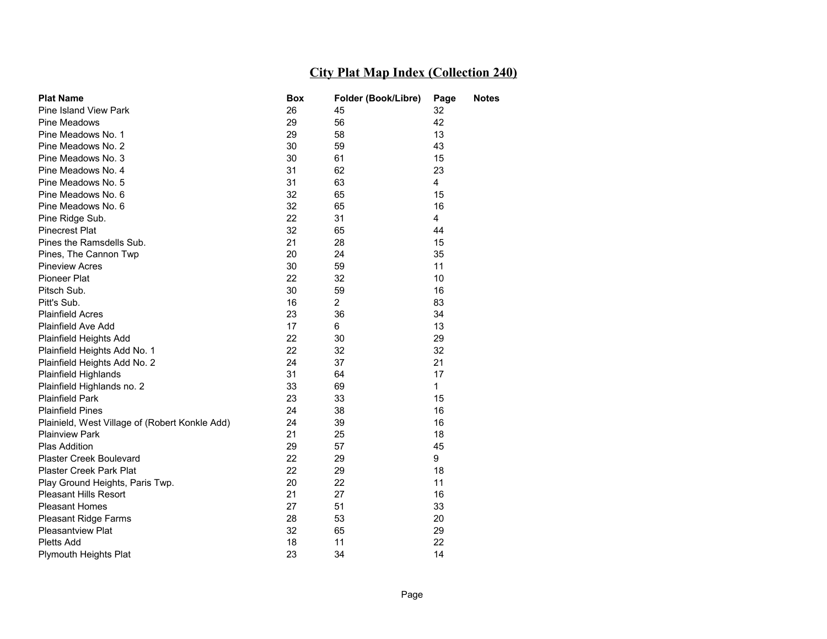| <b>Plat Name</b>                               | Box | Folder (Book/Libre) | Page           | <b>Notes</b> |
|------------------------------------------------|-----|---------------------|----------------|--------------|
| <b>Pine Island View Park</b>                   | 26  | 45                  | 32             |              |
| Pine Meadows                                   | 29  | 56                  | 42             |              |
| Pine Meadows No. 1                             | 29  | 58                  | 13             |              |
| Pine Meadows No. 2                             | 30  | 59                  | 43             |              |
| Pine Meadows No. 3                             | 30  | 61                  | 15             |              |
| Pine Meadows No. 4                             | 31  | 62                  | 23             |              |
| Pine Meadows No. 5                             | 31  | 63                  | 4              |              |
| Pine Meadows No. 6                             | 32  | 65                  | 15             |              |
| Pine Meadows No. 6                             | 32  | 65                  | 16             |              |
| Pine Ridge Sub.                                | 22  | 31                  | $\overline{4}$ |              |
| <b>Pinecrest Plat</b>                          | 32  | 65                  | 44             |              |
| Pines the Ramsdells Sub.                       | 21  | 28                  | 15             |              |
| Pines, The Cannon Twp                          | 20  | 24                  | 35             |              |
| <b>Pineview Acres</b>                          | 30  | 59                  | 11             |              |
| Pioneer Plat                                   | 22  | 32                  | 10             |              |
| Pitsch Sub.                                    | 30  | 59                  | 16             |              |
| Pitt's Sub.                                    | 16  | $\overline{2}$      | 83             |              |
| <b>Plainfield Acres</b>                        | 23  | 36                  | 34             |              |
| Plainfield Ave Add                             | 17  | 6                   | 13             |              |
| Plainfield Heights Add                         | 22  | 30                  | 29             |              |
| Plainfield Heights Add No. 1                   | 22  | 32                  | 32             |              |
| Plainfield Heights Add No. 2                   | 24  | 37                  | 21             |              |
| Plainfield Highlands                           | 31  | 64                  | 17             |              |
| Plainfield Highlands no. 2                     | 33  | 69                  | $\mathbf{1}$   |              |
| <b>Plainfield Park</b>                         | 23  | 33                  | 15             |              |
| <b>Plainfield Pines</b>                        | 24  | 38                  | 16             |              |
| Plainield, West Village of (Robert Konkle Add) | 24  | 39                  | 16             |              |
| <b>Plainview Park</b>                          | 21  | 25                  | 18             |              |
| Plas Addition                                  | 29  | 57                  | 45             |              |
| <b>Plaster Creek Boulevard</b>                 | 22  | 29                  | 9              |              |
| <b>Plaster Creek Park Plat</b>                 | 22  | 29                  | 18             |              |
| Play Ground Heights, Paris Twp.                | 20  | 22                  | 11             |              |
| <b>Pleasant Hills Resort</b>                   | 21  | 27                  | 16             |              |
| <b>Pleasant Homes</b>                          | 27  | 51                  | 33             |              |
| <b>Pleasant Ridge Farms</b>                    | 28  | 53                  | 20             |              |
| <b>Pleasantview Plat</b>                       | 32  | 65                  | 29             |              |
| <b>Pletts Add</b>                              | 18  | 11                  | 22             |              |
| <b>Plymouth Heights Plat</b>                   | 23  | 34                  | 14             |              |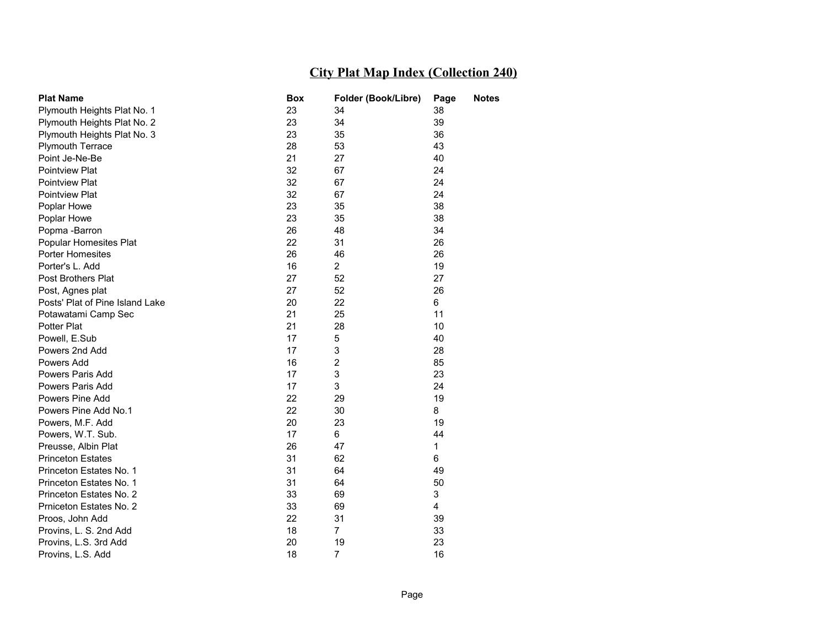| <b>Plat Name</b>                | <b>Box</b> | Folder (Book/Libre) | Page | <b>Notes</b> |
|---------------------------------|------------|---------------------|------|--------------|
| Plymouth Heights Plat No. 1     | 23         | 34                  | 38   |              |
| Plymouth Heights Plat No. 2     | 23         | 34                  | 39   |              |
| Plymouth Heights Plat No. 3     | 23         | 35                  | 36   |              |
| <b>Plymouth Terrace</b>         | 28         | 53                  | 43   |              |
| Point Je-Ne-Be                  | 21         | 27                  | 40   |              |
| <b>Pointview Plat</b>           | 32         | 67                  | 24   |              |
| <b>Pointview Plat</b>           | 32         | 67                  | 24   |              |
| <b>Pointview Plat</b>           | 32         | 67                  | 24   |              |
| Poplar Howe                     | 23         | 35                  | 38   |              |
| Poplar Howe                     | 23         | 35                  | 38   |              |
| Popma -Barron                   | 26         | 48                  | 34   |              |
| Popular Homesites Plat          | 22         | 31                  | 26   |              |
| Porter Homesites                | 26         | 46                  | 26   |              |
| Porter's L. Add                 | 16         | $\overline{2}$      | 19   |              |
| Post Brothers Plat              | 27         | 52                  | 27   |              |
| Post, Agnes plat                | 27         | 52                  | 26   |              |
| Posts' Plat of Pine Island Lake | 20         | 22                  | 6    |              |
| Potawatami Camp Sec             | 21         | 25                  | 11   |              |
| Potter Plat                     | 21         | 28                  | 10   |              |
| Powell, E.Sub                   | 17         | 5                   | 40   |              |
| Powers 2nd Add                  | 17         | 3                   | 28   |              |
| Powers Add                      | 16         | 2                   | 85   |              |
| Powers Paris Add                | 17         | 3                   | 23   |              |
| Powers Paris Add                | 17         | 3                   | 24   |              |
| Powers Pine Add                 | 22         | 29                  | 19   |              |
| Powers Pine Add No.1            | 22         | 30                  | 8    |              |
| Powers, M.F. Add                | 20         | 23                  | 19   |              |
| Powers, W.T. Sub.               | 17         | 6                   | 44   |              |
| Preusse, Albin Plat             | 26         | 47                  | 1    |              |
| <b>Princeton Estates</b>        | 31         | 62                  | 6    |              |
| Princeton Estates No. 1         | 31         | 64                  | 49   |              |
| Princeton Estates No. 1         | 31         | 64                  | 50   |              |
| Princeton Estates No. 2         | 33         | 69                  | 3    |              |
| Prniceton Estates No. 2         | 33         | 69                  | 4    |              |
| Proos, John Add                 | 22         | 31                  | 39   |              |
| Provins, L. S. 2nd Add          | 18         | $\overline{7}$      | 33   |              |
| Provins, L.S. 3rd Add           | 20         | 19                  | 23   |              |
| Provins, L.S. Add               | 18         | $\overline{7}$      | 16   |              |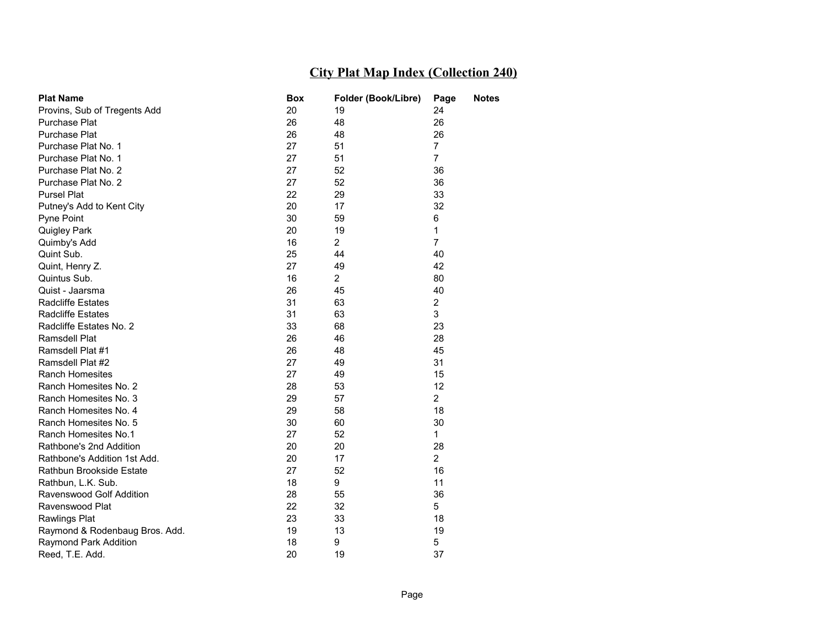| <b>Plat Name</b>               | Box | Folder (Book/Libre) | Page           | <b>Notes</b> |
|--------------------------------|-----|---------------------|----------------|--------------|
| Provins, Sub of Tregents Add   | 20  | 19                  | 24             |              |
| Purchase Plat                  | 26  | 48                  | 26             |              |
| Purchase Plat                  | 26  | 48                  | 26             |              |
| Purchase Plat No. 1            | 27  | 51                  | $\overline{7}$ |              |
| Purchase Plat No. 1            | 27  | 51                  | $\overline{7}$ |              |
| Purchase Plat No. 2            | 27  | 52                  | 36             |              |
| Purchase Plat No. 2            | 27  | 52                  | 36             |              |
| <b>Pursel Plat</b>             | 22  | 29                  | 33             |              |
| Putney's Add to Kent City      | 20  | 17                  | 32             |              |
| Pyne Point                     | 30  | 59                  | 6              |              |
| Quigley Park                   | 20  | 19                  | 1              |              |
| Quimby's Add                   | 16  | $\overline{2}$      | $\overline{7}$ |              |
| Quint Sub.                     | 25  | 44                  | 40             |              |
| Quint, Henry Z.                | 27  | 49                  | 42             |              |
| Quintus Sub.                   | 16  | $\mathbf{2}$        | 80             |              |
| Quist - Jaarsma                | 26  | 45                  | 40             |              |
| <b>Radcliffe Estates</b>       | 31  | 63                  | $\overline{2}$ |              |
| <b>Radcliffe Estates</b>       | 31  | 63                  | 3              |              |
| Radcliffe Estates No. 2        | 33  | 68                  | 23             |              |
| Ramsdell Plat                  | 26  | 46                  | 28             |              |
| Ramsdell Plat #1               | 26  | 48                  | 45             |              |
| Ramsdell Plat #2               | 27  | 49                  | 31             |              |
| <b>Ranch Homesites</b>         | 27  | 49                  | 15             |              |
| Ranch Homesites No. 2          | 28  | 53                  | 12             |              |
| Ranch Homesites No. 3          | 29  | 57                  | $\overline{2}$ |              |
| Ranch Homesites No. 4          | 29  | 58                  | 18             |              |
| Ranch Homesites No. 5          | 30  | 60                  | 30             |              |
| Ranch Homesites No.1           | 27  | 52                  | $\mathbf{1}$   |              |
| Rathbone's 2nd Addition        | 20  | 20                  | 28             |              |
| Rathbone's Addition 1st Add.   | 20  | 17                  | $\overline{2}$ |              |
| Rathbun Brookside Estate       | 27  | 52                  | 16             |              |
| Rathbun, L.K. Sub.             | 18  | 9                   | 11             |              |
| Ravenswood Golf Addition       | 28  | 55                  | 36             |              |
| Ravenswood Plat                | 22  | 32                  | 5              |              |
| <b>Rawlings Plat</b>           | 23  | 33                  | 18             |              |
| Raymond & Rodenbaug Bros. Add. | 19  | 13                  | 19             |              |
| Raymond Park Addition          | 18  | 9                   | 5              |              |
| Reed, T.E. Add.                | 20  | 19                  | 37             |              |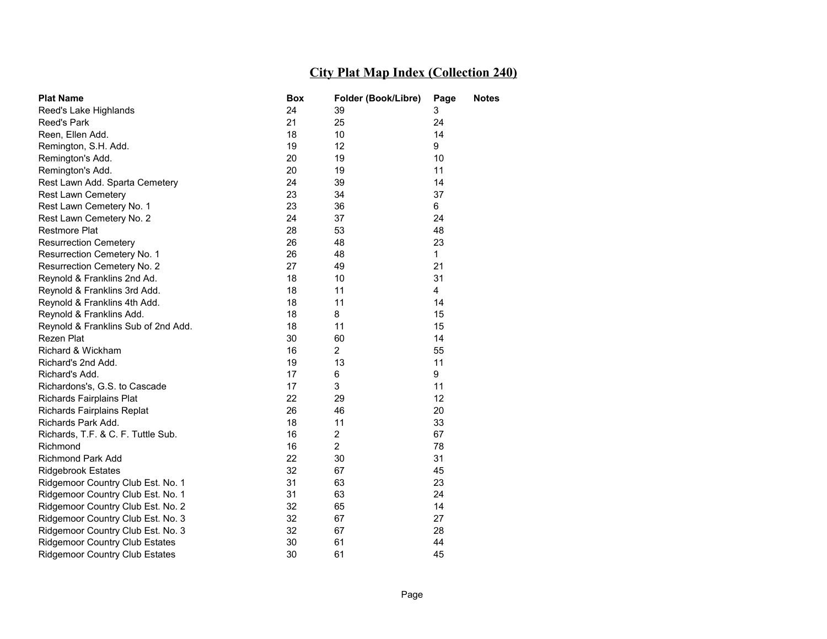| <b>Plat Name</b>                      | <b>Box</b> | Folder (Book/Libre) | Page        | <b>Notes</b> |
|---------------------------------------|------------|---------------------|-------------|--------------|
| Reed's Lake Highlands                 | 24         | 39                  | 3           |              |
| Reed's Park                           | 21         | 25                  | 24          |              |
| Reen, Ellen Add.                      | 18         | 10                  | 14          |              |
| Remington, S.H. Add.                  | 19         | 12                  | 9           |              |
| Remington's Add.                      | 20         | 19                  | 10          |              |
| Remington's Add.                      | 20         | 19                  | 11          |              |
| Rest Lawn Add. Sparta Cemetery        | 24         | 39                  | 14          |              |
| <b>Rest Lawn Cemetery</b>             | 23         | 34                  | 37          |              |
| Rest Lawn Cemetery No. 1              | 23         | 36                  | 6           |              |
| Rest Lawn Cemetery No. 2              | 24         | 37                  | 24          |              |
| <b>Restmore Plat</b>                  | 28         | 53                  | 48          |              |
| <b>Resurrection Cemetery</b>          | 26         | 48                  | 23          |              |
| Resurrection Cemetery No. 1           | 26         | 48                  | $\mathbf 1$ |              |
| Resurrection Cemetery No. 2           | 27         | 49                  | 21          |              |
| Reynold & Franklins 2nd Ad.           | 18         | 10                  | 31          |              |
| Reynold & Franklins 3rd Add.          | 18         | 11                  | 4           |              |
| Reynold & Franklins 4th Add.          | 18         | 11                  | 14          |              |
| Reynold & Franklins Add.              | 18         | 8                   | 15          |              |
| Reynold & Franklins Sub of 2nd Add.   | 18         | 11                  | 15          |              |
| Rezen Plat                            | 30         | 60                  | 14          |              |
| Richard & Wickham                     | 16         | $\overline{2}$      | 55          |              |
| Richard's 2nd Add.                    | 19         | 13                  | 11          |              |
| Richard's Add.                        | 17         | 6                   | 9           |              |
| Richardons's, G.S. to Cascade         | 17         | 3                   | 11          |              |
| Richards Fairplains Plat              | 22         | 29                  | 12          |              |
| Richards Fairplains Replat            | 26         | 46                  | 20          |              |
| Richards Park Add.                    | 18         | 11                  | 33          |              |
| Richards, T.F. & C. F. Tuttle Sub.    | 16         | $\overline{c}$      | 67          |              |
| Richmond                              | 16         | $\overline{2}$      | 78          |              |
| Richmond Park Add                     | 22         | 30                  | 31          |              |
| <b>Ridgebrook Estates</b>             | 32         | 67                  | 45          |              |
| Ridgemoor Country Club Est. No. 1     | 31         | 63                  | 23          |              |
| Ridgemoor Country Club Est. No. 1     | 31         | 63                  | 24          |              |
| Ridgemoor Country Club Est. No. 2     | 32         | 65                  | 14          |              |
| Ridgemoor Country Club Est. No. 3     | 32         | 67                  | 27          |              |
| Ridgemoor Country Club Est. No. 3     | 32         | 67                  | 28          |              |
| <b>Ridgemoor Country Club Estates</b> | 30         | 61                  | 44          |              |
| <b>Ridgemoor Country Club Estates</b> | 30         | 61                  | 45          |              |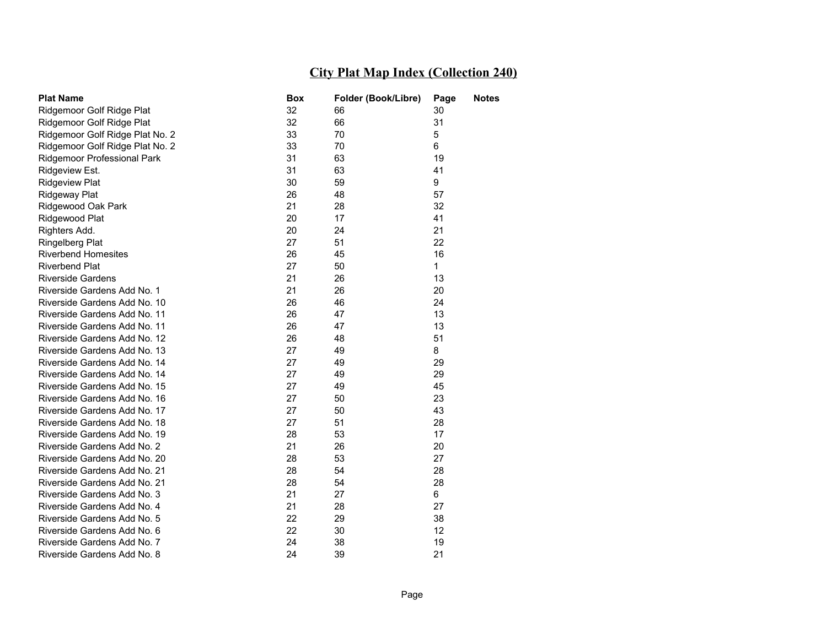| <b>Plat Name</b>                | Box | Folder (Book/Libre) | Page         | <b>Notes</b> |
|---------------------------------|-----|---------------------|--------------|--------------|
| Ridgemoor Golf Ridge Plat       | 32  | 66                  | 30           |              |
| Ridgemoor Golf Ridge Plat       | 32  | 66                  | 31           |              |
| Ridgemoor Golf Ridge Plat No. 2 | 33  | 70                  | 5            |              |
| Ridgemoor Golf Ridge Plat No. 2 | 33  | 70                  | 6            |              |
| Ridgemoor Professional Park     | 31  | 63                  | 19           |              |
| Ridgeview Est.                  | 31  | 63                  | 41           |              |
| <b>Ridgeview Plat</b>           | 30  | 59                  | 9            |              |
| Ridgeway Plat                   | 26  | 48                  | 57           |              |
| Ridgewood Oak Park              | 21  | 28                  | 32           |              |
| Ridgewood Plat                  | 20  | 17                  | 41           |              |
| Righters Add.                   | 20  | 24                  | 21           |              |
| <b>Ringelberg Plat</b>          | 27  | 51                  | 22           |              |
| <b>Riverbend Homesites</b>      | 26  | 45                  | 16           |              |
| <b>Riverbend Plat</b>           | 27  | 50                  | $\mathbf{1}$ |              |
| <b>Riverside Gardens</b>        | 21  | 26                  | 13           |              |
| Riverside Gardens Add No. 1     | 21  | 26                  | 20           |              |
| Riverside Gardens Add No. 10    | 26  | 46                  | 24           |              |
| Riverside Gardens Add No. 11    | 26  | 47                  | 13           |              |
| Riverside Gardens Add No. 11    | 26  | 47                  | 13           |              |
| Riverside Gardens Add No. 12    | 26  | 48                  | 51           |              |
| Riverside Gardens Add No. 13    | 27  | 49                  | 8            |              |
| Riverside Gardens Add No. 14    | 27  | 49                  | 29           |              |
| Riverside Gardens Add No. 14    | 27  | 49                  | 29           |              |
| Riverside Gardens Add No. 15    | 27  | 49                  | 45           |              |
| Riverside Gardens Add No. 16    | 27  | 50                  | 23           |              |
| Riverside Gardens Add No. 17    | 27  | 50                  | 43           |              |
| Riverside Gardens Add No. 18    | 27  | 51                  | 28           |              |
| Riverside Gardens Add No. 19    | 28  | 53                  | 17           |              |
| Riverside Gardens Add No. 2     | 21  | 26                  | 20           |              |
| Riverside Gardens Add No. 20    | 28  | 53                  | 27           |              |
| Riverside Gardens Add No. 21    | 28  | 54                  | 28           |              |
| Riverside Gardens Add No. 21    | 28  | 54                  | 28           |              |
| Riverside Gardens Add No. 3     | 21  | 27                  | 6            |              |
| Riverside Gardens Add No. 4     | 21  | 28                  | 27           |              |
| Riverside Gardens Add No. 5     | 22  | 29                  | 38           |              |
| Riverside Gardens Add No. 6     | 22  | 30                  | 12           |              |
| Riverside Gardens Add No. 7     | 24  | 38                  | 19           |              |
| Riverside Gardens Add No. 8     | 24  | 39                  | 21           |              |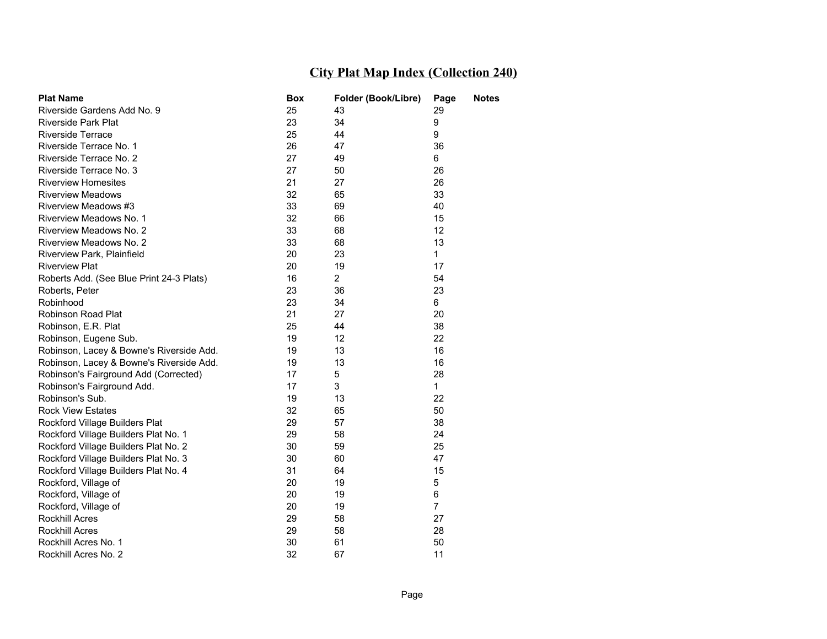| <b>Plat Name</b>                         | Box | Folder (Book/Libre) | Page           | <b>Notes</b> |
|------------------------------------------|-----|---------------------|----------------|--------------|
| Riverside Gardens Add No. 9              | 25  | 43                  | 29             |              |
| <b>Riverside Park Plat</b>               | 23  | 34                  | 9              |              |
| Riverside Terrace                        | 25  | 44                  | 9              |              |
| Riverside Terrace No. 1                  | 26  | 47                  | 36             |              |
| Riverside Terrace No. 2                  | 27  | 49                  | 6              |              |
| Riverside Terrace No. 3                  | 27  | 50                  | 26             |              |
| <b>Riverview Homesites</b>               | 21  | 27                  | 26             |              |
| <b>Riverview Meadows</b>                 | 32  | 65                  | 33             |              |
| Riverview Meadows #3                     | 33  | 69                  | 40             |              |
| Riverview Meadows No. 1                  | 32  | 66                  | 15             |              |
| Riverview Meadows No. 2                  | 33  | 68                  | 12             |              |
| Riverview Meadows No. 2                  | 33  | 68                  | 13             |              |
| Riverview Park, Plainfield               | 20  | 23                  | $\mathbf 1$    |              |
| <b>Riverview Plat</b>                    | 20  | 19                  | 17             |              |
| Roberts Add. (See Blue Print 24-3 Plats) | 16  | $\overline{2}$      | 54             |              |
| Roberts, Peter                           | 23  | 36                  | 23             |              |
| Robinhood                                | 23  | 34                  | 6              |              |
| <b>Robinson Road Plat</b>                | 21  | 27                  | 20             |              |
| Robinson, E.R. Plat                      | 25  | 44                  | 38             |              |
| Robinson, Eugene Sub.                    | 19  | 12                  | 22             |              |
| Robinson, Lacey & Bowne's Riverside Add. | 19  | 13                  | 16             |              |
| Robinson, Lacey & Bowne's Riverside Add. | 19  | 13                  | 16             |              |
| Robinson's Fairground Add (Corrected)    | 17  | 5                   | 28             |              |
| Robinson's Fairground Add.               | 17  | 3                   | $\mathbf{1}$   |              |
| Robinson's Sub.                          | 19  | 13                  | 22             |              |
| <b>Rock View Estates</b>                 | 32  | 65                  | 50             |              |
| Rockford Village Builders Plat           | 29  | 57                  | 38             |              |
| Rockford Village Builders Plat No. 1     | 29  | 58                  | 24             |              |
| Rockford Village Builders Plat No. 2     | 30  | 59                  | 25             |              |
| Rockford Village Builders Plat No. 3     | 30  | 60                  | 47             |              |
| Rockford Village Builders Plat No. 4     | 31  | 64                  | 15             |              |
| Rockford, Village of                     | 20  | 19                  | 5              |              |
| Rockford, Village of                     | 20  | 19                  | 6              |              |
| Rockford, Village of                     | 20  | 19                  | $\overline{7}$ |              |
| <b>Rockhill Acres</b>                    | 29  | 58                  | 27             |              |
| <b>Rockhill Acres</b>                    | 29  | 58                  | 28             |              |
| Rockhill Acres No. 1                     | 30  | 61                  | 50             |              |
| Rockhill Acres No. 2                     | 32  | 67                  | 11             |              |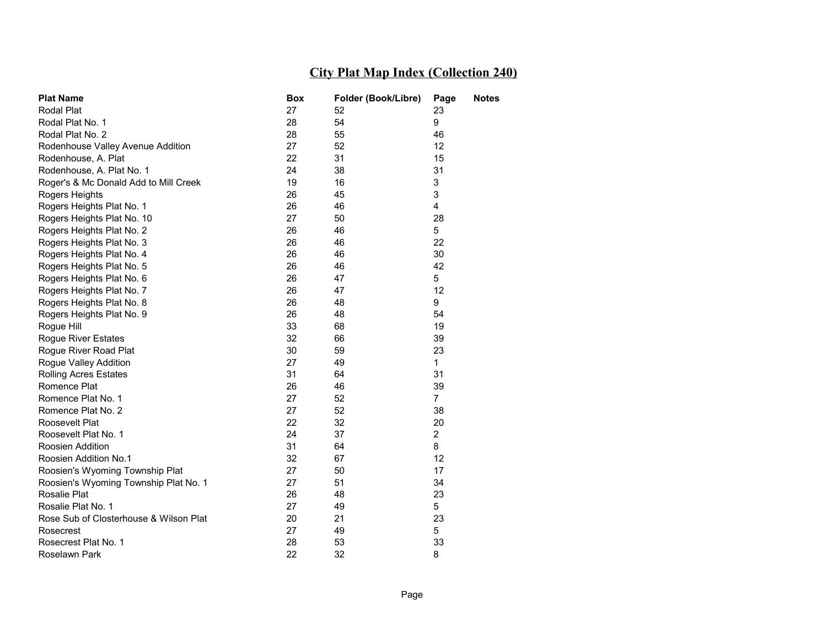| <b>Plat Name</b>                       | Box | Folder (Book/Libre) | Page           | <b>Notes</b> |
|----------------------------------------|-----|---------------------|----------------|--------------|
| Rodal Plat                             | 27  | 52                  | 23             |              |
| Rodal Plat No. 1                       | 28  | 54                  | 9              |              |
| Rodal Plat No. 2                       | 28  | 55                  | 46             |              |
| Rodenhouse Valley Avenue Addition      | 27  | 52                  | 12             |              |
| Rodenhouse, A. Plat                    | 22  | 31                  | 15             |              |
| Rodenhouse, A. Plat No. 1              | 24  | 38                  | 31             |              |
| Roger's & Mc Donald Add to Mill Creek  | 19  | 16                  | 3              |              |
| Rogers Heights                         | 26  | 45                  | 3              |              |
| Rogers Heights Plat No. 1              | 26  | 46                  | 4              |              |
| Rogers Heights Plat No. 10             | 27  | 50                  | 28             |              |
| Rogers Heights Plat No. 2              | 26  | 46                  | 5              |              |
| Rogers Heights Plat No. 3              | 26  | 46                  | 22             |              |
| Rogers Heights Plat No. 4              | 26  | 46                  | 30             |              |
| Rogers Heights Plat No. 5              | 26  | 46                  | 42             |              |
| Rogers Heights Plat No. 6              | 26  | 47                  | 5              |              |
| Rogers Heights Plat No. 7              | 26  | 47                  | 12             |              |
| Rogers Heights Plat No. 8              | 26  | 48                  | 9              |              |
| Rogers Heights Plat No. 9              | 26  | 48                  | 54             |              |
| Rogue Hill                             | 33  | 68                  | 19             |              |
| Rogue River Estates                    | 32  | 66                  | 39             |              |
| Rogue River Road Plat                  | 30  | 59                  | 23             |              |
| Rogue Valley Addition                  | 27  | 49                  | 1.             |              |
| <b>Rolling Acres Estates</b>           | 31  | 64                  | 31             |              |
| Romence Plat                           | 26  | 46                  | 39             |              |
| Romence Plat No. 1                     | 27  | 52                  | $\overline{7}$ |              |
| Romence Plat No. 2                     | 27  | 52                  | 38             |              |
| Roosevelt Plat                         | 22  | 32                  | 20             |              |
| Roosevelt Plat No. 1                   | 24  | 37                  | $\overline{2}$ |              |
| Roosien Addition                       | 31  | 64                  | 8              |              |
| Roosien Addition No.1                  | 32  | 67                  | 12             |              |
| Roosien's Wyoming Township Plat        | 27  | 50                  | 17             |              |
| Roosien's Wyoming Township Plat No. 1  | 27  | 51                  | 34             |              |
| <b>Rosalie Plat</b>                    | 26  | 48                  | 23             |              |
| Rosalie Plat No. 1                     | 27  | 49                  | 5              |              |
| Rose Sub of Closterhouse & Wilson Plat | 20  | 21                  | 23             |              |
| Rosecrest                              | 27  | 49                  | 5              |              |
| Rosecrest Plat No. 1                   | 28  | 53                  | 33             |              |
| Roselawn Park                          | 22  | 32                  | 8              |              |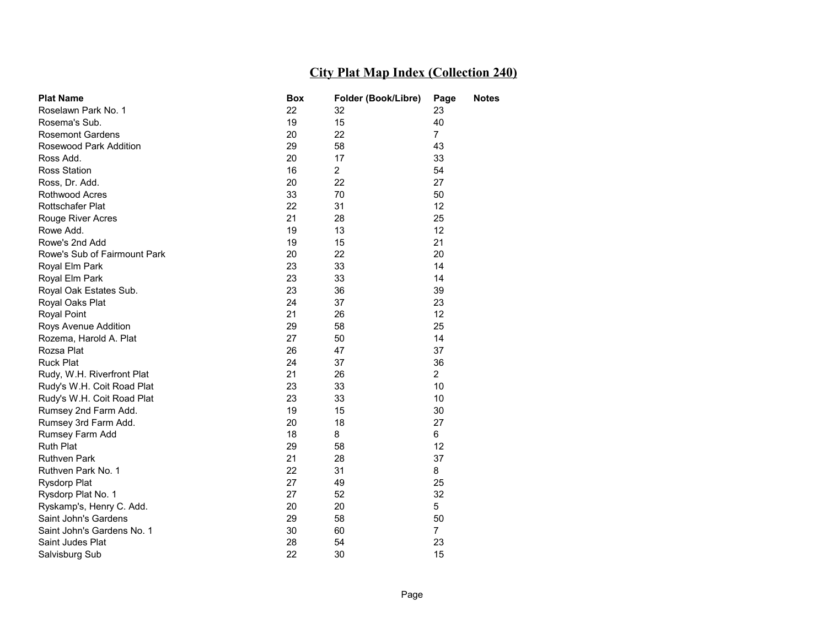| <b>Plat Name</b>             | <b>Box</b> | Folder (Book/Libre) | Page           | <b>Notes</b> |
|------------------------------|------------|---------------------|----------------|--------------|
| Roselawn Park No. 1          | 22         | 32                  | 23             |              |
| Rosema's Sub.                | 19         | 15                  | 40             |              |
| <b>Rosemont Gardens</b>      | 20         | 22                  | $\overline{7}$ |              |
| Rosewood Park Addition       | 29         | 58                  | 43             |              |
| Ross Add.                    | 20         | 17                  | 33             |              |
| <b>Ross Station</b>          | 16         | $\overline{2}$      | 54             |              |
| Ross, Dr. Add.               | 20         | 22                  | 27             |              |
| <b>Rothwood Acres</b>        | 33         | 70                  | 50             |              |
| <b>Rottschafer Plat</b>      | 22         | 31                  | 12             |              |
| Rouge River Acres            | 21         | 28                  | 25             |              |
| Rowe Add.                    | 19         | 13                  | 12             |              |
| Rowe's 2nd Add               | 19         | 15                  | 21             |              |
| Rowe's Sub of Fairmount Park | 20         | 22                  | 20             |              |
| Royal Elm Park               | 23         | 33                  | 14             |              |
| Royal Elm Park               | 23         | 33                  | 14             |              |
| Royal Oak Estates Sub.       | 23         | 36                  | 39             |              |
| Royal Oaks Plat              | 24         | 37                  | 23             |              |
| <b>Royal Point</b>           | 21         | 26                  | 12             |              |
| Roys Avenue Addition         | 29         | 58                  | 25             |              |
| Rozema, Harold A. Plat       | 27         | 50                  | 14             |              |
| Rozsa Plat                   | 26         | 47                  | 37             |              |
| <b>Ruck Plat</b>             | 24         | 37                  | 36             |              |
| Rudy, W.H. Riverfront Plat   | 21         | 26                  | $\overline{2}$ |              |
| Rudy's W.H. Coit Road Plat   | 23         | 33                  | 10             |              |
| Rudy's W.H. Coit Road Plat   | 23         | 33                  | 10             |              |
| Rumsey 2nd Farm Add.         | 19         | 15                  | 30             |              |
| Rumsey 3rd Farm Add.         | 20         | 18                  | 27             |              |
| Rumsey Farm Add              | 18         | 8                   | 6              |              |
| <b>Ruth Plat</b>             | 29         | 58                  | 12             |              |
| <b>Ruthven Park</b>          | 21         | 28                  | 37             |              |
| Ruthven Park No. 1           | 22         | 31                  | 8              |              |
| <b>Rysdorp Plat</b>          | 27         | 49                  | 25             |              |
| Rysdorp Plat No. 1           | 27         | 52                  | 32             |              |
| Ryskamp's, Henry C. Add.     | 20         | 20                  | 5              |              |
| Saint John's Gardens         | 29         | 58                  | 50             |              |
| Saint John's Gardens No. 1   | 30         | 60                  | 7              |              |
| Saint Judes Plat             | 28         | 54                  | 23             |              |
| Salvisburg Sub               | 22         | 30                  | 15             |              |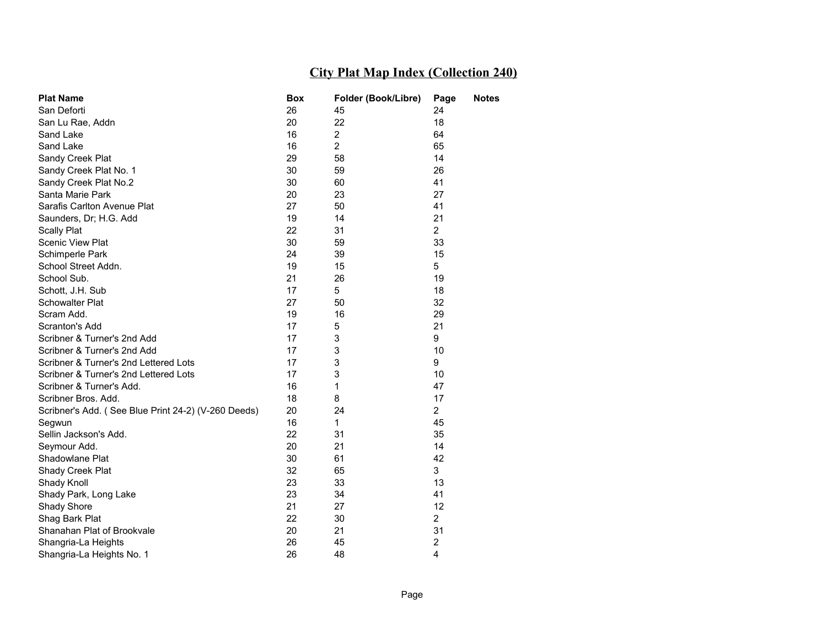| <b>Plat Name</b>                                    | Box | Folder (Book/Libre) | Page           | <b>Notes</b> |
|-----------------------------------------------------|-----|---------------------|----------------|--------------|
| San Deforti                                         | 26  | 45                  | 24             |              |
| San Lu Rae, Addn                                    | 20  | 22                  | 18             |              |
| Sand Lake                                           | 16  | $\overline{2}$      | 64             |              |
| Sand Lake                                           | 16  | $\overline{2}$      | 65             |              |
| Sandy Creek Plat                                    | 29  | 58                  | 14             |              |
| Sandy Creek Plat No. 1                              | 30  | 59                  | 26             |              |
| Sandy Creek Plat No.2                               | 30  | 60                  | 41             |              |
| Santa Marie Park                                    | 20  | 23                  | 27             |              |
| Sarafis Carlton Avenue Plat                         | 27  | 50                  | 41             |              |
| Saunders, Dr; H.G. Add                              | 19  | 14                  | 21             |              |
| <b>Scally Plat</b>                                  | 22  | 31                  | $\overline{2}$ |              |
| <b>Scenic View Plat</b>                             | 30  | 59                  | 33             |              |
| Schimperle Park                                     | 24  | 39                  | 15             |              |
| School Street Addn.                                 | 19  | 15                  | 5              |              |
| School Sub.                                         | 21  | 26                  | 19             |              |
| Schott, J.H. Sub                                    | 17  | 5                   | 18             |              |
| <b>Schowalter Plat</b>                              | 27  | 50                  | 32             |              |
| Scram Add.                                          | 19  | 16                  | 29             |              |
| Scranton's Add                                      | 17  | 5                   | 21             |              |
| Scribner & Turner's 2nd Add                         | 17  | 3                   | 9              |              |
| Scribner & Turner's 2nd Add                         | 17  | 3                   | 10             |              |
| Scribner & Turner's 2nd Lettered Lots               | 17  | 3                   | 9              |              |
| Scribner & Turner's 2nd Lettered Lots               | 17  | 3                   | 10             |              |
| Scribner & Turner's Add.                            | 16  | $\mathbf{1}$        | 47             |              |
| Scribner Bros. Add.                                 | 18  | 8                   | 17             |              |
| Scribner's Add. (See Blue Print 24-2) (V-260 Deeds) | 20  | 24                  | $\overline{2}$ |              |
| Segwun                                              | 16  | $\mathbf{1}$        | 45             |              |
| Sellin Jackson's Add.                               | 22  | 31                  | 35             |              |
| Seymour Add.                                        | 20  | 21                  | 14             |              |
| Shadowlane Plat                                     | 30  | 61                  | 42             |              |
| Shady Creek Plat                                    | 32  | 65                  | 3              |              |
| Shady Knoll                                         | 23  | 33                  | 13             |              |
| Shady Park, Long Lake                               | 23  | 34                  | 41             |              |
| <b>Shady Shore</b>                                  | 21  | 27                  | 12             |              |
| Shag Bark Plat                                      | 22  | 30                  | $\overline{2}$ |              |
| Shanahan Plat of Brookvale                          | 20  | 21                  | 31             |              |
| Shangria-La Heights                                 | 26  | 45                  | $\overline{2}$ |              |
| Shangria-La Heights No. 1                           | 26  | 48                  | 4              |              |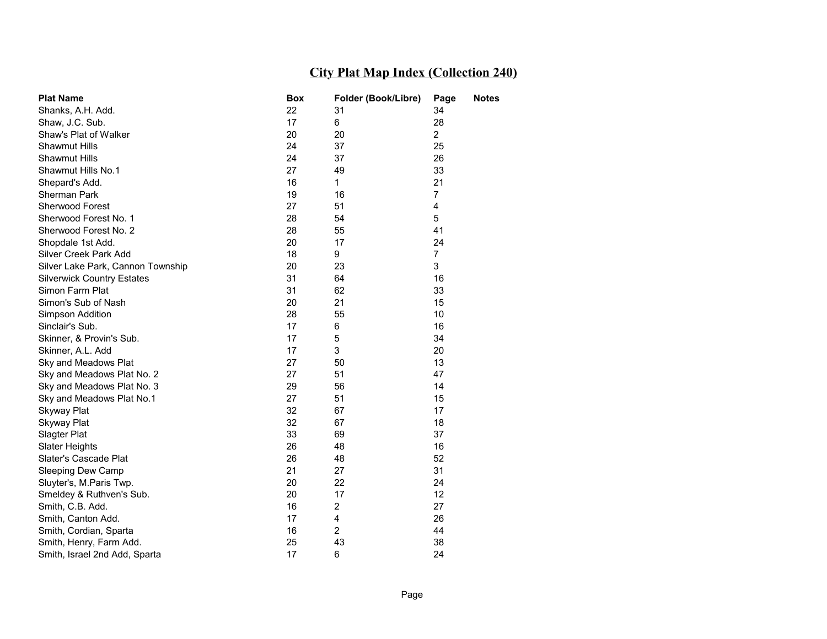| <b>Plat Name</b>                  | Box | Folder (Book/Libre) | Page           | <b>Notes</b> |
|-----------------------------------|-----|---------------------|----------------|--------------|
| Shanks, A.H. Add.                 | 22  | 31                  | 34             |              |
| Shaw, J.C. Sub.                   | 17  | 6                   | 28             |              |
| Shaw's Plat of Walker             | 20  | 20                  | $\overline{2}$ |              |
| <b>Shawmut Hills</b>              | 24  | 37                  | 25             |              |
| <b>Shawmut Hills</b>              | 24  | 37                  | 26             |              |
| Shawmut Hills No.1                | 27  | 49                  | 33             |              |
| Shepard's Add.                    | 16  | 1                   | 21             |              |
| Sherman Park                      | 19  | 16                  | $\overline{7}$ |              |
| Sherwood Forest                   | 27  | 51                  | 4              |              |
| Sherwood Forest No. 1             | 28  | 54                  | 5              |              |
| Sherwood Forest No. 2             | 28  | 55                  | 41             |              |
| Shopdale 1st Add.                 | 20  | 17                  | 24             |              |
| Silver Creek Park Add             | 18  | 9                   | $\overline{7}$ |              |
| Silver Lake Park, Cannon Township | 20  | 23                  | 3              |              |
| <b>Silverwick Country Estates</b> | 31  | 64                  | 16             |              |
| Simon Farm Plat                   | 31  | 62                  | 33             |              |
| Simon's Sub of Nash               | 20  | 21                  | 15             |              |
| Simpson Addition                  | 28  | 55                  | 10             |              |
| Sinclair's Sub.                   | 17  | 6                   | 16             |              |
| Skinner, & Provin's Sub.          | 17  | 5                   | 34             |              |
| Skinner, A.L. Add                 | 17  | 3                   | 20             |              |
| Sky and Meadows Plat              | 27  | 50                  | 13             |              |
| Sky and Meadows Plat No. 2        | 27  | 51                  | 47             |              |
| Sky and Meadows Plat No. 3        | 29  | 56                  | 14             |              |
| Sky and Meadows Plat No.1         | 27  | 51                  | 15             |              |
| Skyway Plat                       | 32  | 67                  | 17             |              |
| Skyway Plat                       | 32  | 67                  | 18             |              |
| Slagter Plat                      | 33  | 69                  | 37             |              |
| Slater Heights                    | 26  | 48                  | 16             |              |
| Slater's Cascade Plat             | 26  | 48                  | 52             |              |
| Sleeping Dew Camp                 | 21  | 27                  | 31             |              |
| Sluyter's, M.Paris Twp.           | 20  | 22                  | 24             |              |
| Smeldey & Ruthven's Sub.          | 20  | 17                  | 12             |              |
| Smith, C.B. Add.                  | 16  | $\overline{2}$      | 27             |              |
| Smith, Canton Add.                | 17  | 4                   | 26             |              |
| Smith, Cordian, Sparta            | 16  | 2                   | 44             |              |
| Smith, Henry, Farm Add.           | 25  | 43                  | 38             |              |
| Smith, Israel 2nd Add, Sparta     | 17  | 6                   | 24             |              |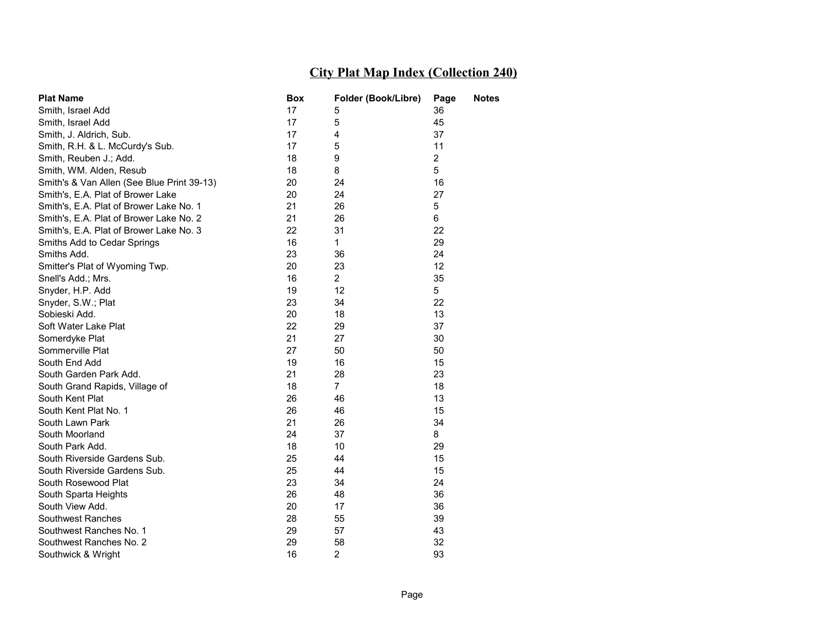| <b>Plat Name</b>                           | Box | Folder (Book/Libre) | Page           | <b>Notes</b> |
|--------------------------------------------|-----|---------------------|----------------|--------------|
| Smith, Israel Add                          | 17  | 5                   | 36             |              |
| Smith, Israel Add                          | 17  | 5                   | 45             |              |
| Smith, J. Aldrich, Sub.                    | 17  | 4                   | 37             |              |
| Smith, R.H. & L. McCurdy's Sub.            | 17  | 5                   | 11             |              |
| Smith, Reuben J.; Add.                     | 18  | 9                   | $\overline{2}$ |              |
| Smith, WM. Alden, Resub                    | 18  | 8                   | 5              |              |
| Smith's & Van Allen (See Blue Print 39-13) | 20  | 24                  | 16             |              |
| Smith's, E.A. Plat of Brower Lake          | 20  | 24                  | 27             |              |
| Smith's, E.A. Plat of Brower Lake No. 1    | 21  | 26                  | 5              |              |
| Smith's, E.A. Plat of Brower Lake No. 2    | 21  | 26                  | 6              |              |
| Smith's, E.A. Plat of Brower Lake No. 3    | 22  | 31                  | 22             |              |
| Smiths Add to Cedar Springs                | 16  | 1                   | 29             |              |
| Smiths Add.                                | 23  | 36                  | 24             |              |
| Smitter's Plat of Wyoming Twp.             | 20  | 23                  | 12             |              |
| Snell's Add.; Mrs.                         | 16  | $\overline{2}$      | 35             |              |
| Snyder, H.P. Add                           | 19  | 12                  | 5              |              |
| Snyder, S.W.; Plat                         | 23  | 34                  | 22             |              |
| Sobieski Add.                              | 20  | 18                  | 13             |              |
| Soft Water Lake Plat                       | 22  | 29                  | 37             |              |
| Somerdyke Plat                             | 21  | 27                  | 30             |              |
| Sommerville Plat                           | 27  | 50                  | 50             |              |
| South End Add                              | 19  | 16                  | 15             |              |
| South Garden Park Add.                     | 21  | 28                  | 23             |              |
| South Grand Rapids, Village of             | 18  | 7                   | 18             |              |
| South Kent Plat                            | 26  | 46                  | 13             |              |
| South Kent Plat No. 1                      | 26  | 46                  | 15             |              |
| South Lawn Park                            | 21  | 26                  | 34             |              |
| South Moorland                             | 24  | 37                  | 8              |              |
| South Park Add.                            | 18  | 10                  | 29             |              |
| South Riverside Gardens Sub.               | 25  | 44                  | 15             |              |
| South Riverside Gardens Sub.               | 25  | 44                  | 15             |              |
| South Rosewood Plat                        | 23  | 34                  | 24             |              |
| South Sparta Heights                       | 26  | 48                  | 36             |              |
| South View Add.                            | 20  | 17                  | 36             |              |
| Southwest Ranches                          | 28  | 55                  | 39             |              |
| Southwest Ranches No. 1                    | 29  | 57                  | 43             |              |
| Southwest Ranches No. 2                    | 29  | 58                  | 32             |              |
| Southwick & Wright                         | 16  | $\overline{2}$      | 93             |              |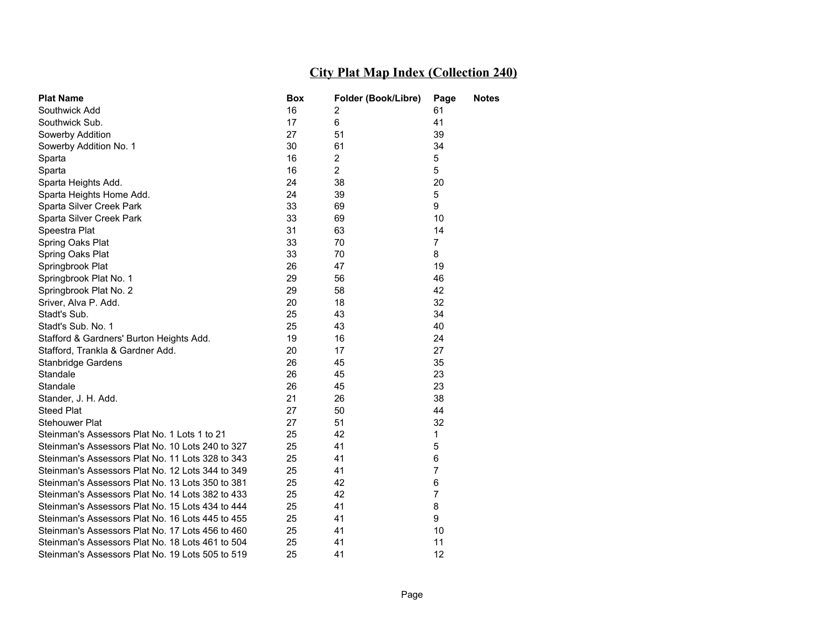| <b>Plat Name</b>                                 | Box | Folder (Book/Libre) | Page           | <b>Notes</b> |
|--------------------------------------------------|-----|---------------------|----------------|--------------|
| Southwick Add                                    | 16  | 2                   | 61             |              |
| Southwick Sub.                                   | 17  | 6                   | 41             |              |
| Sowerby Addition                                 | 27  | 51                  | 39             |              |
| Sowerby Addition No. 1                           | 30  | 61                  | 34             |              |
| Sparta                                           | 16  | $\overline{2}$      | 5              |              |
| Sparta                                           | 16  | $\overline{2}$      | 5              |              |
| Sparta Heights Add.                              | 24  | 38                  | 20             |              |
| Sparta Heights Home Add.                         | 24  | 39                  | 5              |              |
| Sparta Silver Creek Park                         | 33  | 69                  | 9              |              |
| Sparta Silver Creek Park                         | 33  | 69                  | 10             |              |
| Speestra Plat                                    | 31  | 63                  | 14             |              |
| Spring Oaks Plat                                 | 33  | 70                  | $\overline{7}$ |              |
| Spring Oaks Plat                                 | 33  | 70                  | 8              |              |
| Springbrook Plat                                 | 26  | 47                  | 19             |              |
| Springbrook Plat No. 1                           | 29  | 56                  | 46             |              |
| Springbrook Plat No. 2                           | 29  | 58                  | 42             |              |
| Sriver, Alva P. Add.                             | 20  | 18                  | 32             |              |
| Stadt's Sub.                                     | 25  | 43                  | 34             |              |
| Stadt's Sub. No. 1                               | 25  | 43                  | 40             |              |
| Stafford & Gardners' Burton Heights Add.         | 19  | 16                  | 24             |              |
| Stafford, Trankla & Gardner Add.                 | 20  | 17                  | 27             |              |
| Stanbridge Gardens                               | 26  | 45                  | 35             |              |
| Standale                                         | 26  | 45                  | 23             |              |
| Standale                                         | 26  | 45                  | 23             |              |
| Stander, J. H. Add.                              | 21  | 26                  | 38             |              |
| <b>Steed Plat</b>                                | 27  | 50                  | 44             |              |
| Stehouwer Plat                                   | 27  | 51                  | 32             |              |
| Steinman's Assessors Plat No. 1 Lots 1 to 21     | 25  | 42                  | 1              |              |
| Steinman's Assessors Plat No. 10 Lots 240 to 327 | 25  | 41                  | 5              |              |
| Steinman's Assessors Plat No. 11 Lots 328 to 343 | 25  | 41                  | 6              |              |
| Steinman's Assessors Plat No. 12 Lots 344 to 349 | 25  | 41                  | 7              |              |
| Steinman's Assessors Plat No. 13 Lots 350 to 381 | 25  | 42                  | 6              |              |
| Steinman's Assessors Plat No. 14 Lots 382 to 433 | 25  | 42                  | $\overline{7}$ |              |
| Steinman's Assessors Plat No. 15 Lots 434 to 444 | 25  | 41                  | 8              |              |
| Steinman's Assessors Plat No. 16 Lots 445 to 455 | 25  | 41                  | 9              |              |
| Steinman's Assessors Plat No. 17 Lots 456 to 460 | 25  | 41                  | 10             |              |
| Steinman's Assessors Plat No. 18 Lots 461 to 504 | 25  | 41                  | 11             |              |
| Steinman's Assessors Plat No. 19 Lots 505 to 519 | 25  | 41                  | 12             |              |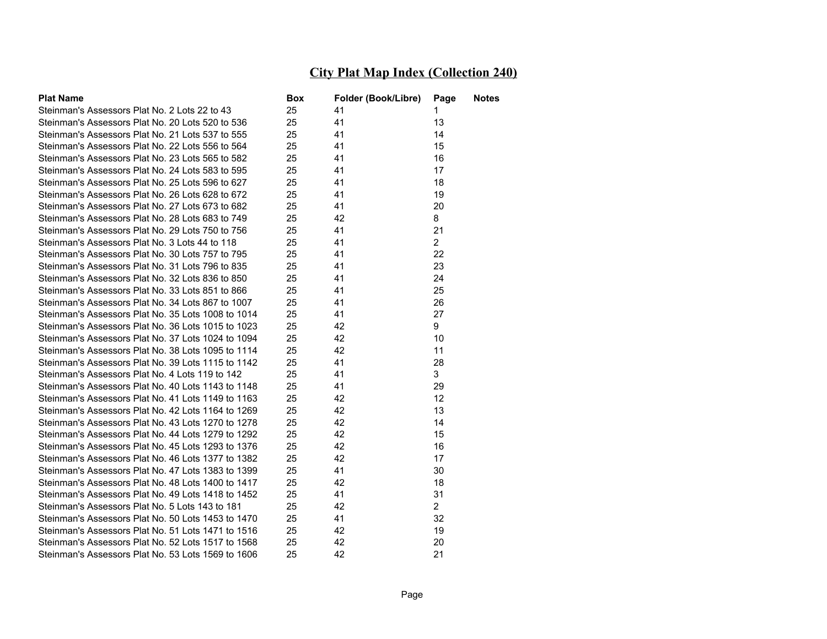| <b>Plat Name</b>                                   | Box | Folder (Book/Libre) | Page           | Notes |
|----------------------------------------------------|-----|---------------------|----------------|-------|
| Steinman's Assessors Plat No. 2 Lots 22 to 43      | 25  | 41                  | 1              |       |
| Steinman's Assessors Plat No. 20 Lots 520 to 536   | 25  | 41                  | 13             |       |
| Steinman's Assessors Plat No. 21 Lots 537 to 555   | 25  | 41                  | 14             |       |
| Steinman's Assessors Plat No. 22 Lots 556 to 564   | 25  | 41                  | 15             |       |
| Steinman's Assessors Plat No. 23 Lots 565 to 582   | 25  | 41                  | 16             |       |
| Steinman's Assessors Plat No. 24 Lots 583 to 595   | 25  | 41                  | 17             |       |
| Steinman's Assessors Plat No. 25 Lots 596 to 627   | 25  | 41                  | 18             |       |
| Steinman's Assessors Plat No. 26 Lots 628 to 672   | 25  | 41                  | 19             |       |
| Steinman's Assessors Plat No. 27 Lots 673 to 682   | 25  | 41                  | 20             |       |
| Steinman's Assessors Plat No. 28 Lots 683 to 749   | 25  | 42                  | 8              |       |
| Steinman's Assessors Plat No. 29 Lots 750 to 756   | 25  | 41                  | 21             |       |
| Steinman's Assessors Plat No. 3 Lots 44 to 118     | 25  | 41                  | $\overline{2}$ |       |
| Steinman's Assessors Plat No. 30 Lots 757 to 795   | 25  | 41                  | 22             |       |
| Steinman's Assessors Plat No. 31 Lots 796 to 835   | 25  | 41                  | 23             |       |
| Steinman's Assessors Plat No. 32 Lots 836 to 850   | 25  | 41                  | 24             |       |
| Steinman's Assessors Plat No. 33 Lots 851 to 866   | 25  | 41                  | 25             |       |
| Steinman's Assessors Plat No. 34 Lots 867 to 1007  | 25  | 41                  | 26             |       |
| Steinman's Assessors Plat No. 35 Lots 1008 to 1014 | 25  | 41                  | 27             |       |
| Steinman's Assessors Plat No. 36 Lots 1015 to 1023 | 25  | 42                  | 9              |       |
| Steinman's Assessors Plat No. 37 Lots 1024 to 1094 | 25  | 42                  | 10             |       |
| Steinman's Assessors Plat No. 38 Lots 1095 to 1114 | 25  | 42                  | 11             |       |
| Steinman's Assessors Plat No. 39 Lots 1115 to 1142 | 25  | 41                  | 28             |       |
| Steinman's Assessors Plat No. 4 Lots 119 to 142    | 25  | 41                  | 3              |       |
| Steinman's Assessors Plat No. 40 Lots 1143 to 1148 | 25  | 41                  | 29             |       |
| Steinman's Assessors Plat No. 41 Lots 1149 to 1163 | 25  | 42                  | 12             |       |
| Steinman's Assessors Plat No. 42 Lots 1164 to 1269 | 25  | 42                  | 13             |       |
| Steinman's Assessors Plat No. 43 Lots 1270 to 1278 | 25  | 42                  | 14             |       |
| Steinman's Assessors Plat No. 44 Lots 1279 to 1292 | 25  | 42                  | 15             |       |
| Steinman's Assessors Plat No. 45 Lots 1293 to 1376 | 25  | 42                  | 16             |       |
| Steinman's Assessors Plat No. 46 Lots 1377 to 1382 | 25  | 42                  | 17             |       |
| Steinman's Assessors Plat No. 47 Lots 1383 to 1399 | 25  | 41                  | 30             |       |
| Steinman's Assessors Plat No. 48 Lots 1400 to 1417 | 25  | 42                  | 18             |       |
| Steinman's Assessors Plat No. 49 Lots 1418 to 1452 | 25  | 41                  | 31             |       |
| Steinman's Assessors Plat No. 5 Lots 143 to 181    | 25  | 42                  | 2              |       |
| Steinman's Assessors Plat No. 50 Lots 1453 to 1470 | 25  | 41                  | 32             |       |
| Steinman's Assessors Plat No. 51 Lots 1471 to 1516 | 25  | 42                  | 19             |       |
| Steinman's Assessors Plat No. 52 Lots 1517 to 1568 | 25  | 42                  | 20             |       |
| Steinman's Assessors Plat No. 53 Lots 1569 to 1606 | 25  | 42                  | 21             |       |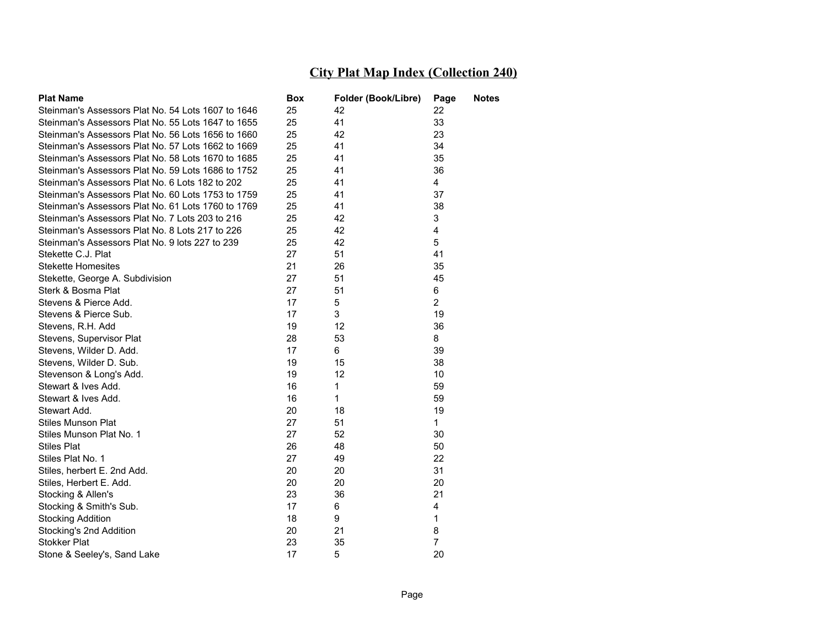| <b>Plat Name</b>                                   | Box | Folder (Book/Libre) | Page           | Notes |
|----------------------------------------------------|-----|---------------------|----------------|-------|
| Steinman's Assessors Plat No. 54 Lots 1607 to 1646 | 25  | 42                  | 22             |       |
| Steinman's Assessors Plat No. 55 Lots 1647 to 1655 | 25  | 41                  | 33             |       |
| Steinman's Assessors Plat No. 56 Lots 1656 to 1660 | 25  | 42                  | 23             |       |
| Steinman's Assessors Plat No. 57 Lots 1662 to 1669 | 25  | 41                  | 34             |       |
| Steinman's Assessors Plat No. 58 Lots 1670 to 1685 | 25  | 41                  | 35             |       |
| Steinman's Assessors Plat No. 59 Lots 1686 to 1752 | 25  | 41                  | 36             |       |
| Steinman's Assessors Plat No. 6 Lots 182 to 202    | 25  | 41                  | $\overline{4}$ |       |
| Steinman's Assessors Plat No. 60 Lots 1753 to 1759 | 25  | 41                  | 37             |       |
| Steinman's Assessors Plat No. 61 Lots 1760 to 1769 | 25  | 41                  | 38             |       |
| Steinman's Assessors Plat No. 7 Lots 203 to 216    | 25  | 42                  | 3              |       |
| Steinman's Assessors Plat No. 8 Lots 217 to 226    | 25  | 42                  | 4              |       |
| Steinman's Assessors Plat No. 9 lots 227 to 239    | 25  | 42                  | 5              |       |
| Stekette C.J. Plat                                 | 27  | 51                  | 41             |       |
| <b>Stekette Homesites</b>                          | 21  | 26                  | 35             |       |
| Stekette, George A. Subdivision                    | 27  | 51                  | 45             |       |
| Sterk & Bosma Plat                                 | 27  | 51                  | 6              |       |
| Stevens & Pierce Add.                              | 17  | 5                   | $\overline{2}$ |       |
| Stevens & Pierce Sub.                              | 17  | 3                   | 19             |       |
| Stevens, R.H. Add                                  | 19  | 12                  | 36             |       |
| Stevens, Supervisor Plat                           | 28  | 53                  | 8              |       |
| Stevens, Wilder D. Add.                            | 17  | 6                   | 39             |       |
| Stevens, Wilder D. Sub.                            | 19  | 15                  | 38             |       |
| Stevenson & Long's Add.                            | 19  | 12                  | 10             |       |
| Stewart & Ives Add.                                | 16  | 1                   | 59             |       |
| Stewart & Ives Add.                                | 16  | 1                   | 59             |       |
| Stewart Add.                                       | 20  | 18                  | 19             |       |
| <b>Stiles Munson Plat</b>                          | 27  | 51                  | $\mathbf{1}$   |       |
| Stiles Munson Plat No. 1                           | 27  | 52                  | 30             |       |
| <b>Stiles Plat</b>                                 | 26  | 48                  | 50             |       |
| Stiles Plat No. 1                                  | 27  | 49                  | 22             |       |
| Stiles, herbert E. 2nd Add.                        | 20  | 20                  | 31             |       |
| Stiles, Herbert E. Add.                            | 20  | 20                  | 20             |       |
| Stocking & Allen's                                 | 23  | 36                  | 21             |       |
| Stocking & Smith's Sub.                            | 17  | 6                   | 4              |       |
| <b>Stocking Addition</b>                           | 18  | 9                   | 1              |       |
| Stocking's 2nd Addition                            | 20  | 21                  | 8              |       |
| <b>Stokker Plat</b>                                | 23  | 35                  | $\overline{7}$ |       |
| Stone & Seeley's, Sand Lake                        | 17  | 5                   | 20             |       |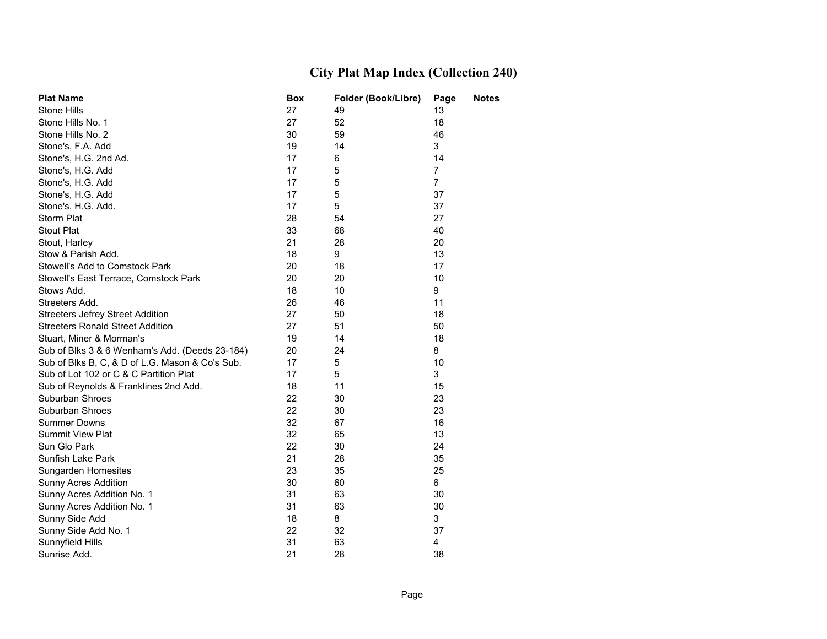| <b>Plat Name</b>                                | Box | Folder (Book/Libre) | Page           | <b>Notes</b> |
|-------------------------------------------------|-----|---------------------|----------------|--------------|
| Stone Hills                                     | 27  | 49                  | 13             |              |
| Stone Hills No. 1                               | 27  | 52                  | 18             |              |
| Stone Hills No. 2                               | 30  | 59                  | 46             |              |
| Stone's, F.A. Add                               | 19  | 14                  | 3              |              |
| Stone's, H.G. 2nd Ad.                           | 17  | 6                   | 14             |              |
| Stone's, H.G. Add                               | 17  | 5                   | $\overline{7}$ |              |
| Stone's, H.G. Add                               | 17  | 5                   | $\overline{7}$ |              |
| Stone's, H.G. Add                               | 17  | 5                   | 37             |              |
| Stone's, H.G. Add.                              | 17  | 5                   | 37             |              |
| Storm Plat                                      | 28  | 54                  | 27             |              |
| <b>Stout Plat</b>                               | 33  | 68                  | 40             |              |
| Stout, Harley                                   | 21  | 28                  | 20             |              |
| Stow & Parish Add.                              | 18  | 9                   | 13             |              |
| Stowell's Add to Comstock Park                  | 20  | 18                  | 17             |              |
| Stowell's East Terrace, Comstock Park           | 20  | 20                  | 10             |              |
| Stows Add.                                      | 18  | 10                  | 9              |              |
| Streeters Add.                                  | 26  | 46                  | 11             |              |
| <b>Streeters Jefrey Street Addition</b>         | 27  | 50                  | 18             |              |
| <b>Streeters Ronald Street Addition</b>         | 27  | 51                  | 50             |              |
| Stuart, Miner & Morman's                        | 19  | 14                  | 18             |              |
| Sub of Blks 3 & 6 Wenham's Add. (Deeds 23-184)  | 20  | 24                  | 8              |              |
| Sub of Blks B, C, & D of L.G. Mason & Co's Sub. | 17  | 5                   | 10             |              |
| Sub of Lot 102 or C & C Partition Plat          | 17  | 5                   | 3              |              |
| Sub of Reynolds & Franklines 2nd Add.           | 18  | 11                  | 15             |              |
| Suburban Shroes                                 | 22  | 30                  | 23             |              |
| Suburban Shroes                                 | 22  | 30                  | 23             |              |
| <b>Summer Downs</b>                             | 32  | 67                  | 16             |              |
| Summit View Plat                                | 32  | 65                  | 13             |              |
| Sun Glo Park                                    | 22  | 30                  | 24             |              |
| Sunfish Lake Park                               | 21  | 28                  | 35             |              |
| Sungarden Homesites                             | 23  | 35                  | 25             |              |
| Sunny Acres Addition                            | 30  | 60                  | 6              |              |
| Sunny Acres Addition No. 1                      | 31  | 63                  | 30             |              |
| Sunny Acres Addition No. 1                      | 31  | 63                  | 30             |              |
| Sunny Side Add                                  | 18  | 8                   | 3              |              |
| Sunny Side Add No. 1                            | 22  | 32                  | 37             |              |
| Sunnyfield Hills                                | 31  | 63                  | 4              |              |
| Sunrise Add.                                    | 21  | 28                  | 38             |              |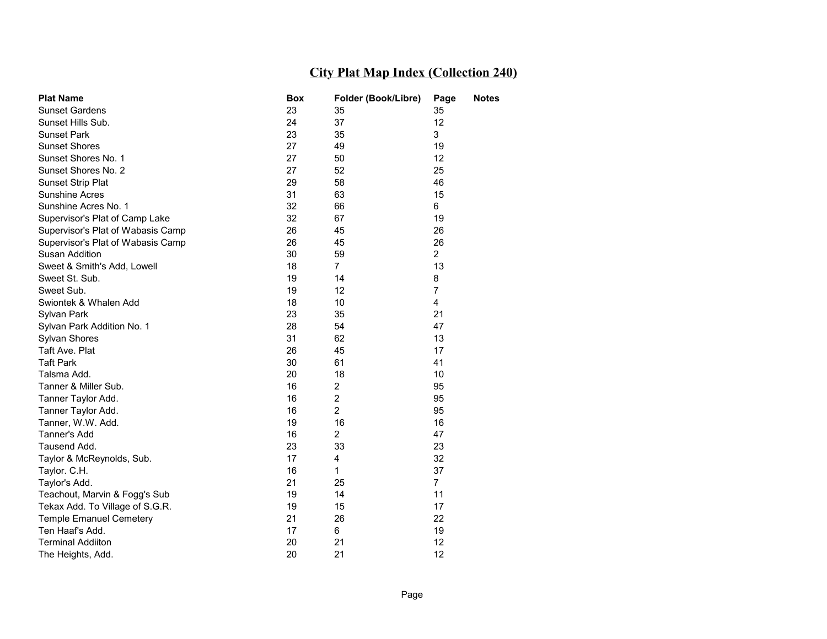| <b>Plat Name</b>                  | Box | Folder (Book/Libre) | Page           | <b>Notes</b> |
|-----------------------------------|-----|---------------------|----------------|--------------|
| <b>Sunset Gardens</b>             | 23  | 35                  | 35             |              |
| Sunset Hills Sub.                 | 24  | 37                  | 12             |              |
| <b>Sunset Park</b>                | 23  | 35                  | 3              |              |
| <b>Sunset Shores</b>              | 27  | 49                  | 19             |              |
| Sunset Shores No. 1               | 27  | 50                  | 12             |              |
| Sunset Shores No. 2               | 27  | 52                  | 25             |              |
| <b>Sunset Strip Plat</b>          | 29  | 58                  | 46             |              |
| <b>Sunshine Acres</b>             | 31  | 63                  | 15             |              |
| Sunshine Acres No. 1              | 32  | 66                  | 6              |              |
| Supervisor's Plat of Camp Lake    | 32  | 67                  | 19             |              |
| Supervisor's Plat of Wabasis Camp | 26  | 45                  | 26             |              |
| Supervisor's Plat of Wabasis Camp | 26  | 45                  | 26             |              |
| Susan Addition                    | 30  | 59                  | $\overline{2}$ |              |
| Sweet & Smith's Add, Lowell       | 18  | $\overline{7}$      | 13             |              |
| Sweet St. Sub.                    | 19  | 14                  | 8              |              |
| Sweet Sub.                        | 19  | 12                  | $\overline{7}$ |              |
| Swiontek & Whalen Add             | 18  | 10                  | 4              |              |
| Sylvan Park                       | 23  | 35                  | 21             |              |
| Sylvan Park Addition No. 1        | 28  | 54                  | 47             |              |
| Sylvan Shores                     | 31  | 62                  | 13             |              |
| Taft Ave. Plat                    | 26  | 45                  | 17             |              |
| <b>Taft Park</b>                  | 30  | 61                  | 41             |              |
| Talsma Add.                       | 20  | 18                  | 10             |              |
| Tanner & Miller Sub.              | 16  | 2                   | 95             |              |
| Tanner Taylor Add.                | 16  | $\overline{2}$      | 95             |              |
| Tanner Taylor Add.                | 16  | $\overline{2}$      | 95             |              |
| Tanner, W.W. Add.                 | 19  | 16                  | 16             |              |
| Tanner's Add                      | 16  | $\overline{2}$      | 47             |              |
| Tausend Add.                      | 23  | 33                  | 23             |              |
| Taylor & McReynolds, Sub.         | 17  | 4                   | 32             |              |
| Taylor. C.H.                      | 16  | 1                   | 37             |              |
| Taylor's Add.                     | 21  | 25                  | $\overline{7}$ |              |
| Teachout, Marvin & Fogg's Sub     | 19  | 14                  | 11             |              |
| Tekax Add. To Village of S.G.R.   | 19  | 15                  | 17             |              |
| <b>Temple Emanuel Cemetery</b>    | 21  | 26                  | 22             |              |
| Ten Haaf's Add.                   | 17  | 6                   | 19             |              |
| <b>Terminal Addiiton</b>          | 20  | 21                  | 12             |              |
| The Heights, Add.                 | 20  | 21                  | 12             |              |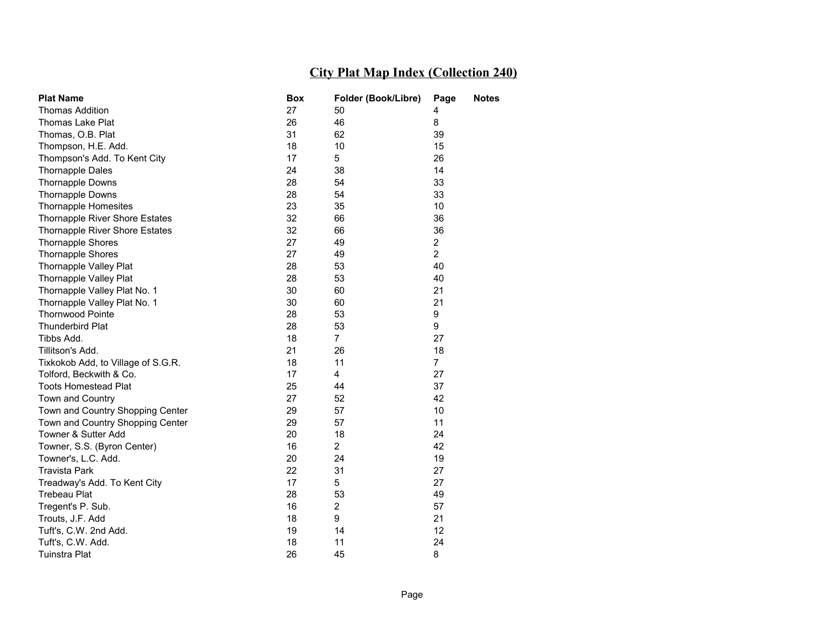| <b>Plat Name</b>                   | <b>Box</b> | Folder (Book/Libre) | Page           | <b>Notes</b> |
|------------------------------------|------------|---------------------|----------------|--------------|
| <b>Thomas Addition</b>             | 27         | 50                  | 4              |              |
| <b>Thomas Lake Plat</b>            | 26         | 46                  | 8              |              |
| Thomas, O.B. Plat                  | 31         | 62                  | 39             |              |
| Thompson, H.E. Add.                | 18         | 10                  | 15             |              |
| Thompson's Add. To Kent City       | 17         | 5                   | 26             |              |
| <b>Thornapple Dales</b>            | 24         | 38                  | 14             |              |
| <b>Thornapple Downs</b>            | 28         | 54                  | 33             |              |
| <b>Thornapple Downs</b>            | 28         | 54                  | 33             |              |
| <b>Thornapple Homesites</b>        | 23         | 35                  | 10             |              |
| Thornapple River Shore Estates     | 32         | 66                  | 36             |              |
| Thornapple River Shore Estates     | 32         | 66                  | 36             |              |
| <b>Thornapple Shores</b>           | 27         | 49                  | $\overline{2}$ |              |
| <b>Thornapple Shores</b>           | 27         | 49                  | $\overline{2}$ |              |
| Thornapple Valley Plat             | 28         | 53                  | 40             |              |
| Thornapple Valley Plat             | 28         | 53                  | 40             |              |
| Thornapple Valley Plat No. 1       | 30         | 60                  | 21             |              |
| Thornapple Valley Plat No. 1       | 30         | 60                  | 21             |              |
| <b>Thornwood Pointe</b>            | 28         | 53                  | 9              |              |
| <b>Thunderbird Plat</b>            | 28         | 53                  | 9              |              |
| Tibbs Add.                         | 18         | $\overline{7}$      | 27             |              |
| Tillitson's Add.                   | 21         | 26                  | 18             |              |
| Tixkokob Add, to Village of S.G.R. | 18         | 11                  | $\overline{7}$ |              |
| Tolford, Beckwith & Co.            | 17         | 4                   | 27             |              |
| <b>Toots Homestead Plat</b>        | 25         | 44                  | 37             |              |
| Town and Country                   | 27         | 52                  | 42             |              |
| Town and Country Shopping Center   | 29         | 57                  | 10             |              |
| Town and Country Shopping Center   | 29         | 57                  | 11             |              |
| Towner & Sutter Add                | 20         | 18                  | 24             |              |
| Towner, S.S. (Byron Center)        | 16         | $\overline{2}$      | 42             |              |
| Towner's, L.C. Add.                | 20         | 24                  | 19             |              |
| <b>Travista Park</b>               | 22         | 31                  | 27             |              |
| Treadway's Add. To Kent City       | 17         | 5                   | 27             |              |
| <b>Trebeau Plat</b>                | 28         | 53                  | 49             |              |
| Tregent's P. Sub.                  | 16         | $\overline{2}$      | 57             |              |
| Trouts, J.F. Add                   | 18         | 9                   | 21             |              |
| Tuft's, C.W. 2nd Add.              | 19         | 14                  | 12             |              |
| Tuft's, C.W. Add.                  | 18         | 11                  | 24             |              |
| <b>Tuinstra Plat</b>               | 26         | 45                  | 8              |              |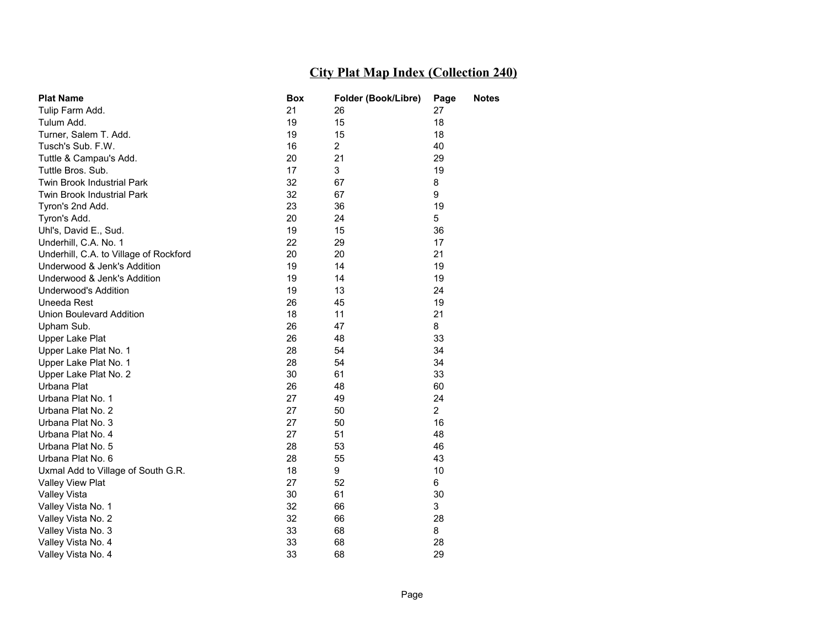| <b>Plat Name</b>                       | Box | Folder (Book/Libre) | Page           | <b>Notes</b> |
|----------------------------------------|-----|---------------------|----------------|--------------|
| Tulip Farm Add.                        | 21  | 26                  | 27             |              |
| Tulum Add.                             | 19  | 15                  | 18             |              |
| Turner, Salem T. Add.                  | 19  | 15                  | 18             |              |
| Tusch's Sub. F.W.                      | 16  | $\overline{c}$      | 40             |              |
| Tuttle & Campau's Add.                 | 20  | 21                  | 29             |              |
| Tuttle Bros. Sub.                      | 17  | 3                   | 19             |              |
| Twin Brook Industrial Park             | 32  | 67                  | 8              |              |
| Twin Brook Industrial Park             | 32  | 67                  | 9              |              |
| Tyron's 2nd Add.                       | 23  | 36                  | 19             |              |
| Tyron's Add.                           | 20  | 24                  | 5              |              |
| Uhl's, David E., Sud.                  | 19  | 15                  | 36             |              |
| Underhill, C.A. No. 1                  | 22  | 29                  | 17             |              |
| Underhill, C.A. to Village of Rockford | 20  | 20                  | 21             |              |
| Underwood & Jenk's Addition            | 19  | 14                  | 19             |              |
| Underwood & Jenk's Addition            | 19  | 14                  | 19             |              |
| Underwood's Addition                   | 19  | 13                  | 24             |              |
| Uneeda Rest                            | 26  | 45                  | 19             |              |
| Union Boulevard Addition               | 18  | 11                  | 21             |              |
| Upham Sub.                             | 26  | 47                  | 8              |              |
| Upper Lake Plat                        | 26  | 48                  | 33             |              |
| Upper Lake Plat No. 1                  | 28  | 54                  | 34             |              |
| Upper Lake Plat No. 1                  | 28  | 54                  | 34             |              |
| Upper Lake Plat No. 2                  | 30  | 61                  | 33             |              |
| Urbana Plat                            | 26  | 48                  | 60             |              |
| Urbana Plat No. 1                      | 27  | 49                  | 24             |              |
| Urbana Plat No. 2                      | 27  | 50                  | $\overline{2}$ |              |
| Urbana Plat No. 3                      | 27  | 50                  | 16             |              |
| Urbana Plat No. 4                      | 27  | 51                  | 48             |              |
| Urbana Plat No. 5                      | 28  | 53                  | 46             |              |
| Urbana Plat No. 6                      | 28  | 55                  | 43             |              |
| Uxmal Add to Village of South G.R.     | 18  | 9                   | 10             |              |
| Valley View Plat                       | 27  | 52                  | 6              |              |
| <b>Valley Vista</b>                    | 30  | 61                  | 30             |              |
| Valley Vista No. 1                     | 32  | 66                  | 3              |              |
| Valley Vista No. 2                     | 32  | 66                  | 28             |              |
| Valley Vista No. 3                     | 33  | 68                  | 8              |              |
| Valley Vista No. 4                     | 33  | 68                  | 28             |              |
| Valley Vista No. 4                     | 33  | 68                  | 29             |              |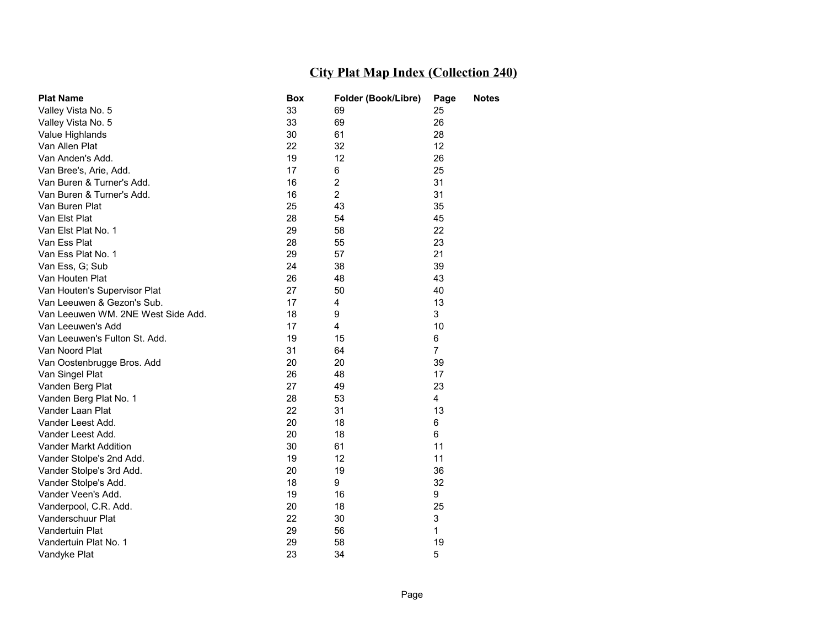| <b>Plat Name</b>                   | Box | Folder (Book/Libre) | Page           | <b>Notes</b> |
|------------------------------------|-----|---------------------|----------------|--------------|
| Valley Vista No. 5                 | 33  | 69                  | 25             |              |
| Valley Vista No. 5                 | 33  | 69                  | 26             |              |
| Value Highlands                    | 30  | 61                  | 28             |              |
| Van Allen Plat                     | 22  | 32                  | 12             |              |
| Van Anden's Add.                   | 19  | 12                  | 26             |              |
| Van Bree's, Arie, Add.             | 17  | 6                   | 25             |              |
| Van Buren & Turner's Add.          | 16  | $\overline{2}$      | 31             |              |
| Van Buren & Turner's Add.          | 16  | $\overline{2}$      | 31             |              |
| Van Buren Plat                     | 25  | 43                  | 35             |              |
| Van Elst Plat                      | 28  | 54                  | 45             |              |
| Van Elst Plat No. 1                | 29  | 58                  | 22             |              |
| Van Ess Plat                       | 28  | 55                  | 23             |              |
| Van Ess Plat No. 1                 | 29  | 57                  | 21             |              |
| Van Ess, G; Sub                    | 24  | 38                  | 39             |              |
| Van Houten Plat                    | 26  | 48                  | 43             |              |
| Van Houten's Supervisor Plat       | 27  | 50                  | 40             |              |
| Van Leeuwen & Gezon's Sub.         | 17  | 4                   | 13             |              |
| Van Leeuwen WM. 2NE West Side Add. | 18  | 9                   | 3              |              |
| Van Leeuwen's Add                  | 17  | 4                   | 10             |              |
| Van Leeuwen's Fulton St. Add.      | 19  | 15                  | 6              |              |
| Van Noord Plat                     | 31  | 64                  | $\overline{7}$ |              |
| Van Oostenbrugge Bros. Add         | 20  | 20                  | 39             |              |
| Van Singel Plat                    | 26  | 48                  | 17             |              |
| Vanden Berg Plat                   | 27  | 49                  | 23             |              |
| Vanden Berg Plat No. 1             | 28  | 53                  | 4              |              |
| Vander Laan Plat                   | 22  | 31                  | 13             |              |
| Vander Leest Add.                  | 20  | 18                  | 6              |              |
| Vander Leest Add.                  | 20  | 18                  | 6              |              |
| Vander Markt Addition              | 30  | 61                  | 11             |              |
| Vander Stolpe's 2nd Add.           | 19  | 12                  | 11             |              |
| Vander Stolpe's 3rd Add.           | 20  | 19                  | 36             |              |
| Vander Stolpe's Add.               | 18  | 9                   | 32             |              |
| Vander Veen's Add.                 | 19  | 16                  | 9              |              |
| Vanderpool, C.R. Add.              | 20  | 18                  | 25             |              |
| Vanderschuur Plat                  | 22  | 30                  | 3              |              |
| Vandertuin Plat                    | 29  | 56                  | 1              |              |
| Vandertuin Plat No. 1              | 29  | 58                  | 19             |              |
| Vandyke Plat                       | 23  | 34                  | 5              |              |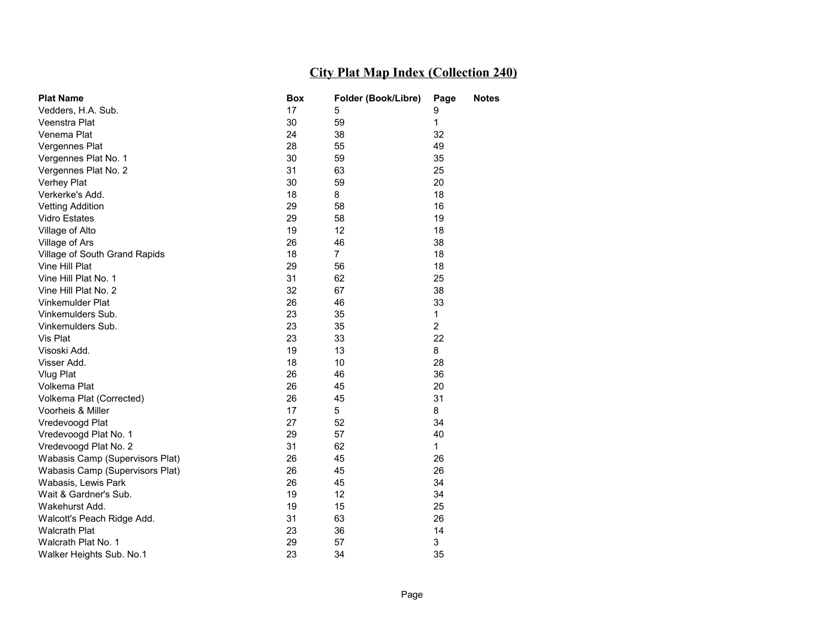| <b>Plat Name</b>                | <b>Box</b> | Folder (Book/Libre) | Page           | <b>Notes</b> |
|---------------------------------|------------|---------------------|----------------|--------------|
| Vedders, H.A. Sub.              | 17         | 5                   | 9              |              |
| Veenstra Plat                   | 30         | 59                  | 1              |              |
| Venema Plat                     | 24         | 38                  | 32             |              |
| Vergennes Plat                  | 28         | 55                  | 49             |              |
| Vergennes Plat No. 1            | 30         | 59                  | 35             |              |
| Vergennes Plat No. 2            | 31         | 63                  | 25             |              |
| Verhey Plat                     | 30         | 59                  | 20             |              |
| Verkerke's Add.                 | 18         | 8                   | 18             |              |
| <b>Vetting Addition</b>         | 29         | 58                  | 16             |              |
| <b>Vidro Estates</b>            | 29         | 58                  | 19             |              |
| Village of Alto                 | 19         | 12                  | 18             |              |
| Village of Ars                  | 26         | 46                  | 38             |              |
| Village of South Grand Rapids   | 18         | $\overline{7}$      | 18             |              |
| Vine Hill Plat                  | 29         | 56                  | 18             |              |
| Vine Hill Plat No. 1            | 31         | 62                  | 25             |              |
| Vine Hill Plat No. 2            | 32         | 67                  | 38             |              |
| Vinkemulder Plat                | 26         | 46                  | 33             |              |
| Vinkemulders Sub.               | 23         | 35                  | $\mathbf{1}$   |              |
| Vinkemulders Sub.               | 23         | 35                  | $\overline{2}$ |              |
| Vis Plat                        | 23         | 33                  | 22             |              |
| Visoski Add.                    | 19         | 13                  | 8              |              |
| Visser Add.                     | 18         | 10                  | 28             |              |
| Vlug Plat                       | 26         | 46                  | 36             |              |
| Volkema Plat                    | 26         | 45                  | 20             |              |
| Volkema Plat (Corrected)        | 26         | 45                  | 31             |              |
| Voorheis & Miller               | 17         | 5                   | 8              |              |
| Vredevoogd Plat                 | 27         | 52                  | 34             |              |
| Vredevoogd Plat No. 1           | 29         | 57                  | 40             |              |
| Vredevoogd Plat No. 2           | 31         | 62                  | $\mathbf{1}$   |              |
| Wabasis Camp (Supervisors Plat) | 26         | 45                  | 26             |              |
| Wabasis Camp (Supervisors Plat) | 26         | 45                  | 26             |              |
| Wabasis, Lewis Park             | 26         | 45                  | 34             |              |
| Wait & Gardner's Sub.           | 19         | 12                  | 34             |              |
| Wakehurst Add.                  | 19         | 15                  | 25             |              |
| Walcott's Peach Ridge Add.      | 31         | 63                  | 26             |              |
| <b>Walcrath Plat</b>            | 23         | 36                  | 14             |              |
| Walcrath Plat No. 1             | 29         | 57                  | 3              |              |
| Walker Heights Sub. No.1        | 23         | 34                  | 35             |              |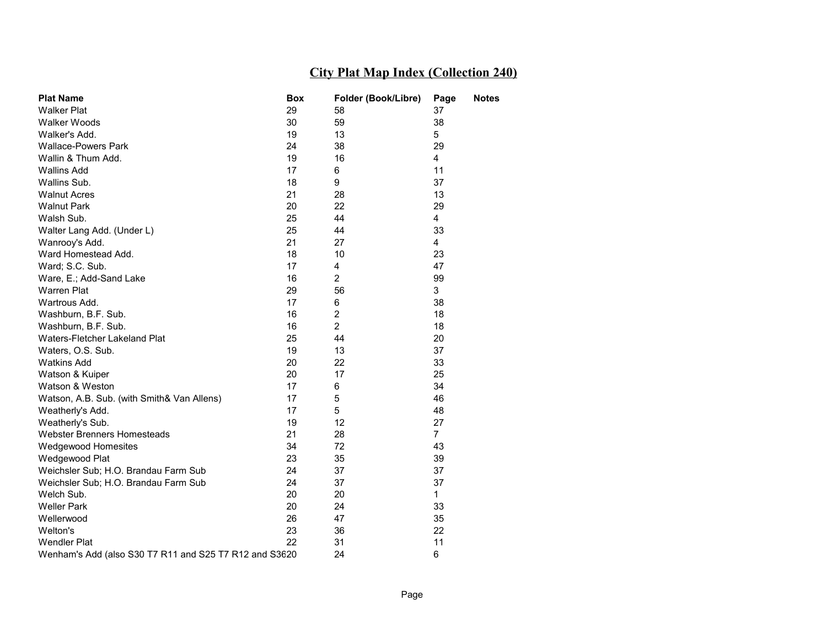| <b>Plat Name</b>                                       | Box | Folder (Book/Libre) | Page           | <b>Notes</b> |
|--------------------------------------------------------|-----|---------------------|----------------|--------------|
| <b>Walker Plat</b>                                     | 29  | 58                  | 37             |              |
| Walker Woods                                           | 30  | 59                  | 38             |              |
| Walker's Add.                                          | 19  | 13                  | 5              |              |
| <b>Wallace-Powers Park</b>                             | 24  | 38                  | 29             |              |
| Wallin & Thum Add.                                     | 19  | 16                  | 4              |              |
| <b>Wallins Add</b>                                     | 17  | 6                   | 11             |              |
| Wallins Sub.                                           | 18  | 9                   | 37             |              |
| <b>Walnut Acres</b>                                    | 21  | 28                  | 13             |              |
| <b>Walnut Park</b>                                     | 20  | 22                  | 29             |              |
| Walsh Sub.                                             | 25  | 44                  | 4              |              |
| Walter Lang Add. (Under L)                             | 25  | 44                  | 33             |              |
| Wanrooy's Add.                                         | 21  | 27                  | 4              |              |
| Ward Homestead Add.                                    | 18  | 10                  | 23             |              |
| Ward; S.C. Sub.                                        | 17  | 4                   | 47             |              |
| Ware, E.; Add-Sand Lake                                | 16  | $\overline{2}$      | 99             |              |
| <b>Warren Plat</b>                                     | 29  | 56                  | 3              |              |
| Wartrous Add.                                          | 17  | 6                   | 38             |              |
| Washburn, B.F. Sub.                                    | 16  | 2                   | 18             |              |
| Washburn, B.F. Sub.                                    | 16  | $\overline{c}$      | 18             |              |
| Waters-Fletcher Lakeland Plat                          | 25  | 44                  | 20             |              |
| Waters, O.S. Sub.                                      | 19  | 13                  | 37             |              |
| <b>Watkins Add</b>                                     | 20  | 22                  | 33             |              |
| Watson & Kuiper                                        | 20  | 17                  | 25             |              |
| Watson & Weston                                        | 17  | 6                   | 34             |              |
| Watson, A.B. Sub. (with Smith& Van Allens)             | 17  | 5                   | 46             |              |
| Weatherly's Add.                                       | 17  | 5                   | 48             |              |
| Weatherly's Sub.                                       | 19  | 12                  | 27             |              |
| Webster Brenners Homesteads                            | 21  | 28                  | $\overline{7}$ |              |
| Wedgewood Homesites                                    | 34  | 72                  | 43             |              |
| Wedgewood Plat                                         | 23  | 35                  | 39             |              |
| Weichsler Sub; H.O. Brandau Farm Sub                   | 24  | 37                  | 37             |              |
| Weichsler Sub; H.O. Brandau Farm Sub                   | 24  | 37                  | 37             |              |
| Welch Sub.                                             | 20  | 20                  | $\mathbf{1}$   |              |
| <b>Weller Park</b>                                     | 20  | 24                  | 33             |              |
| Wellerwood                                             | 26  | 47                  | 35             |              |
| Welton's                                               | 23  | 36                  | 22             |              |
| <b>Wendler Plat</b>                                    | 22  | 31                  | 11             |              |
| Wenham's Add (also S30 T7 R11 and S25 T7 R12 and S3620 |     | 24                  | 6              |              |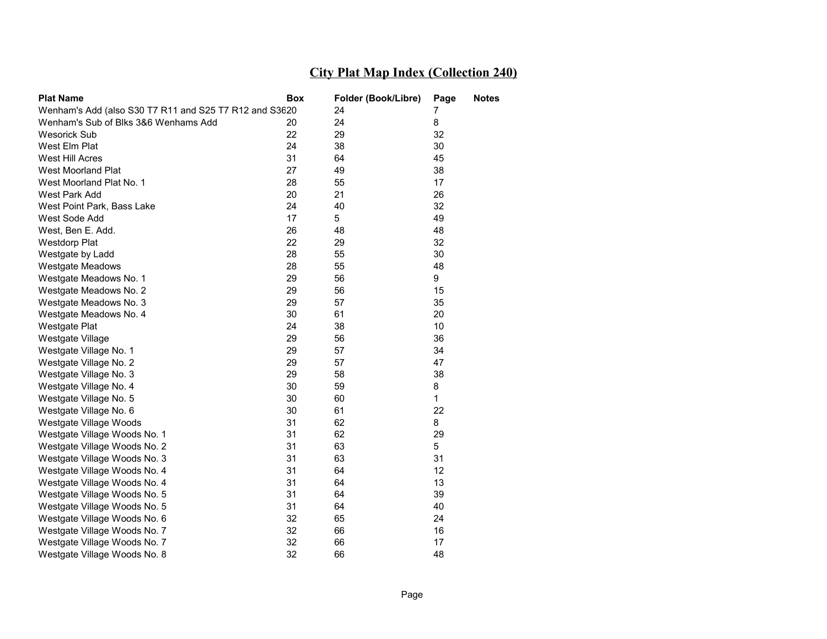| <b>Plat Name</b>                                       | Box | Folder (Book/Libre) | Page         | <b>Notes</b> |
|--------------------------------------------------------|-----|---------------------|--------------|--------------|
| Wenham's Add (also S30 T7 R11 and S25 T7 R12 and S3620 |     | 24                  | 7            |              |
| Wenham's Sub of Blks 3&6 Wenhams Add                   | 20  | 24                  | 8            |              |
| <b>Wesorick Sub</b>                                    | 22  | 29                  | 32           |              |
| West Elm Plat                                          | 24  | 38                  | 30           |              |
| West Hill Acres                                        | 31  | 64                  | 45           |              |
| West Moorland Plat                                     | 27  | 49                  | 38           |              |
| West Moorland Plat No. 1                               | 28  | 55                  | 17           |              |
| West Park Add                                          | 20  | 21                  | 26           |              |
| West Point Park, Bass Lake                             | 24  | 40                  | 32           |              |
| West Sode Add                                          | 17  | 5                   | 49           |              |
| West, Ben E. Add.                                      | 26  | 48                  | 48           |              |
| <b>Westdorp Plat</b>                                   | 22  | 29                  | 32           |              |
| Westgate by Ladd                                       | 28  | 55                  | 30           |              |
| <b>Westgate Meadows</b>                                | 28  | 55                  | 48           |              |
| Westgate Meadows No. 1                                 | 29  | 56                  | 9            |              |
| Westgate Meadows No. 2                                 | 29  | 56                  | 15           |              |
| Westgate Meadows No. 3                                 | 29  | 57                  | 35           |              |
| Westgate Meadows No. 4                                 | 30  | 61                  | 20           |              |
| Westgate Plat                                          | 24  | 38                  | 10           |              |
| Westgate Village                                       | 29  | 56                  | 36           |              |
| Westgate Village No. 1                                 | 29  | 57                  | 34           |              |
| Westgate Village No. 2                                 | 29  | 57                  | 47           |              |
| Westgate Village No. 3                                 | 29  | 58                  | 38           |              |
| Westgate Village No. 4                                 | 30  | 59                  | 8            |              |
| Westgate Village No. 5                                 | 30  | 60                  | $\mathbf{1}$ |              |
| Westgate Village No. 6                                 | 30  | 61                  | 22           |              |
| Westgate Village Woods                                 | 31  | 62                  | 8            |              |
| Westgate Village Woods No. 1                           | 31  | 62                  | 29           |              |
| Westgate Village Woods No. 2                           | 31  | 63                  | 5            |              |
| Westgate Village Woods No. 3                           | 31  | 63                  | 31           |              |
| Westgate Village Woods No. 4                           | 31  | 64                  | 12           |              |
| Westgate Village Woods No. 4                           | 31  | 64                  | 13           |              |
| Westgate Village Woods No. 5                           | 31  | 64                  | 39           |              |
| Westgate Village Woods No. 5                           | 31  | 64                  | 40           |              |
| Westgate Village Woods No. 6                           | 32  | 65                  | 24           |              |
| Westgate Village Woods No. 7                           | 32  | 66                  | 16           |              |
| Westgate Village Woods No. 7                           | 32  | 66                  | 17           |              |
| Westgate Village Woods No. 8                           | 32  | 66                  | 48           |              |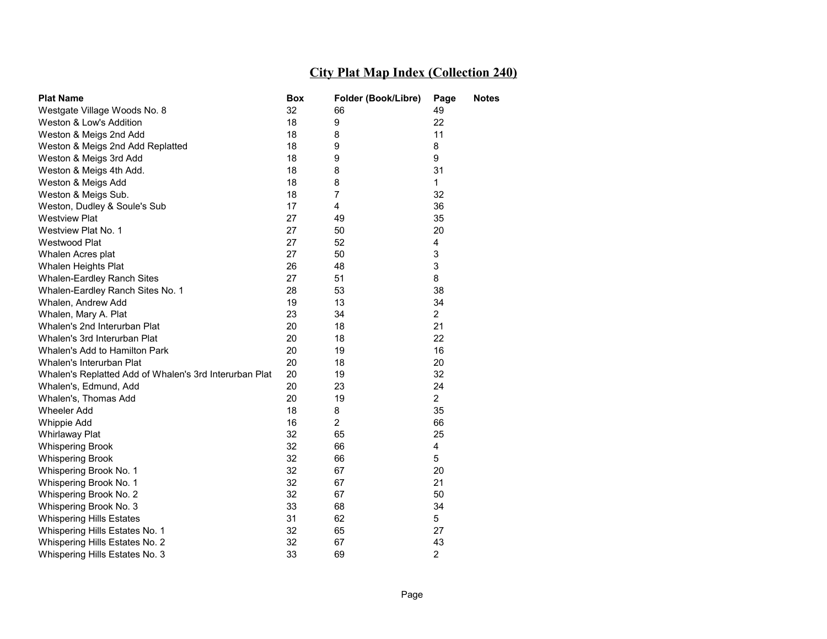| <b>Plat Name</b>                                       | Box | Folder (Book/Libre) | Page                    | Notes |
|--------------------------------------------------------|-----|---------------------|-------------------------|-------|
| Westgate Village Woods No. 8                           | 32  | 66                  | 49                      |       |
| Weston & Low's Addition                                | 18  | 9                   | 22                      |       |
| Weston & Meigs 2nd Add                                 | 18  | 8                   | 11                      |       |
| Weston & Meigs 2nd Add Replatted                       | 18  | 9                   | 8                       |       |
| Weston & Meigs 3rd Add                                 | 18  | 9                   | 9                       |       |
| Weston & Meigs 4th Add.                                | 18  | 8                   | 31                      |       |
| Weston & Meigs Add                                     | 18  | 8                   | $\mathbf{1}$            |       |
| Weston & Meigs Sub.                                    | 18  | 7                   | 32                      |       |
| Weston, Dudley & Soule's Sub                           | 17  | 4                   | 36                      |       |
| <b>Westview Plat</b>                                   | 27  | 49                  | 35                      |       |
| Westview Plat No. 1                                    | 27  | 50                  | 20                      |       |
| Westwood Plat                                          | 27  | 52                  | 4                       |       |
| Whalen Acres plat                                      | 27  | 50                  | 3                       |       |
| Whalen Heights Plat                                    | 26  | 48                  | 3                       |       |
| Whalen-Eardley Ranch Sites                             | 27  | 51                  | 8                       |       |
| Whalen-Eardley Ranch Sites No. 1                       | 28  | 53                  | 38                      |       |
| Whalen, Andrew Add                                     | 19  | 13                  | 34                      |       |
| Whalen, Mary A. Plat                                   | 23  | 34                  | $\overline{2}$          |       |
| Whalen's 2nd Interurban Plat                           | 20  | 18                  | 21                      |       |
| Whalen's 3rd Interurban Plat                           | 20  | 18                  | 22                      |       |
| Whalen's Add to Hamilton Park                          | 20  | 19                  | 16                      |       |
| Whalen's Interurban Plat                               | 20  | 18                  | 20                      |       |
| Whalen's Replatted Add of Whalen's 3rd Interurban Plat | 20  | 19                  | 32                      |       |
| Whalen's, Edmund, Add                                  | 20  | 23                  | 24                      |       |
| Whalen's, Thomas Add                                   | 20  | 19                  | $\overline{2}$          |       |
| <b>Wheeler Add</b>                                     | 18  | 8                   | 35                      |       |
| <b>Whippie Add</b>                                     | 16  | $\overline{2}$      | 66                      |       |
| <b>Whirlaway Plat</b>                                  | 32  | 65                  | 25                      |       |
| <b>Whispering Brook</b>                                | 32  | 66                  | $\overline{\mathbf{4}}$ |       |
| <b>Whispering Brook</b>                                | 32  | 66                  | 5                       |       |
| Whispering Brook No. 1                                 | 32  | 67                  | 20                      |       |
| Whispering Brook No. 1                                 | 32  | 67                  | 21                      |       |
| Whispering Brook No. 2                                 | 32  | 67                  | 50                      |       |
| Whispering Brook No. 3                                 | 33  | 68                  | 34                      |       |
| <b>Whispering Hills Estates</b>                        | 31  | 62                  | 5                       |       |
| Whispering Hills Estates No. 1                         | 32  | 65                  | 27                      |       |
| Whispering Hills Estates No. 2                         | 32  | 67                  | 43                      |       |
| Whispering Hills Estates No. 3                         | 33  | 69                  | $\overline{2}$          |       |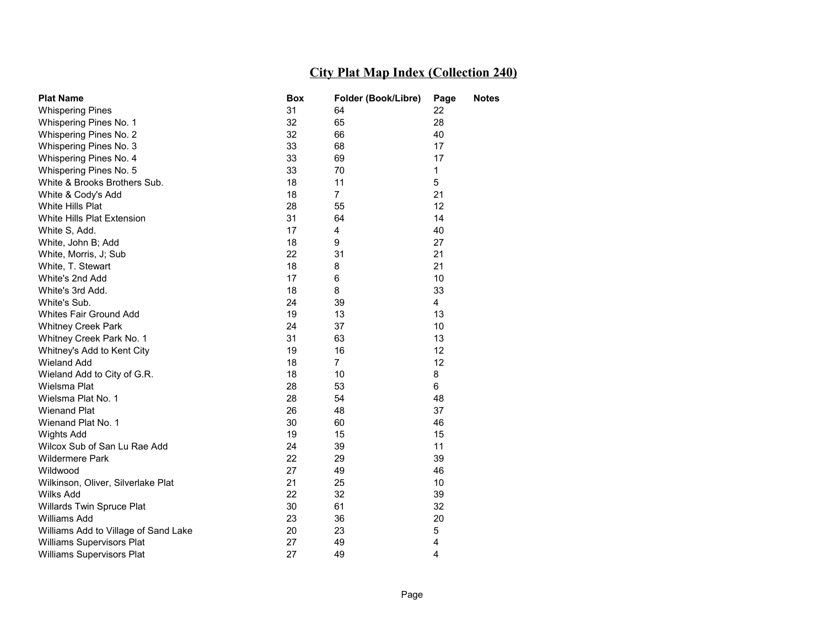| <b>Plat Name</b>                     | <b>Box</b> | Folder (Book/Libre) | Page         | <b>Notes</b> |
|--------------------------------------|------------|---------------------|--------------|--------------|
| <b>Whispering Pines</b>              | 31         | 64                  | 22           |              |
| Whispering Pines No. 1               | 32         | 65                  | 28           |              |
| Whispering Pines No. 2               | 32         | 66                  | 40           |              |
| Whispering Pines No. 3               | 33         | 68                  | 17           |              |
| Whispering Pines No. 4               | 33         | 69                  | 17           |              |
| Whispering Pines No. 5               | 33         | 70                  | $\mathbf{1}$ |              |
| White & Brooks Brothers Sub.         | 18         | 11                  | 5            |              |
| White & Cody's Add                   | 18         | $\overline{7}$      | 21           |              |
| White Hills Plat                     | 28         | 55                  | 12           |              |
| White Hills Plat Extension           | 31         | 64                  | 14           |              |
| White S, Add.                        | 17         | 4                   | 40           |              |
| White, John B; Add                   | 18         | 9                   | 27           |              |
| White, Morris, J; Sub                | 22         | 31                  | 21           |              |
| White, T. Stewart                    | 18         | 8                   | 21           |              |
| White's 2nd Add                      | 17         | 6                   | 10           |              |
| White's 3rd Add.                     | 18         | 8                   | 33           |              |
| White's Sub.                         | 24         | 39                  | 4            |              |
| Whites Fair Ground Add               | 19         | 13                  | 13           |              |
| <b>Whitney Creek Park</b>            | 24         | 37                  | 10           |              |
| Whitney Creek Park No. 1             | 31         | 63                  | 13           |              |
| Whitney's Add to Kent City           | 19         | 16                  | 12           |              |
| <b>Wieland Add</b>                   | 18         | $\overline{7}$      | 12           |              |
| Wieland Add to City of G.R.          | 18         | 10                  | 8            |              |
| Wielsma Plat                         | 28         | 53                  | 6            |              |
| Wielsma Plat No. 1                   | 28         | 54                  | 48           |              |
| <b>Wienand Plat</b>                  | 26         | 48                  | 37           |              |
| Wienand Plat No. 1                   | 30         | 60                  | 46           |              |
| Wights Add                           | 19         | 15                  | 15           |              |
| Wilcox Sub of San Lu Rae Add         | 24         | 39                  | 11           |              |
| <b>Wildermere Park</b>               | 22         | 29                  | 39           |              |
| Wildwood                             | 27         | 49                  | 46           |              |
| Wilkinson, Oliver, Silverlake Plat   | 21         | 25                  | 10           |              |
| Wilks Add                            | 22         | 32                  | 39           |              |
| Willards Twin Spruce Plat            | 30         | 61                  | 32           |              |
| <b>Williams Add</b>                  | 23         | 36                  | 20           |              |
| Williams Add to Village of Sand Lake | 20         | 23                  | 5            |              |
| Williams Supervisors Plat            | 27         | 49                  | 4            |              |
| Williams Supervisors Plat            | 27         | 49                  | 4            |              |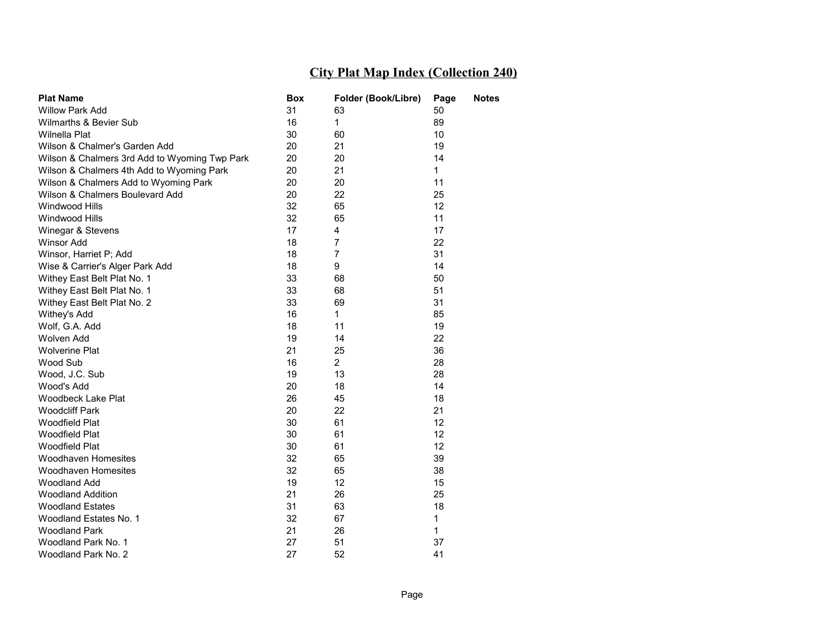| <b>Plat Name</b>                              | Box | Folder (Book/Libre) | Page            | Notes |
|-----------------------------------------------|-----|---------------------|-----------------|-------|
| <b>Willow Park Add</b>                        | 31  | 63                  | 50              |       |
| Wilmarths & Bevier Sub                        | 16  | $\mathbf{1}$        | 89              |       |
| Wilnella Plat                                 | 30  | 60                  | 10              |       |
| Wilson & Chalmer's Garden Add                 | 20  | 21                  | 19              |       |
| Wilson & Chalmers 3rd Add to Wyoming Twp Park | 20  | 20                  | 14              |       |
| Wilson & Chalmers 4th Add to Wyoming Park     | 20  | 21                  | $\mathbf{1}$    |       |
| Wilson & Chalmers Add to Wyoming Park         | 20  | 20                  | 11              |       |
| Wilson & Chalmers Boulevard Add               | 20  | 22                  | 25              |       |
| Windwood Hills                                | 32  | 65                  | 12              |       |
| Windwood Hills                                | 32  | 65                  | 11              |       |
| Winegar & Stevens                             | 17  | 4                   | 17              |       |
| <b>Winsor Add</b>                             | 18  | 7                   | 22              |       |
| Winsor, Harriet P; Add                        | 18  | $\overline{7}$      | 31              |       |
| Wise & Carrier's Alger Park Add               | 18  | 9                   | 14              |       |
| Withey East Belt Plat No. 1                   | 33  | 68                  | 50              |       |
| Withey East Belt Plat No. 1                   | 33  | 68                  | 51              |       |
| Withey East Belt Plat No. 2                   | 33  | 69                  | 31              |       |
| Withey's Add                                  | 16  | $\mathbf 1$         | 85              |       |
| Wolf, G.A. Add                                | 18  | 11                  | 19              |       |
| Wolven Add                                    | 19  | 14                  | 22              |       |
| <b>Wolverine Plat</b>                         | 21  | 25                  | 36              |       |
| Wood Sub                                      | 16  | $\overline{2}$      | 28              |       |
| Wood, J.C. Sub                                | 19  | 13                  | 28              |       |
| Wood's Add                                    | 20  | 18                  | 14              |       |
| Woodbeck Lake Plat                            | 26  | 45                  | 18              |       |
| <b>Woodcliff Park</b>                         | 20  | 22                  | 21              |       |
| <b>Woodfield Plat</b>                         | 30  | 61                  | 12              |       |
| <b>Woodfield Plat</b>                         | 30  | 61                  | 12 <sub>2</sub> |       |
| Woodfield Plat                                | 30  | 61                  | 12              |       |
| <b>Woodhaven Homesites</b>                    | 32  | 65                  | 39              |       |
| Woodhaven Homesites                           | 32  | 65                  | 38              |       |
| <b>Woodland Add</b>                           | 19  | 12                  | 15              |       |
| <b>Woodland Addition</b>                      | 21  | 26                  | 25              |       |
| <b>Woodland Estates</b>                       | 31  | 63                  | 18              |       |
| Woodland Estates No. 1                        | 32  | 67                  | 1               |       |
| <b>Woodland Park</b>                          | 21  | 26                  | 1               |       |
| Woodland Park No. 1                           | 27  | 51                  | 37              |       |
| Woodland Park No. 2                           | 27  | 52                  | 41              |       |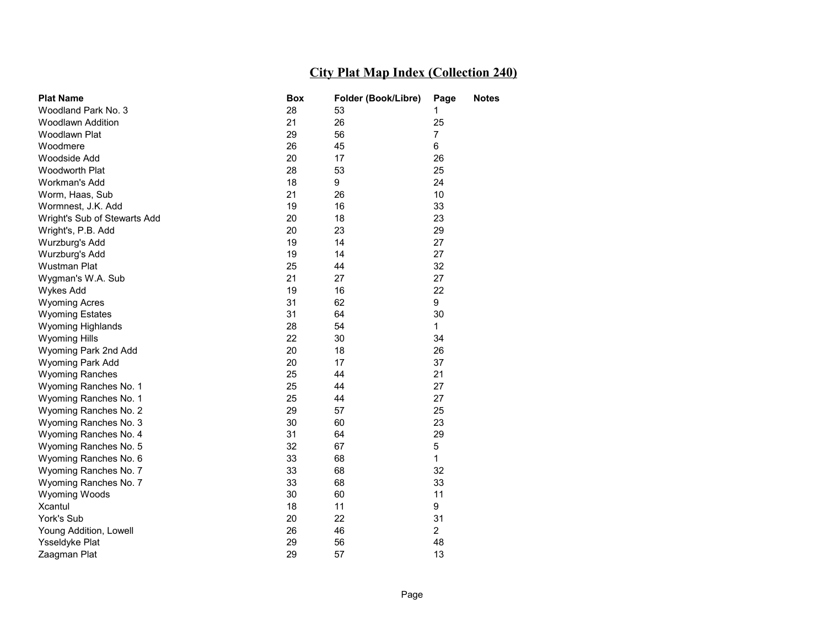| <b>Plat Name</b>             | <b>Box</b> | Folder (Book/Libre) | Page           | <b>Notes</b> |
|------------------------------|------------|---------------------|----------------|--------------|
| Woodland Park No. 3          | 28         | 53                  | 1              |              |
| <b>Woodlawn Addition</b>     | 21         | 26                  | 25             |              |
| Woodlawn Plat                | 29         | 56                  | $\overline{7}$ |              |
| Woodmere                     | 26         | 45                  | 6              |              |
| Woodside Add                 | 20         | 17                  | 26             |              |
| Woodworth Plat               | 28         | 53                  | 25             |              |
| Workman's Add                | 18         | 9                   | 24             |              |
| Worm, Haas, Sub              | 21         | 26                  | 10             |              |
| Wormnest, J.K. Add           | 19         | 16                  | 33             |              |
| Wright's Sub of Stewarts Add | 20         | 18                  | 23             |              |
| Wright's, P.B. Add           | 20         | 23                  | 29             |              |
| Wurzburg's Add               | 19         | 14                  | 27             |              |
| Wurzburg's Add               | 19         | 14                  | 27             |              |
| Wustman Plat                 | 25         | 44                  | 32             |              |
| Wygman's W.A. Sub            | 21         | 27                  | 27             |              |
| Wykes Add                    | 19         | 16                  | 22             |              |
| <b>Wyoming Acres</b>         | 31         | 62                  | 9              |              |
| <b>Wyoming Estates</b>       | 31         | 64                  | 30             |              |
| <b>Wyoming Highlands</b>     | 28         | 54                  | $\mathbf{1}$   |              |
| <b>Wyoming Hills</b>         | 22         | 30                  | 34             |              |
| Wyoming Park 2nd Add         | 20         | 18                  | 26             |              |
| Wyoming Park Add             | 20         | 17                  | 37             |              |
| <b>Wyoming Ranches</b>       | 25         | 44                  | 21             |              |
| Wyoming Ranches No. 1        | 25         | 44                  | 27             |              |
| Wyoming Ranches No. 1        | 25         | 44                  | 27             |              |
| Wyoming Ranches No. 2        | 29         | 57                  | 25             |              |
| Wyoming Ranches No. 3        | 30         | 60                  | 23             |              |
| Wyoming Ranches No. 4        | 31         | 64                  | 29             |              |
| Wyoming Ranches No. 5        | 32         | 67                  | 5              |              |
| Wyoming Ranches No. 6        | 33         | 68                  | $\mathbf{1}$   |              |
| Wyoming Ranches No. 7        | 33         | 68                  | 32             |              |
| Wyoming Ranches No. 7        | 33         | 68                  | 33             |              |
| Wyoming Woods                | 30         | 60                  | 11             |              |
| Xcantul                      | 18         | 11                  | 9              |              |
| York's Sub                   | 20         | 22                  | 31             |              |
| Young Addition, Lowell       | 26         | 46                  | 2              |              |
| <b>Ysseldyke Plat</b>        | 29         | 56                  | 48             |              |
| Zaagman Plat                 | 29         | 57                  | 13             |              |